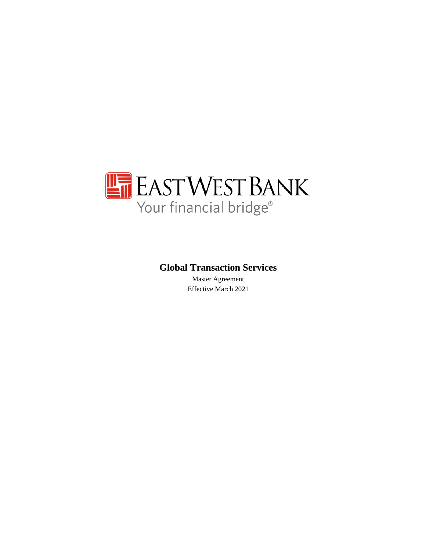

# **Global Transaction Services**

Master Agreement Effective March 2021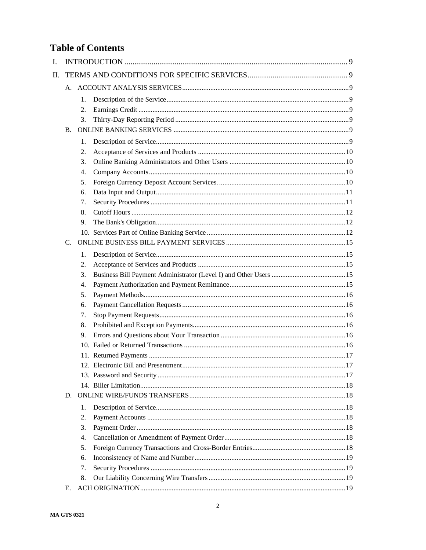# **Table of Contents**

| $\mathbf{I}$ . |    |    |  |
|----------------|----|----|--|
| $\Pi$ .        |    |    |  |
|                |    |    |  |
|                |    | 1. |  |
|                |    | 2. |  |
|                |    | 3. |  |
|                | B. |    |  |
|                |    | 1. |  |
|                |    | 2. |  |
|                |    | 3. |  |
|                |    | 4. |  |
|                |    | 5. |  |
|                |    | 6. |  |
|                |    | 7. |  |
|                |    | 8. |  |
|                |    | 9. |  |
|                |    |    |  |
|                | C. |    |  |
|                |    | 1. |  |
|                |    | 2. |  |
|                |    | 3. |  |
|                |    | 4. |  |
|                |    | 5. |  |
|                |    | 6. |  |
|                |    | 7. |  |
|                |    | 8. |  |
|                |    | 9. |  |
|                |    |    |  |
|                |    |    |  |
|                |    |    |  |
|                |    |    |  |
|                |    |    |  |
|                | D. |    |  |
|                |    | 1. |  |
|                |    | 2. |  |
|                |    | 3. |  |
|                |    | 4. |  |
|                |    | 5. |  |
|                |    | 6. |  |
|                |    | 7. |  |
|                |    | 8. |  |
|                | Е. |    |  |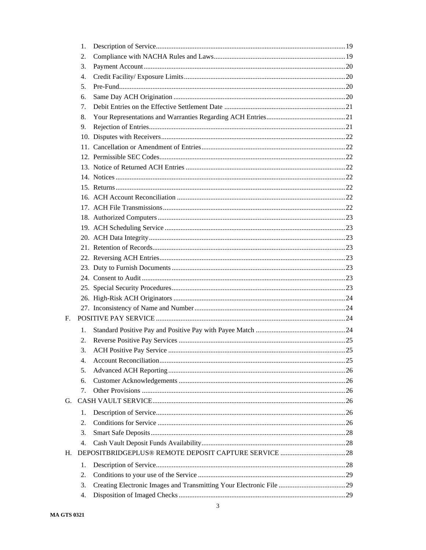|    | 1. |  |
|----|----|--|
|    | 2. |  |
|    | 3. |  |
|    | 4. |  |
|    | 5. |  |
|    | б. |  |
|    | 7. |  |
|    | 8. |  |
|    | 9. |  |
|    |    |  |
|    |    |  |
|    |    |  |
|    |    |  |
|    |    |  |
|    |    |  |
|    |    |  |
|    |    |  |
|    |    |  |
|    |    |  |
|    |    |  |
|    |    |  |
|    |    |  |
|    |    |  |
|    |    |  |
|    |    |  |
|    |    |  |
|    |    |  |
|    |    |  |
|    |    |  |
| F. |    |  |
|    | 1. |  |
|    | 2. |  |
|    | 3. |  |
|    | 4. |  |
|    | 5. |  |
|    | 6. |  |
|    | 7. |  |
| G. |    |  |
|    | 1. |  |
|    | 2. |  |
|    | 3. |  |
|    | 4. |  |
| Н. |    |  |
|    | 1. |  |
|    | 2. |  |
|    | 3. |  |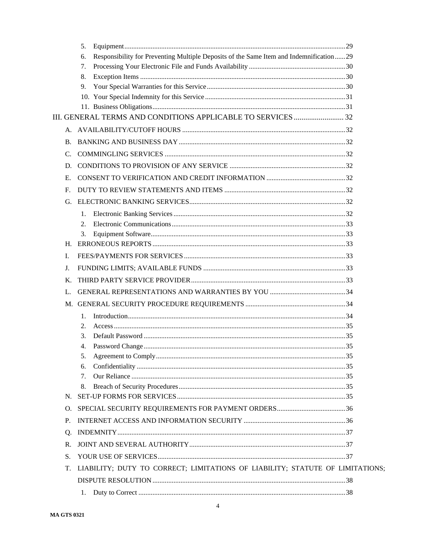|                      | 5.                                                                                             |  |
|----------------------|------------------------------------------------------------------------------------------------|--|
|                      | Responsibility for Preventing Multiple Deposits of the Same Item and Indemnification  29<br>6. |  |
|                      | 7.                                                                                             |  |
|                      | 8.                                                                                             |  |
|                      | 9.                                                                                             |  |
|                      |                                                                                                |  |
|                      |                                                                                                |  |
|                      |                                                                                                |  |
|                      |                                                                                                |  |
| В.                   |                                                                                                |  |
| $\mathbf{C}$ .       |                                                                                                |  |
| D.                   |                                                                                                |  |
| Е.                   |                                                                                                |  |
| $\mathbf{F}_{\cdot}$ |                                                                                                |  |
| G.                   |                                                                                                |  |
|                      | 1.                                                                                             |  |
|                      | 2.                                                                                             |  |
|                      | 3.                                                                                             |  |
| Н.                   |                                                                                                |  |
| L.                   |                                                                                                |  |
| J.                   |                                                                                                |  |
| Κ.                   |                                                                                                |  |
| L.                   |                                                                                                |  |
|                      |                                                                                                |  |
|                      | 1.                                                                                             |  |
|                      | 2.                                                                                             |  |
|                      | 3.                                                                                             |  |
|                      | 4.                                                                                             |  |
|                      | 5.                                                                                             |  |
|                      | 6.                                                                                             |  |
|                      | 7.                                                                                             |  |
|                      | 8.                                                                                             |  |
| N.                   |                                                                                                |  |
| О.                   |                                                                                                |  |
| Ρ.                   |                                                                                                |  |
| Ο.                   |                                                                                                |  |
| R.                   |                                                                                                |  |
| S.                   |                                                                                                |  |
| Т.                   | LIABILITY; DUTY TO CORRECT; LIMITATIONS OF LIABILITY; STATUTE OF LIMITATIONS;                  |  |
|                      |                                                                                                |  |
|                      |                                                                                                |  |
|                      |                                                                                                |  |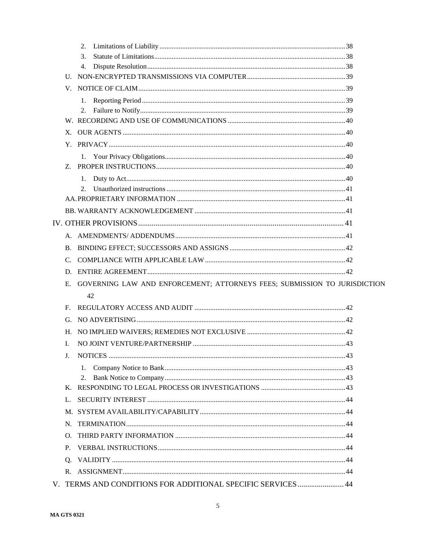|                      | 2.                                                                        |  |
|----------------------|---------------------------------------------------------------------------|--|
|                      | 3.                                                                        |  |
|                      | 4.                                                                        |  |
|                      |                                                                           |  |
|                      |                                                                           |  |
|                      | 1.                                                                        |  |
|                      | 2.                                                                        |  |
|                      |                                                                           |  |
| X.                   |                                                                           |  |
|                      |                                                                           |  |
|                      | 1.                                                                        |  |
| Z.                   |                                                                           |  |
|                      | 1.                                                                        |  |
|                      | $2_{1}$                                                                   |  |
|                      |                                                                           |  |
|                      |                                                                           |  |
|                      |                                                                           |  |
|                      |                                                                           |  |
| B.                   |                                                                           |  |
| C.                   |                                                                           |  |
|                      |                                                                           |  |
| Е.                   | GOVERNING LAW AND ENFORCEMENT; ATTORNEYS FEES; SUBMISSION TO JURISDICTION |  |
|                      | 42                                                                        |  |
| F.                   |                                                                           |  |
| G.                   |                                                                           |  |
| Н.                   |                                                                           |  |
| L                    |                                                                           |  |
|                      |                                                                           |  |
|                      | 1.                                                                        |  |
|                      | 2.                                                                        |  |
| K.                   |                                                                           |  |
| $\mathbf{L}$         |                                                                           |  |
| M.                   |                                                                           |  |
| N.                   |                                                                           |  |
| Ω.                   |                                                                           |  |
| P.                   |                                                                           |  |
| O.                   |                                                                           |  |
| $\mathbf{R}_{\cdot}$ |                                                                           |  |
|                      | V. TERMS AND CONDITIONS FOR ADDITIONAL SPECIFIC SERVICES  44              |  |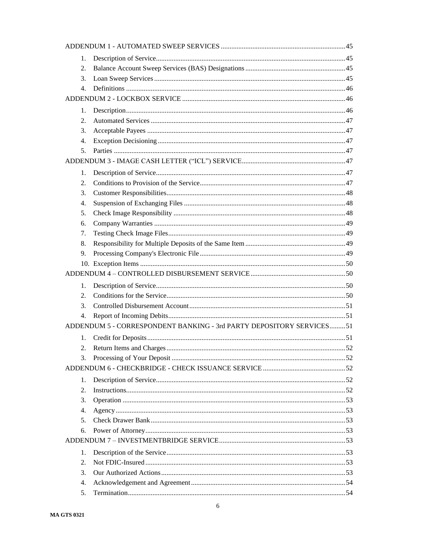| 1.               |                                                                      |  |
|------------------|----------------------------------------------------------------------|--|
| 2.               |                                                                      |  |
| 3.               |                                                                      |  |
| 4.               |                                                                      |  |
|                  |                                                                      |  |
| 1.               |                                                                      |  |
| 2.               |                                                                      |  |
| 3.               |                                                                      |  |
| 4.               |                                                                      |  |
| 5.               |                                                                      |  |
|                  |                                                                      |  |
| 1.               |                                                                      |  |
| 2.               |                                                                      |  |
| 3.               |                                                                      |  |
| $\overline{4}$ . |                                                                      |  |
| 5.               |                                                                      |  |
| 6.               |                                                                      |  |
| 7.               |                                                                      |  |
| 8.               |                                                                      |  |
| 9.               |                                                                      |  |
|                  |                                                                      |  |
|                  |                                                                      |  |
| 1.               |                                                                      |  |
| 2.               |                                                                      |  |
| 3.               |                                                                      |  |
| $\overline{4}$ . |                                                                      |  |
|                  | ADDENDUM 5 - CORRESPONDENT BANKING - 3rd PARTY DEPOSITORY SERVICES51 |  |
|                  |                                                                      |  |
| 1.<br>2.         |                                                                      |  |
|                  |                                                                      |  |
| 3.               |                                                                      |  |
|                  |                                                                      |  |
| 1.               |                                                                      |  |
| 2.               | Instructions. 52                                                     |  |
| 3.               |                                                                      |  |
| 4.               |                                                                      |  |
| 5.               |                                                                      |  |
| 6.               |                                                                      |  |
|                  |                                                                      |  |
| 1.               |                                                                      |  |
| 2.               |                                                                      |  |
| 3.               |                                                                      |  |
| $\overline{4}$ . |                                                                      |  |
| 5.               |                                                                      |  |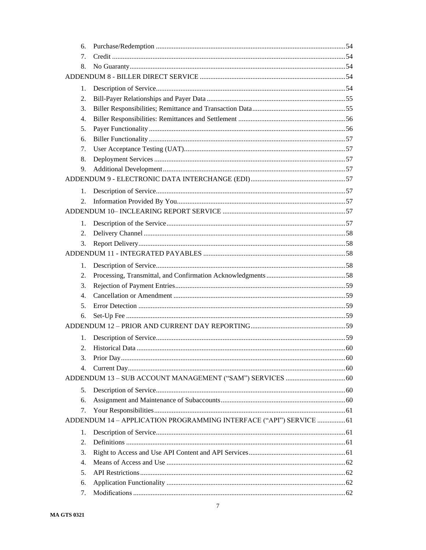| 6.       |                                                                     |  |
|----------|---------------------------------------------------------------------|--|
| 7.       |                                                                     |  |
| 8.       |                                                                     |  |
|          |                                                                     |  |
| 1.       |                                                                     |  |
| 2.       |                                                                     |  |
| 3.       |                                                                     |  |
| 4.       |                                                                     |  |
| 5.       |                                                                     |  |
| 6.       |                                                                     |  |
| 7.       |                                                                     |  |
| 8.       |                                                                     |  |
| 9.       |                                                                     |  |
|          |                                                                     |  |
| 1.       |                                                                     |  |
| 2.       |                                                                     |  |
|          |                                                                     |  |
| 1.       |                                                                     |  |
| 2.       |                                                                     |  |
| 3.       |                                                                     |  |
|          |                                                                     |  |
| 1.       |                                                                     |  |
| 2.       |                                                                     |  |
| 3.       |                                                                     |  |
| 4.       |                                                                     |  |
| 5.       |                                                                     |  |
| б.       |                                                                     |  |
|          |                                                                     |  |
|          |                                                                     |  |
| 1.<br>2. |                                                                     |  |
|          |                                                                     |  |
| 3.       |                                                                     |  |
| 4.       |                                                                     |  |
|          |                                                                     |  |
| 5.       |                                                                     |  |
| 6.       |                                                                     |  |
| 7.       |                                                                     |  |
|          | ADDENDUM 14 - APPLICATION PROGRAMMING INTERFACE ("API") SERVICE  61 |  |
| 1.       |                                                                     |  |
| 2.       |                                                                     |  |
| 3.       |                                                                     |  |
| 4.       |                                                                     |  |
| 5.       |                                                                     |  |
| 6.       |                                                                     |  |
| 7.       |                                                                     |  |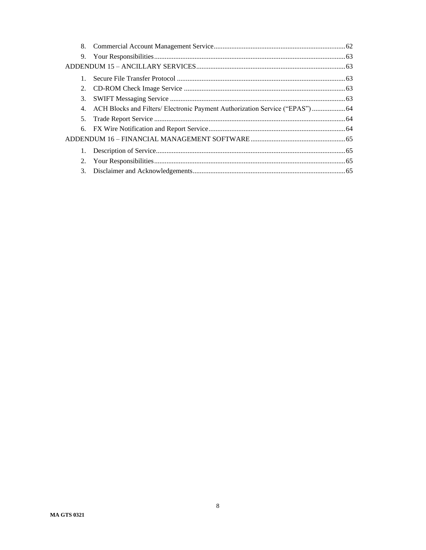| 8.             |                                                                                  |  |
|----------------|----------------------------------------------------------------------------------|--|
|                |                                                                                  |  |
|                |                                                                                  |  |
|                |                                                                                  |  |
|                |                                                                                  |  |
| 3.             |                                                                                  |  |
|                | 4. ACH Blocks and Filters/ Electronic Payment Authorization Service ("EPAS")  64 |  |
| 5.             |                                                                                  |  |
|                |                                                                                  |  |
|                |                                                                                  |  |
| 1.             |                                                                                  |  |
| 2.             |                                                                                  |  |
| 3 <sub>1</sub> |                                                                                  |  |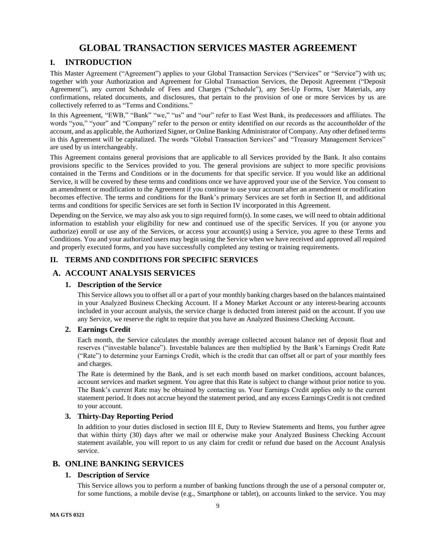# **GLOBAL TRANSACTION SERVICES MASTER AGREEMENT**

# <span id="page-8-0"></span>**I. INTRODUCTION**

This Master Agreement ("Agreement") applies to your Global Transaction Services ("Services" or "Service") with us; together with your Authorization and Agreement for Global Transaction Services, the Deposit Agreement ("Deposit Agreement"), any current Schedule of Fees and Charges ("Schedule"), any Set-Up Forms, User Materials, any confirmations, related documents, and disclosures, that pertain to the provision of one or more Services by us are collectively referred to as "Terms and Conditions."

In this Agreement, "EWB," "Bank" "we," "us" and "our" refer to East West Bank, its predecessors and affiliates. The words "you," "your" and "Company" refer to the person or entity identified on our records as the accountholder of the account, and as applicable, the Authorized Signer, or Online Banking Administrator of Company. Any other defined terms in this Agreement will be capitalized. The words "Global Transaction Services" and "Treasury Management Services" are used by us interchangeably.

This Agreement contains general provisions that are applicable to all Services provided by the Bank. It also contains provisions specific to the Services provided to you. The general provisions are subject to more specific provisions contained in the Terms and Conditions or in the documents for that specific service. If you would like an additional Service, it will be covered by these terms and conditions once we have approved your use of the Service. You consent to an amendment or modification to the Agreement if you continue to use your account after an amendment or modification becomes effective. The terms and conditions for the Bank's primary Services are set forth in Section II, and additional terms and conditions for specific Services are set forth in Section IV incorporated in this Agreement.

Depending on the Service, we may also ask you to sign required form(s). In some cases, we will need to obtain additional information to establish your eligibility for new and continued use of the specific Services. If you (or anyone you authorize) enroll or use any of the Services, or access your account(s) using a Service, you agree to these Terms and Conditions. You and your authorized users may begin using the Service when we have received and approved all required and properly executed forms, and you have successfully completed any testing or training requirements.

# <span id="page-8-1"></span>**II. TERMS AND CONDITIONS FOR SPECIFIC SERVICES**

# <span id="page-8-3"></span><span id="page-8-2"></span>**A. ACCOUNT ANALYSIS SERVICES**

## **1. Description of the Service**

This Service allows you to offset all or a part of your monthly banking charges based on the balances maintained in your Analyzed Business Checking Account. If a Money Market Account or any interest-bearing accounts included in your account analysis, the service charge is deducted from interest paid on the account. If you use any Service, we reserve the right to require that you have an Analyzed Business Checking Account.

## <span id="page-8-4"></span>**2. Earnings Credit**

Each month, the Service calculates the monthly average collected account balance net of deposit float and reserves ("investable balance"). Investable balances are then multiplied by the Bank's Earnings Credit Rate ("Rate") to determine your Earnings Credit, which is the credit that can offset all or part of your monthly fees and charges.

The Rate is determined by the Bank, and is set each month based on market conditions, account balances, account services and market segment. You agree that this Rate is subject to change without prior notice to you. The Bank's current Rate may be obtained by contacting us. Your Earnings Credit applies only to the current statement period. It does not accrue beyond the statement period, and any excess Earnings Credit is not credited to your account.

# <span id="page-8-5"></span>**3. Thirty-Day Reporting Period**

In addition to your duties disclosed in section III E, Duty to Review Statements and Items, you further agree that within thirty (30) days after we mail or otherwise make your Analyzed Business Checking Account statement available, you will report to us any claim for credit or refund due based on the Account Analysis service.

# <span id="page-8-7"></span><span id="page-8-6"></span>**B. ONLINE BANKING SERVICES**

## **1. Description of Service**

This Service allows you to perform a number of banking functions through the use of a personal computer or, for some functions, a mobile devise (e.g., Smartphone or tablet), on accounts linked to the service. You may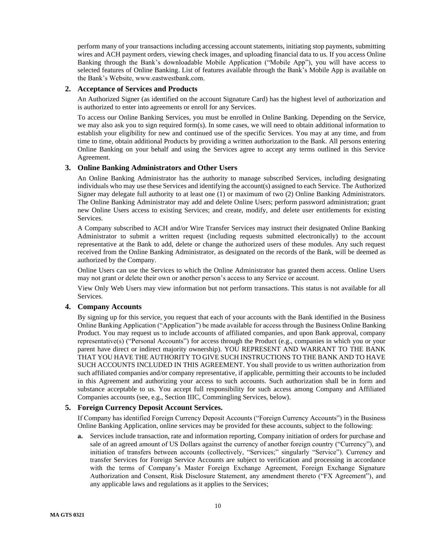perform many of your transactions including accessing account statements, initiating stop payments, submitting wires and ACH payment orders, viewing check images, and uploading financial data to us. If you access Online Banking through the Bank's downloadable Mobile Application ("Mobile App"), you will have access to selected features of Online Banking. List of features available through the Bank's Mobile App is available on the Bank's Website, www.eastwestbank.com.

### <span id="page-9-0"></span>**2. Acceptance of Services and Products**

An Authorized Signer (as identified on the account Signature Card) has the highest level of authorization and is authorized to enter into agreements or enroll for any Services.

To access our Online Banking Services, you must be enrolled in Online Banking. Depending on the Service, we may also ask you to sign required form(s). In some cases, we will need to obtain additional information to establish your eligibility for new and continued use of the specific Services. You may at any time, and from time to time, obtain additional Products by providing a written authorization to the Bank. All persons entering Online Banking on your behalf and using the Services agree to accept any terms outlined in this Service Agreement.

## <span id="page-9-1"></span>**3. Online Banking Administrators and Other Users**

An Online Banking Administrator has the authority to manage subscribed Services, including designating individuals who may use these Services and identifying the account(s) assigned to each Service. The Authorized Signer may delegate full authority to at least one (1) or maximum of two (2) Online Banking Administrators. The Online Banking Administrator may add and delete Online Users; perform password administration; grant new Online Users access to existing Services; and create, modify, and delete user entitlements for existing Services.

A Company subscribed to ACH and/or Wire Transfer Services may instruct their designated Online Banking Administrator to submit a written request (including requests submitted electronically) to the account representative at the Bank to add, delete or change the authorized users of these modules. Any such request received from the Online Banking Administrator, as designated on the records of the Bank, will be deemed as authorized by the Company.

Online Users can use the Services to which the Online Administrator has granted them access. Online Users may not grant or delete their own or another person's access to any Service or account.

View Only Web Users may view information but not perform transactions. This status is not available for all Services.

#### <span id="page-9-2"></span>**4. Company Accounts**

By signing up for this service, you request that each of your accounts with the Bank identified in the Business Online Banking Application ("Application") be made available for access through the Business Online Banking Product. You may request us to include accounts of affiliated companies, and upon Bank approval, company representative(s) ("Personal Accounts") for access through the Product (e.g., companies in which you or your parent have direct or indirect majority ownership). YOU REPRESENT AND WARRANT TO THE BANK THAT YOU HAVE THE AUTHORITY TO GIVE SUCH INSTRUCTIONS TO THE BANK AND TO HAVE SUCH ACCOUNTS INCLUDED IN THIS AGREEMENT. You shall provide to us written authorization from such affiliated companies and/or company representative, if applicable, permitting their accounts to be included in this Agreement and authorizing your access to such accounts. Such authorization shall be in form and substance acceptable to us. You accept full responsibility for such access among Company and Affiliated Companies accounts (see, e.g., Section IIIC, Commingling Services, below).

### <span id="page-9-3"></span>**5. Foreign Currency Deposit Account Services.**

If Company has identified Foreign Currency Deposit Accounts ("Foreign Currency Accounts") in the Business Online Banking Application, online services may be provided for these accounts, subject to the following:

**a.** Services include transaction, rate and information reporting, Company initiation of orders for purchase and sale of an agreed amount of US Dollars against the currency of another foreign country ("Currency"), and initiation of transfers between accounts (collectively, "Services;" singularly "Service"). Currency and transfer Services for Foreign Service Accounts are subject to verification and processing in accordance with the terms of Company's Master Foreign Exchange Agreement, Foreign Exchange Signature Authorization and Consent, Risk Disclosure Statement, any amendment thereto ("FX Agreement"), and any applicable laws and regulations as it applies to the Services;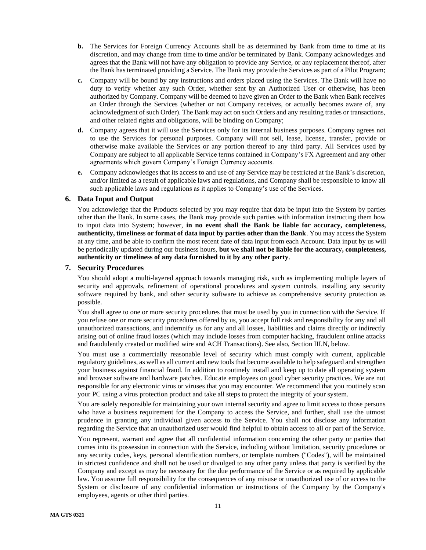- **b.** The Services for Foreign Currency Accounts shall be as determined by Bank from time to time at its discretion, and may change from time to time and/or be terminated by Bank. Company acknowledges and agrees that the Bank will not have any obligation to provide any Service, or any replacement thereof, after the Bank has terminated providing a Service. The Bank may provide the Services as part of a Pilot Program;
- **c.** Company will be bound by any instructions and orders placed using the Services. The Bank will have no duty to verify whether any such Order, whether sent by an Authorized User or otherwise, has been authorized by Company. Company will be deemed to have given an Order to the Bank when Bank receives an Order through the Services (whether or not Company receives, or actually becomes aware of, any acknowledgment of such Order). The Bank may act on such Orders and any resulting trades or transactions, and other related rights and obligations, will be binding on Company;
- **d.** Company agrees that it will use the Services only for its internal business purposes. Company agrees not to use the Services for personal purposes. Company will not sell, lease, license, transfer, provide or otherwise make available the Services or any portion thereof to any third party. All Services used by Company are subject to all applicable Service terms contained in Company's FX Agreement and any other agreements which govern Company's Foreign Currency accounts.
- **e.** Company acknowledges that its access to and use of any Service may be restricted at the Bank's discretion, and/or limited as a result of applicable laws and regulations, and Company shall be responsible to know all such applicable laws and regulations as it applies to Company's use of the Services.

### <span id="page-10-0"></span>**6. Data Input and Output**

You acknowledge that the Products selected by you may require that data be input into the System by parties other than the Bank. In some cases, the Bank may provide such parties with information instructing them how to input data into System; however, **in no event shall the Bank be liable for accuracy, completeness, authenticity, timeliness or format of data input by parties other than the Bank**. You may access the System at any time, and be able to confirm the most recent date of data input from each Account. Data input by us will be periodically updated during our business hours, **but we shall not be liable for the accuracy, completeness, authenticity or timeliness of any data furnished to it by any other party**.

### <span id="page-10-1"></span>**7. Security Procedures**

You should adopt a multi-layered approach towards managing risk, such as implementing multiple layers of security and approvals, refinement of operational procedures and system controls, installing any security software required by bank, and other security software to achieve as comprehensive security protection as possible.

You shall agree to one or more security procedures that must be used by you in connection with the Service. If you refuse one or more security procedures offered by us, you accept full risk and responsibility for any and all unauthorized transactions, and indemnify us for any and all losses, liabilities and claims directly or indirectly arising out of online fraud losses (which may include losses from computer hacking, fraudulent online attacks and fraudulently created or modified wire and ACH Transactions). See also, Section III.N, below.

You must use a commercially reasonable level of security which must comply with current, applicable regulatory guidelines, as well as all current and new tools that become available to help safeguard and strengthen your business against financial fraud. In addition to routinely install and keep up to date all operating system and browser software and hardware patches. Educate employees on good cyber security practices. We are not responsible for any electronic virus or viruses that you may encounter. We recommend that you routinely scan your PC using a virus protection product and take all steps to protect the integrity of your system.

You are solely responsible for maintaining your own internal security and agree to limit access to those persons who have a business requirement for the Company to access the Service, and further, shall use the utmost prudence in granting any individual given access to the Service. You shall not disclose any information regarding the Service that an unauthorized user would find helpful to obtain access to all or part of the Service.

You represent, warrant and agree that all confidential information concerning the other party or parties that comes into its possession in connection with the Service, including without limitation, security procedures or any security codes, keys, personal identification numbers, or template numbers ("Codes"), will be maintained in strictest confidence and shall not be used or divulged to any other party unless that party is verified by the Company and except as may be necessary for the due performance of the Service or as required by applicable law. You assume full responsibility for the consequences of any misuse or unauthorized use of or access to the System or disclosure of any confidential information or instructions of the Company by the Company's employees, agents or other third parties.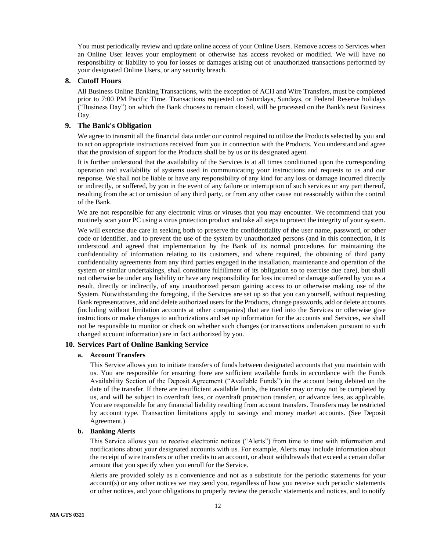You must periodically review and update online access of your Online Users. Remove access to Services when an Online User leaves your employment or otherwise has access revoked or modified. We will have no responsibility or liability to you for losses or damages arising out of unauthorized transactions performed by your designated Online Users, or any security breach.

### <span id="page-11-0"></span>**8. Cutoff Hours**

All Business Online Banking Transactions, with the exception of ACH and Wire Transfers, must be completed prior to 7:00 PM Pacific Time. Transactions requested on Saturdays, Sundays, or Federal Reserve holidays ("Business Day") on which the Bank chooses to remain closed, will be processed on the Bank's next Business Day.

## <span id="page-11-1"></span>**9. The Bank's Obligation**

We agree to transmit all the financial data under our control required to utilize the Products selected by you and to act on appropriate instructions received from you in connection with the Products. You understand and agree that the provision of support for the Products shall be by us or its designated agent.

It is further understood that the availability of the Services is at all times conditioned upon the corresponding operation and availability of systems used in communicating your instructions and requests to us and our response. We shall not be liable or have any responsibility of any kind for any loss or damage incurred directly or indirectly, or suffered, by you in the event of any failure or interruption of such services or any part thereof, resulting from the act or omission of any third party, or from any other cause not reasonably within the control of the Bank.

We are not responsible for any electronic virus or viruses that you may encounter. We recommend that you routinely scan your PC using a virus protection product and take all steps to protect the integrity of your system.

We will exercise due care in seeking both to preserve the confidentiality of the user name, password, or other code or identifier, and to prevent the use of the system by unauthorized persons (and in this connection, it is understood and agreed that implementation by the Bank of its normal procedures for maintaining the confidentiality of information relating to its customers, and where required, the obtaining of third party confidentiality agreements from any third parties engaged in the installation, maintenance and operation of the system or similar undertakings, shall constitute fulfillment of its obligation so to exercise due care), but shall not otherwise be under any liability or have any responsibility for loss incurred or damage suffered by you as a result, directly or indirectly, of any unauthorized person gaining access to or otherwise making use of the System. Notwithstanding the foregoing, if the Services are set up so that you can yourself, without requesting Bank representatives, add and delete authorized users for the Products, change passwords, add or delete accounts (including without limitation accounts at other companies) that are tied into the Services or otherwise give instructions or make changes to authorizations and set up information for the accounts and Services, we shall not be responsible to monitor or check on whether such changes (or transactions undertaken pursuant to such changed account information) are in fact authorized by you.

#### <span id="page-11-2"></span>**10. Services Part of Online Banking Service**

#### **a. Account Transfers**

This Service allows you to initiate transfers of funds between designated accounts that you maintain with us. You are responsible for ensuring there are sufficient available funds in accordance with the Funds Availability Section of the Deposit Agreement ("Available Funds") in the account being debited on the date of the transfer. If there are insufficient available funds, the transfer may or may not be completed by us, and will be subject to overdraft fees, or overdraft protection transfer, or advance fees, as applicable. You are responsible for any financial liability resulting from account transfers. Transfers may be restricted by account type. Transaction limitations apply to savings and money market accounts. (See Deposit Agreement.)

### **b. Banking Alerts**

This Service allows you to receive electronic notices ("Alerts") from time to time with information and notifications about your designated accounts with us. For example, Alerts may include information about the receipt of wire transfers or other credits to an account, or about withdrawals that exceed a certain dollar amount that you specify when you enroll for the Service.

Alerts are provided solely as a convenience and not as a substitute for the periodic statements for your account(s) or any other notices we may send you, regardless of how you receive such periodic statements or other notices, and your obligations to properly review the periodic statements and notices, and to notify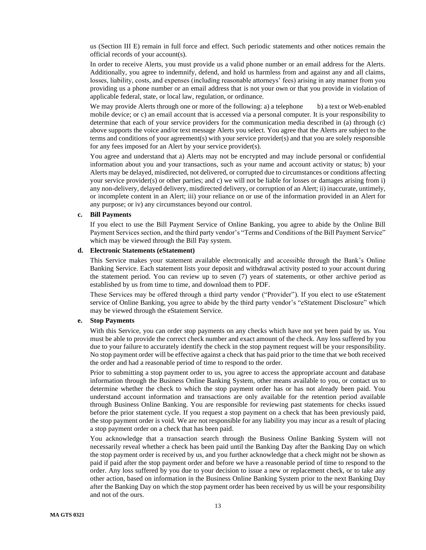us (Section III E) remain in full force and effect. Such periodic statements and other notices remain the official records of your account(s).

In order to receive Alerts, you must provide us a valid phone number or an email address for the Alerts. Additionally, you agree to indemnify, defend, and hold us harmless from and against any and all claims, losses, liability, costs, and expenses (including reasonable attorneys' fees) arising in any manner from you providing us a phone number or an email address that is not your own or that you provide in violation of applicable federal, state, or local law, regulation, or ordinance.

We may provide Alerts through one or more of the following: a) a telephone b) a text or Web-enabled mobile device; or c) an email account that is accessed via a personal computer. It is your responsibility to determine that each of your service providers for the communication media described in (a) through (c) above supports the voice and/or text message Alerts you select. You agree that the Alerts are subject to the terms and conditions of your agreement(s) with your service provider(s) and that you are solely responsible for any fees imposed for an Alert by your service provider(s).

You agree and understand that a) Alerts may not be encrypted and may include personal or confidential information about you and your transactions, such as your name and account activity or status; b) your Alerts may be delayed, misdirected, not delivered, or corrupted due to circumstances or conditions affecting your service provider(s) or other parties; and c) we will not be liable for losses or damages arising from i) any non-delivery, delayed delivery, misdirected delivery, or corruption of an Alert; ii) inaccurate, untimely, or incomplete content in an Alert; iii) your reliance on or use of the information provided in an Alert for any purpose; or iv) any circumstances beyond our control.

### **c. Bill Payments**

If you elect to use the Bill Payment Service of Online Banking, you agree to abide by the Online Bill Payment Services section, and the third party vendor's "Terms and Conditions of the Bill Payment Service" which may be viewed through the Bill Pay system.

#### **d. Electronic Statements (eStatement)**

This Service makes your statement available electronically and accessible through the Bank's Online Banking Service. Each statement lists your deposit and withdrawal activity posted to your account during the statement period. You can review up to seven (7) years of statements, or other archive period as established by us from time to time, and download them to PDF.

These Services may be offered through a third party vendor ("Provider"). If you elect to use eStatement service of Online Banking, you agree to abide by the third party vendor's "eStatement Disclosure" which may be viewed through the eStatement Service.

#### **e. Stop Payments**

With this Service, you can order stop payments on any checks which have not yet been paid by us. You must be able to provide the correct check number and exact amount of the check. Any loss suffered by you due to your failure to accurately identify the check in the stop payment request will be your responsibility. No stop payment order will be effective against a check that has paid prior to the time that we both received the order and had a reasonable period of time to respond to the order.

Prior to submitting a stop payment order to us, you agree to access the appropriate account and database information through the Business Online Banking System, other means available to you, or contact us to determine whether the check to which the stop payment order has or has not already been paid. You understand account information and transactions are only available for the retention period available through Business Online Banking. You are responsible for reviewing past statements for checks issued before the prior statement cycle. If you request a stop payment on a check that has been previously paid, the stop payment order is void. We are not responsible for any liability you may incur as a result of placing a stop payment order on a check that has been paid.

You acknowledge that a transaction search through the Business Online Banking System will not necessarily reveal whether a check has been paid until the Banking Day after the Banking Day on which the stop payment order is received by us, and you further acknowledge that a check might not be shown as paid if paid after the stop payment order and before we have a reasonable period of time to respond to the order. Any loss suffered by you due to your decision to issue a new or replacement check, or to take any other action, based on information in the Business Online Banking System prior to the next Banking Day after the Banking Day on which the stop payment order has been received by us will be your responsibility and not of the ours.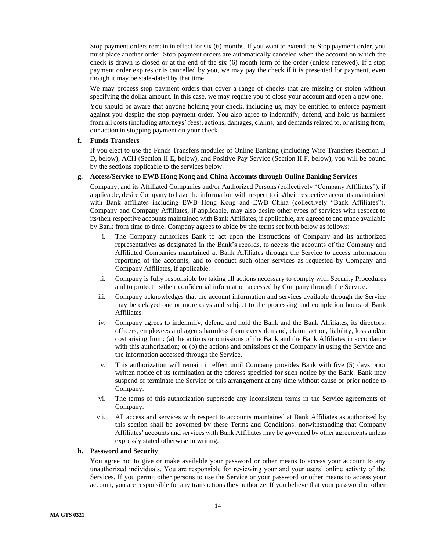Stop payment orders remain in effect for six (6) months. If you want to extend the Stop payment order, you must place another order. Stop payment orders are automatically canceled when the account on which the check is drawn is closed or at the end of the six (6) month term of the order (unless renewed). If a stop payment order expires or is cancelled by you, we may pay the check if it is presented for payment, even though it may be stale-dated by that time.

We may process stop payment orders that cover a range of checks that are missing or stolen without specifying the dollar amount. In this case, we may require you to close your account and open a new one.

You should be aware that anyone holding your check, including us, may be entitled to enforce payment against you despite the stop payment order. You also agree to indemnify, defend, and hold us harmless from all costs (including attorneys' fees), actions, damages, claims, and demands related to, or arising from, our action in stopping payment on your check.

#### **f. Funds Transfers**

If you elect to use the Funds Transfers modules of Online Banking (including Wire Transfers (Section II D, below), ACH (Section II E, below), and Positive Pay Service (Section II F, below), you will be bound by the sections applicable to the services below.

### **g. Access/Service to EWB Hong Kong and China Accounts through Online Banking Services**

Company, and its Affiliated Companies and/or Authorized Persons (collectively "Company Affiliates"), if applicable, desire Company to have the information with respect to its/their respective accounts maintained with Bank affiliates including EWB Hong Kong and EWB China (collectively "Bank Affiliates"). Company and Company Affiliates, if applicable, may also desire other types of services with respect to its/their respective accounts maintained with Bank Affiliates, if applicable, are agreed to and made available by Bank from time to time, Company agrees to abide by the terms set forth below as follows:

- i. The Company authorizes Bank to act upon the instructions of Company and its authorized representatives as designated in the Bank's records, to access the accounts of the Company and Affiliated Companies maintained at Bank Affiliates through the Service to access information reporting of the accounts, and to conduct such other services as requested by Company and Company Affiliates, if applicable.
- ii. Company is fully responsible for taking all actions necessary to comply with Security Procedures and to protect its/their confidential information accessed by Company through the Service.
- iii. Company acknowledges that the account information and services available through the Service may be delayed one or more days and subject to the processing and completion hours of Bank Affiliates.
- iv. Company agrees to indemnify, defend and hold the Bank and the Bank Affiliates, its directors, officers, employees and agents harmless from every demand, claim, action, liability, loss and/or cost arising from: (a) the actions or omissions of the Bank and the Bank Affiliates in accordance with this authorization; or (b) the actions and omissions of the Company in using the Service and the information accessed through the Service.
- v. This authorization will remain in effect until Company provides Bank with five (5) days prior written notice of its termination at the address specified for such notice by the Bank. Bank may suspend or terminate the Service or this arrangement at any time without cause or prior notice to Company.
- vi. The terms of this authorization supersede any inconsistent terms in the Service agreements of Company.
- vii. All access and services with respect to accounts maintained at Bank Affiliates as authorized by this section shall be governed by these Terms and Conditions, notwithstanding that Company Affiliates' accounts and services with Bank Affiliates may be governed by other agreements unless expressly stated otherwise in writing.

#### **h. Password and Security**

You agree not to give or make available your password or other means to access your account to any unauthorized individuals. You are responsible for reviewing your and your users' online activity of the Services. If you permit other persons to use the Service or your password or other means to access your account, you are responsible for any transactions they authorize. If you believe that your password or other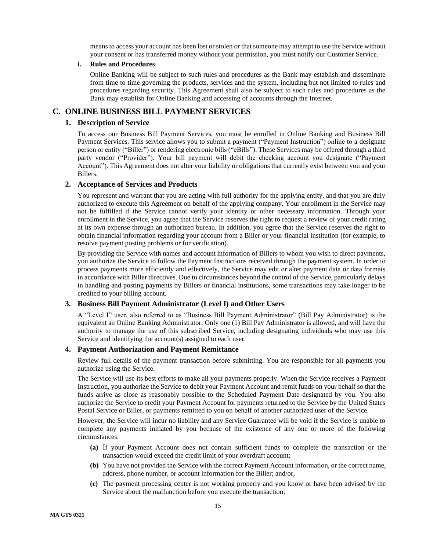means to access your account has been lost or stolen or that someone may attempt to use the Service without your consent or has transferred money without your permission, you must notify our Customer Service.

### **i. Rules and Procedures**

Online Banking will be subject to such rules and procedures as the Bank may establish and disseminate from time to time governing the products, services and the system, including but not limited to rules and procedures regarding security. This Agreement shall also be subject to such rules and procedures as the Bank may establish for Online Banking and accessing of accounts through the Internet.

# <span id="page-14-1"></span><span id="page-14-0"></span>**C. ONLINE BUSINESS BILL PAYMENT SERVICES**

### **1. Description of Service**

To access our Business Bill Payment Services, you must be enrolled in Online Banking and Business Bill Payment Services. This service allows you to submit a payment ("Payment Instruction") online to a designate person or entity ("Biller") or rendering electronic bills ("eBills"). These Services may be offered through a third party vendor ("Provider"). Your bill payment will debit the checking account you designate ("Payment Account"). This Agreement does not alter your liability or obligations that currently exist between you and your Billers.

## <span id="page-14-2"></span>**2. Acceptance of Services and Products**

You represent and warrant that you are acting with full authority for the applying entity, and that you are duly authorized to execute this Agreement on behalf of the applying company. Your enrollment in the Service may not be fulfilled if the Service cannot verify your identity or other necessary information. Through your enrollment in the Service, you agree that the Service reserves the right to request a review of your credit rating at its own expense through an authorized bureau. In addition, you agree that the Service reserves the right to obtain financial information regarding your account from a Biller or your financial institution (for example, to resolve payment posting problems or for verification).

By providing the Service with names and account information of Billers to whom you wish to direct payments, you authorize the Service to follow the Payment Instructions received through the payment system. In order to process payments more efficiently and effectively, the Service may edit or alter payment data or data formats in accordance with Biller directives. Due to circumstances beyond the control of the Service, particularly delays in handling and posting payments by Billers or financial institutions, some transactions may take longer to be credited to your billing account.

### <span id="page-14-3"></span>**3. Business Bill Payment Administrator (Level I) and Other Users**

A "Level I" user, also referred to as "Business Bill Payment Administrator" (Bill Pay Administrator) is the equivalent an Online Banking Administrator. Only one (1) Bill Pay Administrator is allowed, and will have the authority to manage the use of this subscribed Service, including designating individuals who may use this Service and identifying the account(s) assigned to each user.

## <span id="page-14-4"></span>**4. Payment Authorization and Payment Remittance**

Review full details of the payment transaction before submitting. You are responsible for all payments you authorize using the Service.

The Service will use its best efforts to make all your payments properly. When the Service receives a Payment Instruction, you authorize the Service to debit your Payment Account and remit funds on your behalf so that the funds arrive as close as reasonably possible to the Scheduled Payment Date designated by you. You also authorize the Service to credit your Payment Account for payments returned to the Service by the United States Postal Service or Biller, or payments remitted to you on behalf of another authorized user of the Service.

However, the Service will incur no liability and any Service Guarantee will be void if the Service is unable to complete any payments initiated by you because of the existence of any one or more of the following circumstances:

- **(a)** If your Payment Account does not contain sufficient funds to complete the transaction or the transaction would exceed the credit limit of your overdraft account;
- **(b)** You have not provided the Service with the correct Payment Account information, or the correct name, address, phone number, or account information for the Biller; and/or,
- **(c)** The payment processing center is not working properly and you know or have been advised by the Service about the malfunction before you execute the transaction;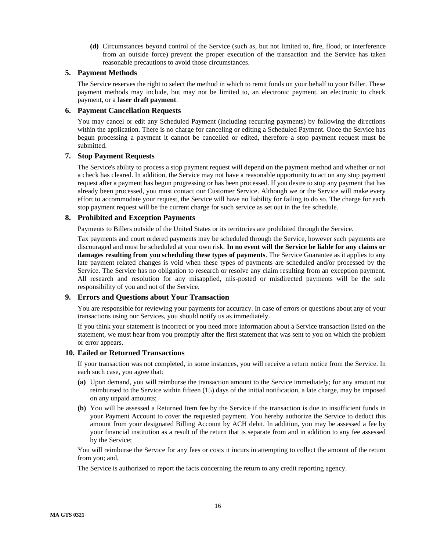**(d)** Circumstances beyond control of the Service (such as, but not limited to, fire, flood, or interference from an outside force) prevent the proper execution of the transaction and the Service has taken reasonable precautions to avoid those circumstances.

## <span id="page-15-0"></span>**5. Payment Methods**

The Service reserves the right to select the method in which to remit funds on your behalf to your Biller. These payment methods may include, but may not be limited to, an electronic payment, an electronic to check payment, or a l**aser draft payment**.

### <span id="page-15-1"></span>**6. Payment Cancellation Requests**

You may cancel or edit any Scheduled Payment (including recurring payments) by following the directions within the application. There is no charge for canceling or editing a Scheduled Payment. Once the Service has begun processing a payment it cannot be cancelled or edited, therefore a stop payment request must be submitted.

### <span id="page-15-2"></span>**7. Stop Payment Requests**

The Service's ability to process a stop payment request will depend on the payment method and whether or not a check has cleared. In addition, the Service may not have a reasonable opportunity to act on any stop payment request after a payment has begun progressing or has been processed. If you desire to stop any payment that has already been processed, you must contact our Customer Service. Although we or the Service will make every effort to accommodate your request, the Service will have no liability for failing to do so. The charge for each stop payment request will be the current charge for such service as set out in the fee schedule.

### <span id="page-15-3"></span>**8. Prohibited and Exception Payments**

Payments to Billers outside of the United States or its territories are prohibited through the Service.

Tax payments and court ordered payments may be scheduled through the Service, however such payments are discouraged and must be scheduled at your own risk. **In no event will the Service be liable for any claims or damages resulting from you scheduling these types of payments**. The Service Guarantee as it applies to any late payment related changes is void when these types of payments are scheduled and/or processed by the Service. The Service has no obligation to research or resolve any claim resulting from an exception payment. All research and resolution for any misapplied, mis-posted or misdirected payments will be the sole responsibility of you and not of the Service.

## <span id="page-15-4"></span>**9. Errors and Questions about Your Transaction**

You are responsible for reviewing your payments for accuracy. In case of errors or questions about any of your transactions using our Services, you should notify us as immediately.

If you think your statement is incorrect or you need more information about a Service transaction listed on the statement, we must hear from you promptly after the first statement that was sent to you on which the problem or error appears.

### <span id="page-15-5"></span>**10. Failed or Returned Transactions**

If your transaction was not completed, in some instances, you will receive a return notice from the Service. In each such case, you agree that:

- **(a)** Upon demand, you will reimburse the transaction amount to the Service immediately; for any amount not reimbursed to the Service within fifteen (15) days of the initial notification, a late charge, may be imposed on any unpaid amounts;
- **(b)** You will be assessed a Returned Item fee by the Service if the transaction is due to insufficient funds in your Payment Account to cover the requested payment. You hereby authorize the Service to deduct this amount from your designated Billing Account by ACH debit. In addition, you may be assessed a fee by your financial institution as a result of the return that is separate from and in addition to any fee assessed by the Service;

You will reimburse the Service for any fees or costs it incurs in attempting to collect the amount of the return from you; and,

The Service is authorized to report the facts concerning the return to any credit reporting agency.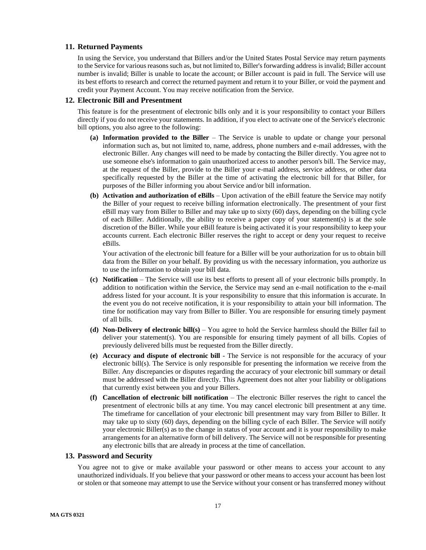### <span id="page-16-0"></span>**11. Returned Payments**

In using the Service, you understand that Billers and/or the United States Postal Service may return payments to the Service for various reasons such as, but not limited to, Biller's forwarding address isinvalid; Biller account number is invalid; Biller is unable to locate the account; or Biller account is paid in full. The Service will use its best efforts to research and correct the returned payment and return it to your Biller, or void the payment and credit your Payment Account. You may receive notification from the Service.

### <span id="page-16-1"></span>**12. Electronic Bill and Presentment**

This feature is for the presentment of electronic bills only and it is your responsibility to contact your Billers directly if you do not receive your statements. In addition, if you elect to activate one of the Service's electronic bill options, you also agree to the following:

- **(a) Information provided to the Biller** The Service is unable to update or change your personal information such as, but not limited to, name, address, phone numbers and e-mail addresses, with the electronic Biller. Any changes will need to be made by contacting the Biller directly. You agree not to use someone else's information to gain unauthorized access to another person's bill. The Service may, at the request of the Biller, provide to the Biller your e-mail address, service address, or other data specifically requested by the Biller at the time of activating the electronic bill for that Biller, for purposes of the Biller informing you about Service and/or bill information.
- **(b) Activation and authorization of eBills** Upon activation of the eBill feature the Service may notify the Biller of your request to receive billing information electronically. The presentment of your first eBill may vary from Biller to Biller and may take up to sixty (60) days, depending on the billing cycle of each Biller. Additionally, the ability to receive a paper copy of your statement(s) is at the sole discretion of the Biller. While your eBill feature is being activated it is your responsibility to keep your accounts current. Each electronic Biller reserves the right to accept or deny your request to receive eBills.

Your activation of the electronic bill feature for a Biller will be your authorization for us to obtain bill data from the Biller on your behalf. By providing us with the necessary information, you authorize us to use the information to obtain your bill data.

- **(c) Notification** The Service will use its best efforts to present all of your electronic bills promptly. In addition to notification within the Service, the Service may send an e-mail notification to the e-mail address listed for your account. It is your responsibility to ensure that this information is accurate. In the event you do not receive notification, it is your responsibility to attain your bill information. The time for notification may vary from Biller to Biller. You are responsible for ensuring timely payment of all bills.
- **(d) Non-Delivery of electronic bill(s)** You agree to hold the Service harmless should the Biller fail to deliver your statement(s). You are responsible for ensuring timely payment of all bills. Copies of previously delivered bills must be requested from the Biller directly.
- **(e) Accuracy and dispute of electronic bill** The Service is not responsible for the accuracy of your electronic bill(s). The Service is only responsible for presenting the information we receive from the Biller. Any discrepancies or disputes regarding the accuracy of your electronic bill summary or detail must be addressed with the Biller directly. This Agreement does not alter your liability or obligations that currently exist between you and your Billers.
- **(f) Cancellation of electronic bill notification** The electronic Biller reserves the right to cancel the presentment of electronic bills at any time. You may cancel electronic bill presentment at any time. The timeframe for cancellation of your electronic bill presentment may vary from Biller to Biller. It may take up to sixty (60) days, depending on the billing cycle of each Biller. The Service will notify your electronic Biller(s) as to the change in status of your account and it is your responsibility to make arrangements for an alternative form of bill delivery. The Service will not be responsible for presenting any electronic bills that are already in process at the time of cancellation.

### <span id="page-16-2"></span>**13. Password and Security**

You agree not to give or make available your password or other means to access your account to any unauthorized individuals. If you believe that your password or other means to access your account has been lost or stolen or that someone may attempt to use the Service without your consent or has transferred money without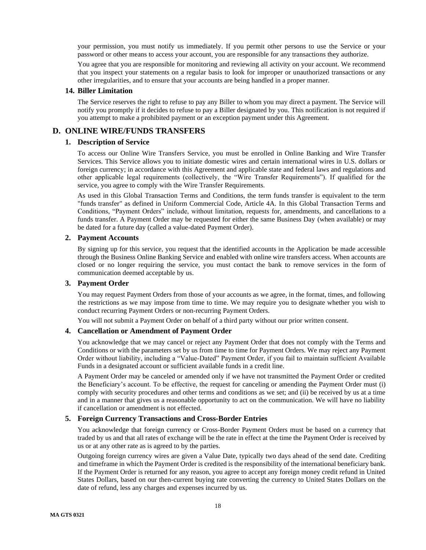your permission, you must notify us immediately. If you permit other persons to use the Service or your password or other means to access your account, you are responsible for any transactions they authorize.

You agree that you are responsible for monitoring and reviewing all activity on your account. We recommend that you inspect your statements on a regular basis to look for improper or unauthorized transactions or any other irregularities, and to ensure that your accounts are being handled in a proper manner.

### <span id="page-17-0"></span>**14. Biller Limitation**

The Service reserves the right to refuse to pay any Biller to whom you may direct a payment. The Service will notify you promptly if it decides to refuse to pay a Biller designated by you. This notification is not required if you attempt to make a prohibited payment or an exception payment under this Agreement.

## <span id="page-17-2"></span><span id="page-17-1"></span>**D. ONLINE WIRE/FUNDS TRANSFERS**

### **1. Description of Service**

To access our Online Wire Transfers Service, you must be enrolled in Online Banking and Wire Transfer Services. This Service allows you to initiate domestic wires and certain international wires in U.S. dollars or foreign currency; in accordance with this Agreement and applicable state and federal laws and regulations and other applicable legal requirements (collectively, the "Wire Transfer Requirements"). If qualified for the service, you agree to comply with the Wire Transfer Requirements.

As used in this Global Transaction Terms and Conditions, the term funds transfer is equivalent to the term "funds transfer" as defined in Uniform Commercial Code, Article 4A. In this Global Transaction Terms and Conditions, "Payment Orders" include, without limitation, requests for, amendments, and cancellations to a funds transfer. A Payment Order may be requested for either the same Business Day (when available) or may be dated for a future day (called a value-dated Payment Order).

#### <span id="page-17-3"></span>**2. Payment Accounts**

By signing up for this service, you request that the identified accounts in the Application be made accessible through the Business Online Banking Service and enabled with online wire transfers access. When accounts are closed or no longer requiring the service, you must contact the bank to remove services in the form of communication deemed acceptable by us.

#### <span id="page-17-4"></span>**3. Payment Order**

You may request Payment Orders from those of your accounts as we agree, in the format, times, and following the restrictions as we may impose from time to time. We may require you to designate whether you wish to conduct recurring Payment Orders or non-recurring Payment Orders.

You will not submit a Payment Order on behalf of a third party without our prior written consent.

### <span id="page-17-5"></span>**4. Cancellation or Amendment of Payment Order**

You acknowledge that we may cancel or reject any Payment Order that does not comply with the Terms and Conditions or with the parameters set by us from time to time for Payment Orders. We may reject any Payment Order without liability, including a "Value-Dated" Payment Order, if you fail to maintain sufficient Available Funds in a designated account or sufficient available funds in a credit line.

A Payment Order may be canceled or amended only if we have not transmitted the Payment Order or credited the Beneficiary's account. To be effective, the request for canceling or amending the Payment Order must (i) comply with security procedures and other terms and conditions as we set; and (ii) be received by us at a time and in a manner that gives us a reasonable opportunity to act on the communication. We will have no liability if cancellation or amendment is not effected.

### <span id="page-17-6"></span>**5. Foreign Currency Transactions and Cross-Border Entries**

You acknowledge that foreign currency or Cross-Border Payment Orders must be based on a currency that traded by us and that all rates of exchange will be the rate in effect at the time the Payment Order is received by us or at any other rate as is agreed to by the parties.

Outgoing foreign currency wires are given a Value Date, typically two days ahead of the send date. Crediting and timeframe in which the Payment Order is credited is the responsibility of the international beneficiary bank. If the Payment Order is returned for any reason, you agree to accept any foreign money credit refund in United States Dollars, based on our then-current buying rate converting the currency to United States Dollars on the date of refund, less any charges and expenses incurred by us.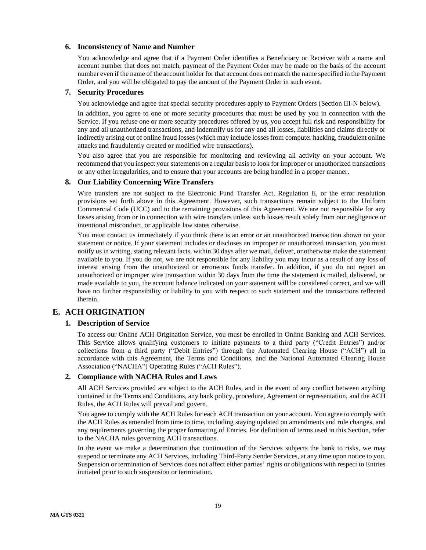### <span id="page-18-0"></span>**6. Inconsistency of Name and Number**

You acknowledge and agree that if a Payment Order identifies a Beneficiary or Receiver with a name and account number that does not match, payment of the Payment Order may be made on the basis of the account number even if the name of the account holder for that account does not match the name specified in the Payment Order, and you will be obligated to pay the amount of the Payment Order in such event.

## <span id="page-18-1"></span>**7. Security Procedures**

You acknowledge and agree that special security procedures apply to Payment Orders (Section III-N below).

In addition, you agree to one or more security procedures that must be used by you in connection with the Service. If you refuse one or more security procedures offered by us, you accept full risk and responsibility for any and all unauthorized transactions, and indemnify us for any and all losses, liabilities and claims directly or indirectly arising out of online fraud losses (which may include losses from computer hacking, fraudulent online attacks and fraudulently created or modified wire transactions).

You also agree that you are responsible for monitoring and reviewing all activity on your account. We recommend that you inspect your statements on a regular basis to look for improper or unauthorized transactions or any other irregularities, and to ensure that your accounts are being handled in a proper manner.

### <span id="page-18-2"></span>**8. Our Liability Concerning Wire Transfers**

Wire transfers are not subject to the Electronic Fund Transfer Act, Regulation E, or the error resolution provisions set forth above in this Agreement. However, such transactions remain subject to the Uniform Commercial Code (UCC) and to the remaining provisions of this Agreement. We are not responsible for any losses arising from or in connection with wire transfers unless such losses result solely from our negligence or intentional misconduct, or applicable law states otherwise.

You must contact us immediately if you think there is an error or an unauthorized transaction shown on your statement or notice. If your statement includes or discloses an improper or unauthorized transaction, you must notify us in writing, stating relevant facts, within 30 days after we mail, deliver, or otherwise make the statement available to you. If you do not, we are not responsible for any liability you may incur as a result of any loss of interest arising from the unauthorized or erroneous funds transfer. In addition, if you do not report an unauthorized or improper wire transaction within 30 days from the time the statement is mailed, delivered, or made available to you, the account balance indicated on your statement will be considered correct, and we will have no further responsibility or liability to you with respect to such statement and the transactions reflected therein.

# <span id="page-18-4"></span><span id="page-18-3"></span>**E. ACH ORIGINATION**

### **1. Description of Service**

To access our Online ACH Origination Service, you must be enrolled in Online Banking and ACH Services. This Service allows qualifying customers to initiate payments to a third party ("Credit Entries") and/or collections from a third party ("Debit Entries") through the Automated Clearing House ("ACH") all in accordance with this Agreement, the Terms and Conditions, and the National Automated Clearing House Association ("NACHA") Operating Rules ("ACH Rules").

### <span id="page-18-5"></span>**2. Compliance with NACHA Rules and Laws**

All ACH Services provided are subject to the ACH Rules, and in the event of any conflict between anything contained in the Terms and Conditions, any bank policy, procedure, Agreement or representation, and the ACH Rules, the ACH Rules will prevail and govern.

You agree to comply with the ACH Rules for each ACH transaction on your account. You agree to comply with the ACH Rules as amended from time to time, including staying updated on amendments and rule changes, and any requirements governing the proper formatting of Entries. For definition of terms used in this Section, refer to the NACHA rules governing ACH transactions.

In the event we make a determination that continuation of the Services subjects the bank to risks, we may suspend or terminate any ACH Services, including Third-Party Sender Services, at any time upon notice to you. Suspension or termination of Services does not affect either parties' rights or obligations with respect to Entries initiated prior to such suspension or termination.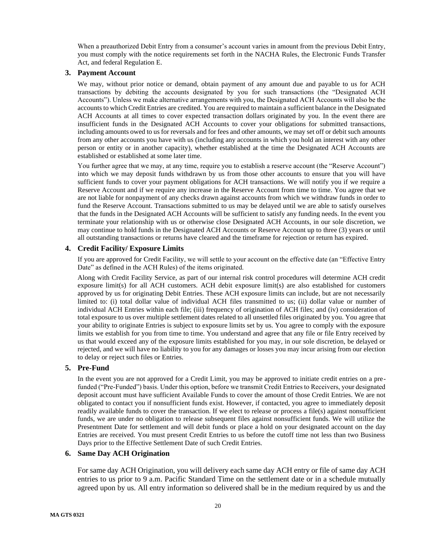When a preauthorized Debit Entry from a consumer's account varies in amount from the previous Debit Entry, you must comply with the notice requirements set forth in the NACHA Rules, the Electronic Funds Transfer Act, and federal Regulation E.

## <span id="page-19-0"></span>**3. Payment Account**

We may, without prior notice or demand, obtain payment of any amount due and payable to us for ACH transactions by debiting the accounts designated by you for such transactions (the "Designated ACH Accounts"). Unless we make alternative arrangements with you, the Designated ACH Accounts will also be the accounts to which Credit Entries are credited. You are required to maintain a sufficient balance in the Designated ACH Accounts at all times to cover expected transaction dollars originated by you. In the event there are insufficient funds in the Designated ACH Accounts to cover your obligations for submitted transactions, including amounts owed to us for reversals and for fees and other amounts, we may set off or debit such amounts from any other accounts you have with us (including any accounts in which you hold an interest with any other person or entity or in another capacity), whether established at the time the Designated ACH Accounts are established or established at some later time.

You further agree that we may, at any time, require you to establish a reserve account (the "Reserve Account") into which we may deposit funds withdrawn by us from those other accounts to ensure that you will have sufficient funds to cover your payment obligations for ACH transactions. We will notify you if we require a Reserve Account and if we require any increase in the Reserve Account from time to time. You agree that we are not liable for nonpayment of any checks drawn against accounts from which we withdraw funds in order to fund the Reserve Account. Transactions submitted to us may be delayed until we are able to satisfy ourselves that the funds in the Designated ACH Accounts will be sufficient to satisfy any funding needs. In the event you terminate your relationship with us or otherwise close Designated ACH Accounts, in our sole discretion, we may continue to hold funds in the Designated ACH Accounts or Reserve Account up to three (3) years or until all outstanding transactions or returns have cleared and the timeframe for rejection or return has expired.

### <span id="page-19-1"></span>**4. Credit Facility/ Exposure Limits**

If you are approved for Credit Facility, we will settle to your account on the effective date (an "Effective Entry Date" as defined in the ACH Rules) of the items originated.

Along with Credit Facility Service, as part of our internal risk control procedures will determine ACH credit exposure limit(s) for all ACH customers. ACH debit exposure limit(s) are also established for customers approved by us for originating Debit Entries. These ACH exposure limits can include, but are not necessarily limited to: (i) total dollar value of individual ACH files transmitted to us; (ii) dollar value or number of individual ACH Entries within each file; (iii) frequency of origination of ACH files; and (iv) consideration of total exposure to us over multiple settlement dates related to all unsettled files originated by you. You agree that your ability to originate Entries is subject to exposure limits set by us. You agree to comply with the exposure limits we establish for you from time to time. You understand and agree that any file or file Entry received by us that would exceed any of the exposure limits established for you may, in our sole discretion, be delayed or rejected, and we will have no liability to you for any damages or losses you may incur arising from our election to delay or reject such files or Entries.

### <span id="page-19-2"></span>**5. Pre-Fund**

In the event you are not approved for a Credit Limit, you may be approved to initiate credit entries on a prefunded ("Pre-Funded") basis. Under this option, before we transmit Credit Entries to Receivers, your designated deposit account must have sufficient Available Funds to cover the amount of those Credit Entries. We are not obligated to contact you if nonsufficient funds exist. However, if contacted, you agree to immediately deposit readily available funds to cover the transaction. If we elect to release or process a file(s) against nonsufficient funds, we are under no obligation to release subsequent files against nonsufficient funds. We will utilize the Presentment Date for settlement and will debit funds or place a hold on your designated account on the day Entries are received. You must present Credit Entries to us before the cutoff time not less than two Business Days prior to the Effective Settlement Date of such Credit Entries.

## <span id="page-19-3"></span>**6. Same Day ACH Origination**

For same day ACH Origination, you will delivery each same day ACH entry or file of same day ACH entries to us prior to 9 a.m. Pacific Standard Time on the settlement date or in a schedule mutually agreed upon by us. All entry information so delivered shall be in the medium required by us and the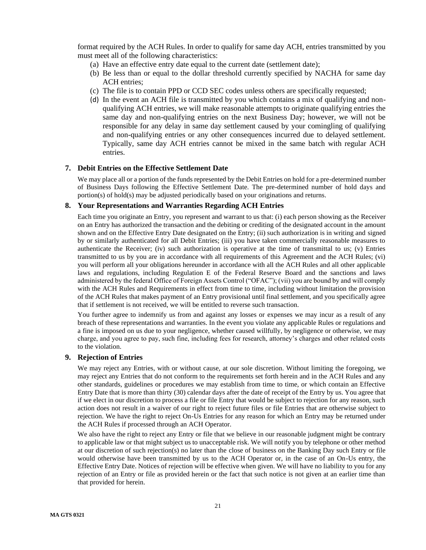format required by the ACH Rules. In order to qualify for same day ACH, entries transmitted by you must meet all of the following characteristics:

- (a) Have an effective entry date equal to the current date (settlement date);
- (b) Be less than or equal to the dollar threshold currently specified by NACHA for same day ACH entries;
- (c) The file is to contain PPD or CCD SEC codes unless others are specifically requested;
- (d) In the event an ACH file is transmitted by you which contains a mix of qualifying and nonqualifying ACH entries, we will make reasonable attempts to originate qualifying entries the same day and non-qualifying entries on the next Business Day; however, we will not be responsible for any delay in same day settlement caused by your comingling of qualifying and non-qualifying entries or any other consequences incurred due to delayed settlement. Typically, same day ACH entries cannot be mixed in the same batch with regular ACH entries.

## <span id="page-20-0"></span>**7. Debit Entries on the Effective Settlement Date**

We may place all or a portion of the funds represented by the Debit Entries on hold for a pre-determined number of Business Days following the Effective Settlement Date. The pre-determined number of hold days and portion(s) of hold(s) may be adjusted periodically based on your originations and returns.

## <span id="page-20-1"></span>**8. Your Representations and Warranties Regarding ACH Entries**

Each time you originate an Entry, you represent and warrant to us that: (i) each person showing as the Receiver on an Entry has authorized the transaction and the debiting or crediting of the designated account in the amount shown and on the Effective Entry Date designated on the Entry; (ii) such authorization is in writing and signed by or similarly authenticated for all Debit Entries; (iii) you have taken commercially reasonable measures to authenticate the Receiver; (iv) such authorization is operative at the time of transmittal to us; (v) Entries transmitted to us by you are in accordance with all requirements of this Agreement and the ACH Rules; (vi) you will perform all your obligations hereunder in accordance with all the ACH Rules and all other applicable laws and regulations, including Regulation E of the Federal Reserve Board and the sanctions and laws administered by the federal Office of Foreign Assets Control ("OFAC"); (vii) you are bound by and will comply with the ACH Rules and Requirements in effect from time to time, including without limitation the provision of the ACH Rules that makes payment of an Entry provisional until final settlement, and you specifically agree that if settlement is not received, we will be entitled to reverse such transaction.

You further agree to indemnify us from and against any losses or expenses we may incur as a result of any breach of these representations and warranties. In the event you violate any applicable Rules or regulations and a fine is imposed on us due to your negligence, whether caused willfully, by negligence or otherwise, we may charge, and you agree to pay, such fine, including fees for research, attorney's charges and other related costs to the violation.

### <span id="page-20-2"></span>**9. Rejection of Entries**

We may reject any Entries, with or without cause, at our sole discretion. Without limiting the foregoing, we may reject any Entries that do not conform to the requirements set forth herein and in the ACH Rules and any other standards, guidelines or procedures we may establish from time to time, or which contain an Effective Entry Date that is more than thirty (30) calendar days after the date of receipt of the Entry by us. You agree that if we elect in our discretion to process a file or file Entry that would be subject to rejection for any reason, such action does not result in a waiver of our right to reject future files or file Entries that are otherwise subject to rejection. We have the right to reject On-Us Entries for any reason for which an Entry may be returned under the ACH Rules if processed through an ACH Operator.

We also have the right to reject any Entry or file that we believe in our reasonable judgment might be contrary to applicable law or that might subject us to unacceptable risk. We will notify you by telephone or other method at our discretion of such rejection(s) no later than the close of business on the Banking Day such Entry or file would otherwise have been transmitted by us to the ACH Operator or, in the case of an On-Us entry, the Effective Entry Date. Notices of rejection will be effective when given. We will have no liability to you for any rejection of an Entry or file as provided herein or the fact that such notice is not given at an earlier time than that provided for herein.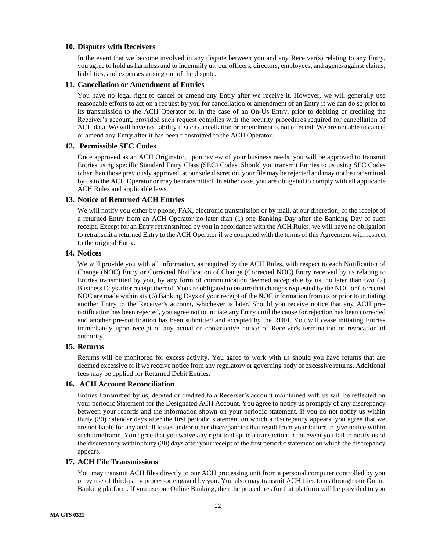### <span id="page-21-0"></span>**10. Disputes with Receivers**

In the event that we become involved in any dispute between you and any Receiver(s) relating to any Entry, you agree to hold us harmless and to indemnify us, our officers, directors, employees, and agents against claims, liabilities, and expenses arising out of the dispute.

### <span id="page-21-1"></span>**11. Cancellation or Amendment of Entries**

You have no legal right to cancel or amend any Entry after we receive it. However, we will generally use reasonable efforts to act on a request by you for cancellation or amendment of an Entry if we can do so prior to its transmission to the ACH Operator or, in the case of an On-Us Entry, prior to debiting or crediting the Receiver's account, provided such request complies with the security procedures required for cancellation of ACH data. We will have no liability if such cancellation or amendment is not effected. We are not able to cancel or amend any Entry after it has been transmitted to the ACH Operator.

#### **12. Permissible SEC Codes**

<span id="page-21-2"></span>Once approved as an ACH Originator, upon review of your business needs, you will be approved to transmit Entries using specific Standard Entry Class (SEC) Codes. Should you transmit Entries to us using SEC Codes other than those previously approved, at our sole discretion, your file may be rejected and may not be transmitted by us to the ACH Operator or may be transmitted. In either case, you are obligated to comply with all applicable ACH Rules and applicable laws.

### <span id="page-21-3"></span>**13. Notice of Returned ACH Entries**

We will notify you either by phone, FAX, electronic transmission or by mail, at our discretion, of the receipt of a returned Entry from an ACH Operator no later than (1) one Banking Day after the Banking Day of such receipt. Except for an Entry retransmitted by you in accordance with the ACH Rules, we will have no obligation to retransmit a returned Entry to the ACH Operator if we complied with the terms of this Agreement with respect to the original Entry.

### <span id="page-21-4"></span>**14. Notices**

We will provide you with all information, as required by the ACH Rules, with respect to each Notification of Change (NOC) Entry or Corrected Notification of Change (Corrected NOC) Entry received by us relating to Entries transmitted by you, by any form of communication deemed acceptable by us, no later than two (2) Business Days after receipt thereof. You are obligated to ensure that changes requested by the NOC or Corrected NOC are made within six (6) Banking Days of your receipt of the NOC information from us or prior to initiating another Entry to the Receiver's account, whichever is later. Should you receive notice that any ACH prenotification has been rejected, you agree not to initiate any Entry until the cause for rejection has been corrected and another pre-notification has been submitted and accepted by the RDFI. You will cease initiating Entries immediately upon receipt of any actual or constructive notice of Receiver's termination or revocation of authority.

### <span id="page-21-5"></span>**15. Returns**

Returns will be monitored for excess activity. You agree to work with us should you have returns that are deemed excessive or if we receive notice from any regulatory or governing body of excessive returns. Additional fees may be applied for Returned Debit Entries.

### **16. ACH Account Reconciliation**

<span id="page-21-6"></span>Entries transmitted by us, debited or credited to a Receiver's account maintained with us will be reflected on your periodic Statement for the Designated ACH Account. You agree to notify us promptly of any discrepancy between your records and the information shown on your periodic statement. If you do not notify us within thirty (30) calendar days after the first periodic statement on which a discrepancy appears, you agree that we are not liable for any and all losses and/or other discrepancies that result from your failure to give notice within such timeframe. You agree that you waive any right to dispute a transaction in the event you fail to notify us of the discrepancy within thirty (30) days after your receipt of the first periodic statement on which the discrepancy appears.

## <span id="page-21-7"></span>**17. ACH File Transmissions**

You may transmit ACH files directly to our ACH processing unit from a personal computer controlled by you or by use of third-party processor engaged by you. You also may transmit ACH files to us through our Online Banking platform. If you use our Online Banking, then the procedures for that platform will be provided to you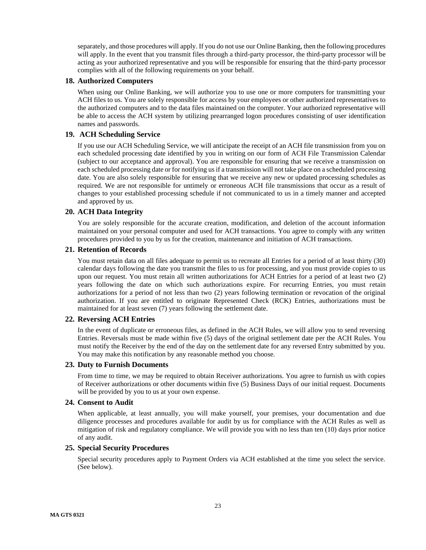separately, and those procedures will apply. If you do not use our Online Banking, then the following procedures will apply. In the event that you transmit files through a third-party processor, the third-party processor will be acting as your authorized representative and you will be responsible for ensuring that the third-party processor complies with all of the following requirements on your behalf.

## <span id="page-22-0"></span>**18. Authorized Computers**

When using our Online Banking, we will authorize you to use one or more computers for transmitting your ACH files to us. You are solely responsible for access by your employees or other authorized representatives to the authorized computers and to the data files maintained on the computer. Your authorized representative will be able to access the ACH system by utilizing prearranged logon procedures consisting of user identification names and passwords.

## **19. ACH Scheduling Service**

<span id="page-22-1"></span>If you use our ACH Scheduling Service, we will anticipate the receipt of an ACH file transmission from you on each scheduled processing date identified by you in writing on our form of ACH File Transmission Calendar (subject to our acceptance and approval). You are responsible for ensuring that we receive a transmission on each scheduled processing date or for notifying us if a transmission will not take place on a scheduled processing date. You are also solely responsible for ensuring that we receive any new or updated processing schedules as required. We are not responsible for untimely or erroneous ACH file transmissions that occur as a result of changes to your established processing schedule if not communicated to us in a timely manner and accepted and approved by us.

## <span id="page-22-2"></span>**20. ACH Data Integrity**

You are solely responsible for the accurate creation, modification, and deletion of the account information maintained on your personal computer and used for ACH transactions. You agree to comply with any written procedures provided to you by us for the creation, maintenance and initiation of ACH transactions.

### <span id="page-22-3"></span>**21. Retention of Records**

You must retain data on all files adequate to permit us to recreate all Entries for a period of at least thirty (30) calendar days following the date you transmit the files to us for processing, and you must provide copies to us upon our request. You must retain all written authorizations for ACH Entries for a period of at least two (2) years following the date on which such authorizations expire. For recurring Entries, you must retain authorizations for a period of not less than two (2) years following termination or revocation of the original authorization. If you are entitled to originate Represented Check (RCK) Entries, authorizations must be maintained for at least seven (7) years following the settlement date.

## <span id="page-22-4"></span>**22. Reversing ACH Entries**

In the event of duplicate or erroneous files, as defined in the ACH Rules, we will allow you to send reversing Entries. Reversals must be made within five (5) days of the original settlement date per the ACH Rules. You must notify the Receiver by the end of the day on the settlement date for any reversed Entry submitted by you. You may make this notification by any reasonable method you choose.

### <span id="page-22-5"></span>**23. Duty to Furnish Documents**

From time to time, we may be required to obtain Receiver authorizations. You agree to furnish us with copies of Receiver authorizations or other documents within five (5) Business Days of our initial request. Documents will be provided by you to us at your own expense.

## <span id="page-22-6"></span>**24. Consent to Audit**

When applicable, at least annually, you will make yourself, your premises, your documentation and due diligence processes and procedures available for audit by us for compliance with the ACH Rules as well as mitigation of risk and regulatory compliance. We will provide you with no less than ten (10) days prior notice of any audit.

## <span id="page-22-7"></span>**25. Special Security Procedures**

Special security procedures apply to Payment Orders via ACH established at the time you select the service. (See below).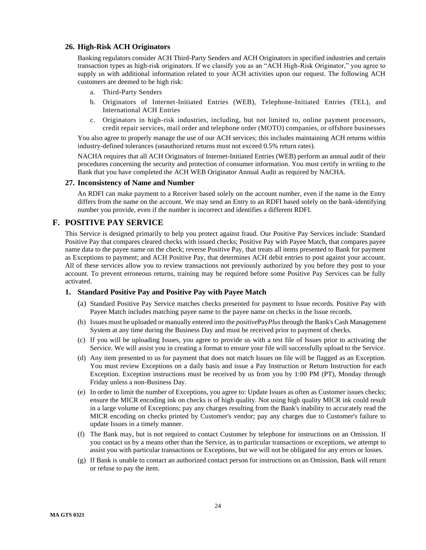### <span id="page-23-0"></span>**26. High-Risk ACH Originators**

Banking regulators consider ACH Third-Party Senders and ACH Originators in specified industries and certain transaction types as high-risk originators. If we classify you as an "ACH High-Risk Originator," you agree to supply us with additional information related to your ACH activities upon our request. The following ACH customers are deemed to be high risk:

- a. Third-Party Senders
- b. Originators of Internet-Initiated Entries (WEB), Telephone-Initiated Entries (TEL), and International ACH Entries
- c. Originators in high-risk industries, including, but not limited to, online payment processors, credit repair services, mail order and telephone order (MOTO) companies, or offshore businesses

You also agree to properly manage the use of our ACH services; this includes maintaining ACH returns within industry-defined tolerances (unauthorized returns must not exceed 0.5% return rates).

NACHA requires that all ACH Originators of Internet-Initiated Entries (WEB) perform an annual audit of their procedures concerning the security and protection of consumer information. You must certify in writing to the Bank that you have completed the ACH WEB Originator Annual Audit as required by NACHA.

### <span id="page-23-1"></span>**27. Inconsistency of Name and Number**

An RDFI can make payment to a Receiver based solely on the account number, even if the name in the Entry differs from the name on the account. We may send an Entry to an RDFI based solely on the bank-identifying number you provide, even if the number is incorrect and identifies a different RDFI.

## <span id="page-23-2"></span>**F. POSITIVE PAY SERVICE**

This Service is designed primarily to help you protect against fraud. Our Positive Pay Services include: Standard Positive Pay that compares cleared checks with issued checks; Positive Pay with Payee Match, that compares payee name data to the payee name on the check; reverse Positive Pay, that treats all items presented to Bank for payment as Exceptions to payment; and ACH Positive Pay, that determines ACH debit entries to post against your account. All of these services allow you to review transactions not previously authorized by you before they post to your account. To prevent erroneous returns, training may be required before some Positive Pay Services can be fully activated.

## <span id="page-23-3"></span>**1. Standard Positive Pay and Positive Pay with Payee Match**

- (a) Standard Positive Pay Service matches checks presented for payment to Issue records. Positive Pay with Payee Match includes matching payee name to the payee name on checks in the Issue records.
- (b) Issues must be uploaded or manually entered into the *positive*Pay*Plus*through the Bank's Cash Management System at any time during the Business Day and must be received prior to payment of checks.
- (c) If you will be uploading Issues, you agree to provide us with a test file of Issues prior to activating the Service. We will assist you in creating a format to ensure your file will successfully upload to the Service.
- (d) Any item presented to us for payment that does not match Issues on file will be flagged as an Exception. You must review Exceptions on a daily basis and issue a Pay Instruction or Return Instruction for each Exception. Exception instructions must be received by us from you by 1:00 PM (PT), Monday through Friday unless a non-Business Day.
- (e) In order to limit the number of Exceptions, you agree to: Update Issues as often as Customer issues checks; ensure the MICR encoding ink on checks is of high quality. Not using high quality MICR ink could result in a large volume of Exceptions; pay any charges resulting from the Bank's inability to accurately read the MICR encoding on checks printed by Customer's vendor; pay any charges due to Customer's failure to update Issues in a timely manner.
- (f) The Bank may, but is not required to contact Customer by telephone for instructions on an Omission. If you contact us by a means other than the Service, as to particular transactions or exceptions, we attempt to assist you with particular transactions or Exceptions, but we will not be obligated for any errors or losses.
- (g) If Bank is unable to contact an authorized contact person for instructions on an Omission, Bank will return or refuse to pay the item.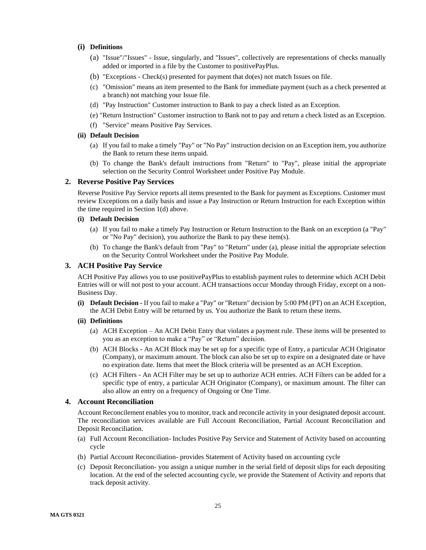### **(i) Definitions**

- (a) "Issue"/"Issues" Issue, singularly, and "Issues", collectively are representations of checks manually added or imported in a file by the Customer to positivePayPlus.
- (b) "Exceptions Check(s) presented for payment that do(es) not match Issues on file.
- (c) "Omission" means an item presented to the Bank for immediate payment (such as a check presented at a branch) not matching your Issue file.
- (d) "Pay Instruction" Customer instruction to Bank to pay a check listed as an Exception.
- (e) "Return Instruction" Customer instruction to Bank not to pay and return a check listed as an Exception.
- (f) "Service" means Positive Pay Services.

#### **(ii) Default Decision**

- (a) If you fail to make a timely "Pay" or "No Pay" instruction decision on an Exception item, you authorize the Bank to return these items unpaid.
- (b) To change the Bank's default instructions from "Return" to "Pay", please initial the appropriate selection on the Security Control Worksheet under Positive Pay Module.

#### <span id="page-24-0"></span>**2. Reverse Positive Pay Services**

Reverse Positive Pay Service reports all items presented to the Bank for payment as Exceptions. Customer must review Exceptions on a daily basis and issue a Pay Instruction or Return Instruction for each Exception within the time required in Section 1(d) above.

#### **(i) Default Decision**

- (a) If you fail to make a timely Pay Instruction or Return Instruction to the Bank on an exception (a "Pay" or "No Pay" decision), you authorize the Bank to pay these item(s).
- (b) To change the Bank's default from "Pay" to "Return" under (a), please initial the appropriate selection on the Security Control Worksheet under the Positive Pay Module.

### <span id="page-24-1"></span>**3. ACH Positive Pay Service**

ACH Positive Pay allows you to use positivePayPlus to establish payment rules to determine which ACH Debit Entries will or will not post to your account. ACH transactions occur Monday through Friday, except on a non-Business Day.

**(i) Default Decision -** If you fail to make a "Pay" or "Return" decision by 5:00 PM (PT) on an ACH Exception, the ACH Debit Entry will be returned by us. You authorize the Bank to return these items.

#### **(ii) Definitions**

- (a) ACH Exception An ACH Debit Entry that violates a payment rule. These items will be presented to you as an exception to make a "Pay" or "Return" decision.
- (b) ACH Blocks An ACH Block may be set up for a specific type of Entry, a particular ACH Originator (Company), or maximum amount. The block can also be set up to expire on a designated date or have no expiration date. Items that meet the Block criteria will be presented as an ACH Exception.
- (c) ACH Filters An ACH Filter may be set up to authorize ACH entries. ACH Filters can be added for a specific type of entry, a particular ACH Originator (Company), or maximum amount. The filter can also allow an entry on a frequency of Ongoing or One Time.

### <span id="page-24-2"></span>**4. Account Reconciliation**

Account Reconcilement enables you to monitor, track and reconcile activity in your designated deposit account. The reconciliation services available are Full Account Reconciliation, Partial Account Reconciliation and Deposit Reconciliation.

- (a) Full Account Reconciliation- Includes Positive Pay Service and Statement of Activity based on accounting cycle
- (b) Partial Account Reconciliation- provides Statement of Activity based on accounting cycle
- (c) Deposit Reconciliation- you assign a unique number in the serial field of deposit slips for each depositing location. At the end of the selected accounting cycle, we provide the Statement of Activity and reports that track deposit activity.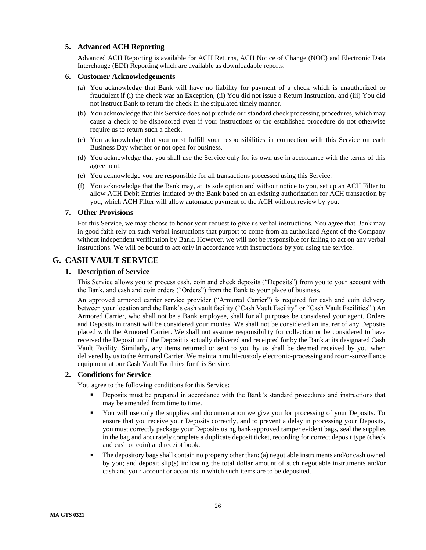## <span id="page-25-0"></span>**5. Advanced ACH Reporting**

Advanced ACH Reporting is available for ACH Returns, ACH Notice of Change (NOC) and Electronic Data Interchange (EDI) Reporting which are available as downloadable reports.

## <span id="page-25-1"></span>**6. Customer Acknowledgements**

- (a) You acknowledge that Bank will have no liability for payment of a check which is unauthorized or fraudulent if (i) the check was an Exception, (ii) You did not issue a Return Instruction, and (iii) You did not instruct Bank to return the check in the stipulated timely manner.
- (b) You acknowledge that this Service does not preclude our standard check processing procedures, which may cause a check to be dishonored even if your instructions or the established procedure do not otherwise require us to return such a check.
- (c) You acknowledge that you must fulfill your responsibilities in connection with this Service on each Business Day whether or not open for business.
- (d) You acknowledge that you shall use the Service only for its own use in accordance with the terms of this agreement.
- (e) You acknowledge you are responsible for all transactions processed using this Service.
- (f) You acknowledge that the Bank may, at its sole option and without notice to you, set up an ACH Filter to allow ACH Debit Entries initiated by the Bank based on an existing authorization for ACH transaction by you, which ACH Filter will allow automatic payment of the ACH without review by you.

### <span id="page-25-2"></span>**7. Other Provisions**

For this Service, we may choose to honor your request to give us verbal instructions. You agree that Bank may in good faith rely on such verbal instructions that purport to come from an authorized Agent of the Company without independent verification by Bank. However, we will not be responsible for failing to act on any verbal instructions. We will be bound to act only in accordance with instructions by you using the service.

# <span id="page-25-4"></span><span id="page-25-3"></span>**G. CASH VAULT SERVICE**

## **1. Description of Service**

This Service allows you to process cash, coin and check deposits ("Deposits") from you to your account with the Bank, and cash and coin orders ("Orders") from the Bank to your place of business.

An approved armored carrier service provider ("Armored Carrier") is required for cash and coin delivery between your location and the Bank's cash vault facility ("Cash Vault Facility" or "Cash Vault Facilities".) An Armored Carrier, who shall not be a Bank employee, shall for all purposes be considered your agent. Orders and Deposits in transit will be considered your monies. We shall not be considered an insurer of any Deposits placed with the Armored Carrier. We shall not assume responsibility for collection or be considered to have received the Deposit until the Deposit is actually delivered and receipted for by the Bank at its designated Cash Vault Facility. Similarly, any items returned or sent to you by us shall be deemed received by you when delivered by us to the Armored Carrier. We maintain multi-custody electronic-processing and room-surveillance equipment at our Cash Vault Facilities for this Service.

## <span id="page-25-5"></span>**2. Conditions for Service**

You agree to the following conditions for this Service:

- **•** Deposits must be prepared in accordance with the Bank's standard procedures and instructions that may be amended from time to time.
- You will use only the supplies and documentation we give you for processing of your Deposits. To ensure that you receive your Deposits correctly, and to prevent a delay in processing your Deposits, you must correctly package your Deposits using bank-approved tamper evident bags, seal the supplies in the bag and accurately complete a duplicate deposit ticket, recording for correct deposit type (check and cash or coin) and receipt book.
- The depository bags shall contain no property other than: (a) negotiable instruments and/or cash owned by you; and deposit slip(s) indicating the total dollar amount of such negotiable instruments and/or cash and your account or accounts in which such items are to be deposited.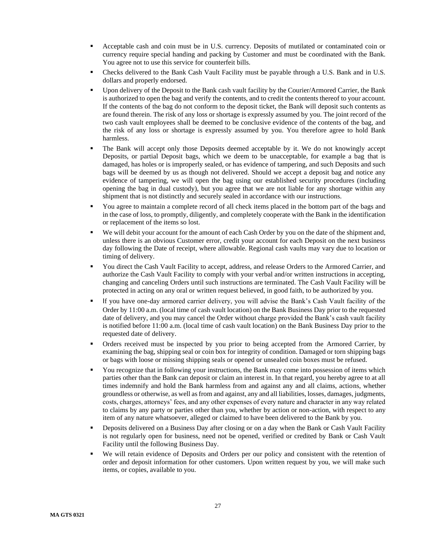- Acceptable cash and coin must be in U.S. currency. Deposits of mutilated or contaminated coin or currency require special handing and packing by Customer and must be coordinated with the Bank. You agree not to use this service for counterfeit bills.
- Checks delivered to the Bank Cash Vault Facility must be payable through a U.S. Bank and in U.S. dollars and properly endorsed.
- Upon delivery of the Deposit to the Bank cash vault facility by the Courier/Armored Carrier, the Bank is authorized to open the bag and verify the contents, and to credit the contents thereof to your account. If the contents of the bag do not conform to the deposit ticket, the Bank will deposit such contents as are found therein. The risk of any loss or shortage is expressly assumed by you. The joint record of the two cash vault employees shall be deemed to be conclusive evidence of the contents of the bag, and the risk of any loss or shortage is expressly assumed by you. You therefore agree to hold Bank harmless.
- The Bank will accept only those Deposits deemed acceptable by it. We do not knowingly accept Deposits, or partial Deposit bags, which we deem to be unacceptable, for example a bag that is damaged, has holes or is improperly sealed, or has evidence of tampering, and such Deposits and such bags will be deemed by us as though not delivered. Should we accept a deposit bag and notice any evidence of tampering, we will open the bag using our established security procedures (including opening the bag in dual custody), but you agree that we are not liable for any shortage within any shipment that is not distinctly and securely sealed in accordance with our instructions.
- You agree to maintain a complete record of all check items placed in the bottom part of the bags and in the case of loss, to promptly, diligently, and completely cooperate with the Bank in the identification or replacement of the items so lost.
- We will debit your account for the amount of each Cash Order by you on the date of the shipment and, unless there is an obvious Customer error, credit your account for each Deposit on the next business day following the Date of receipt, where allowable. Regional cash vaults may vary due to location or timing of delivery.
- You direct the Cash Vault Facility to accept, address, and release Orders to the Armored Carrier, and authorize the Cash Vault Facility to comply with your verbal and/or written instructions in accepting, changing and canceling Orders until such instructions are terminated. The Cash Vault Facility will be protected in acting on any oral or written request believed, in good faith, to be authorized by you.
- If you have one-day armored carrier delivery, you will advise the Bank's Cash Vault facility of the Order by 11:00 a.m. (local time of cash vault location) on the Bank Business Day prior to the requested date of delivery, and you may cancel the Order without charge provided the Bank's cash vault facility is notified before 11:00 a.m. (local time of cash vault location) on the Bank Business Day prior to the requested date of delivery.
- Orders received must be inspected by you prior to being accepted from the Armored Carrier, by examining the bag, shipping seal or coin box for integrity of condition. Damaged or torn shipping bags or bags with loose or missing shipping seals or opened or unsealed coin boxes must be refused.
- You recognize that in following your instructions, the Bank may come into possession of items which parties other than the Bank can deposit or claim an interest in. In that regard, you hereby agree to at all times indemnify and hold the Bank harmless from and against any and all claims, actions, whether groundless or otherwise, as well as from and against, any and all liabilities, losses, damages, judgments, costs, charges, attorneys' fees, and any other expenses of every nature and character in any way related to claims by any party or parties other than you, whether by action or non-action, with respect to any item of any nature whatsoever, alleged or claimed to have been delivered to the Bank by you.
- Deposits delivered on a Business Day after closing or on a day when the Bank or Cash Vault Facility is not regularly open for business, need not be opened, verified or credited by Bank or Cash Vault Facility until the following Business Day.
- We will retain evidence of Deposits and Orders per our policy and consistent with the retention of order and deposit information for other customers. Upon written request by you, we will make such items, or copies, available to you.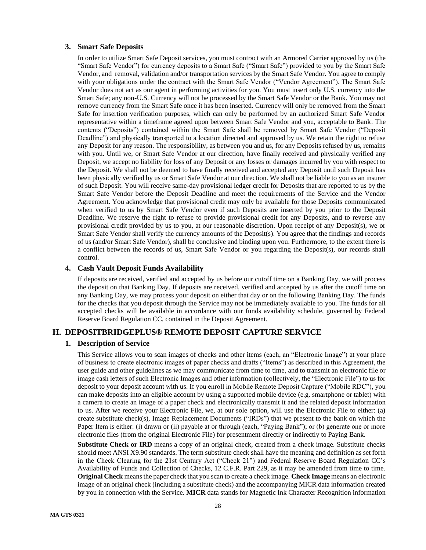### <span id="page-27-0"></span>**3. Smart Safe Deposits**

In order to utilize Smart Safe Deposit services, you must contract with an Armored Carrier approved by us (the "Smart Safe Vendor") for currency deposits to a Smart Safe ("Smart Safe") provided to you by the Smart Safe Vendor, and removal, validation and/or transportation services by the Smart Safe Vendor. You agree to comply with your obligations under the contract with the Smart Safe Vendor ("Vendor Agreement"). The Smart Safe Vendor does not act as our agent in performing activities for you. You must insert only U.S. currency into the Smart Safe; any non-U.S. Currency will not be processed by the Smart Safe Vendor or the Bank. You may not remove currency from the Smart Safe once it has been inserted. Currency will only be removed from the Smart Safe for insertion verification purposes, which can only be performed by an authorized Smart Safe Vendor representative within a timeframe agreed upon between Smart Safe Vendor and you, acceptable to Bank. The contents ("Deposits") contained within the Smart Safe shall be removed by Smart Safe Vendor ("Deposit Deadline") and physically transported to a location directed and approved by us. We retain the right to refuse any Deposit for any reason. The responsibility, as between you and us, for any Deposits refused by us, remains with you. Until we, or Smart Safe Vendor at our direction, have finally received and physically verified any Deposit, we accept no liability for loss of any Deposit or any losses or damages incurred by you with respect to the Deposit. We shall not be deemed to have finally received and accepted any Deposit until such Deposit has been physically verified by us or Smart Safe Vendor at our direction. We shall not be liable to you as an insurer of such Deposit. You will receive same-day provisional ledger credit for Deposits that are reported to us by the Smart Safe Vendor before the Deposit Deadline and meet the requirements of the Service and the Vendor Agreement. You acknowledge that provisional credit may only be available for those Deposits communicated when verified to us by Smart Safe Vendor even if such Deposits are inserted by you prior to the Deposit Deadline. We reserve the right to refuse to provide provisional credit for any Deposits, and to reverse any provisional credit provided by us to you, at our reasonable discretion. Upon receipt of any Deposit(s), we or Smart Safe Vendor shall verify the currency amounts of the Deposit(s). You agree that the findings and records of us (and/or Smart Safe Vendor), shall be conclusive and binding upon you. Furthermore, to the extent there is a conflict between the records of us, Smart Safe Vendor or you regarding the Deposit(s), our records shall control.

### <span id="page-27-1"></span>**4. Cash Vault Deposit Funds Availability**

If deposits are received, verified and accepted by us before our cutoff time on a Banking Day, we will process the deposit on that Banking Day. If deposits are received, verified and accepted by us after the cutoff time on any Banking Day, we may process your deposit on either that day or on the following Banking Day. The funds for the checks that you deposit through the Service may not be immediately available to you. The funds for all accepted checks will be available in accordance with our funds availability schedule, governed by Federal Reserve Board Regulation CC, contained in the Deposit Agreement.

## <span id="page-27-3"></span><span id="page-27-2"></span>**H. DEPOSITBRIDGEPLUS® REMOTE DEPOSIT CAPTURE SERVICE**

## **1. Description of Service**

This Service allows you to scan images of checks and other items (each, an "Electronic Image") at your place of business to create electronic images of paper checks and drafts ("Items") as described in this Agreement, the user guide and other guidelines as we may communicate from time to time, and to transmit an electronic file or image cash letters of such Electronic Images and other information (collectively, the "Electronic File") to us for deposit to your deposit account with us. If you enroll in Mobile Remote Deposit Capture ("Mobile RDC"), you can make deposits into an eligible account by using a supported mobile device (e.g. smartphone or tablet) with a camera to create an image of a paper check and electronically transmit it and the related deposit information to us. After we receive your Electronic File, we, at our sole option, will use the Electronic File to either: (a) create substitute check(s), Image Replacement Documents ("IRDs") that we present to the bank on which the Paper Item is either: (i) drawn or (ii) payable at or through (each, "Paying Bank"); or (b) generate one or more electronic files (from the original Electronic File) for presentment directly or indirectly to Paying Bank.

**Substitute Check or IRD** means a copy of an original check, created from a check image. Substitute checks should meet ANSI X9.90 standards. The term substitute check shall have the meaning and definition as set forth in the Check Clearing for the 21st Century Act ("Check 21") and Federal Reserve Board Regulation CC's Availability of Funds and Collection of Checks, 12 C.F.R. Part 229, as it may be amended from time to time. **Original Check** means the paper check that you scan to create a check image. **Check Image** means an electronic image of an original check (including a substitute check) and the accompanying MICR data information created by you in connection with the Service. **MICR** data stands for Magnetic Ink Character Recognition information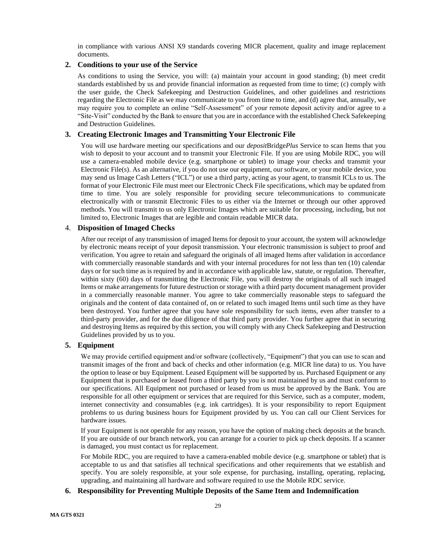in compliance with various ANSI X9 standards covering MICR placement, quality and image replacement documents.

### <span id="page-28-0"></span>**2. Conditions to your use of the Service**

As conditions to using the Service, you will: (a) maintain your account in good standing; (b) meet credit standards established by us and provide financial information as requested from time to time; (c) comply with the user guide, the Check Safekeeping and Destruction Guidelines, and other guidelines and restrictions regarding the Electronic File as we may communicate to you from time to time, and (d) agree that, annually, we may require you to complete an online "Self-Assessment" of your remote deposit activity and/or agree to a "Site-Visit" conducted by the Bank to ensure that you are in accordance with the established Check Safekeeping and Destruction Guidelines.

## <span id="page-28-1"></span>**3. Creating Electronic Images and Transmitting Your Electronic File**

You will use hardware meeting our specifications and our *deposit*Bridge*Plus* Service to scan Items that you wish to deposit to your account and to transmit your Electronic File. If you are using Mobile RDC, you will use a camera-enabled mobile device (e.g. smartphone or tablet) to image your checks and transmit your Electronic File(s). As an alternative, if you do not use our equipment, our software, or your mobile device, you may send us Image Cash Letters ("ICL") or use a third party, acting as your agent, to transmit ICLs to us. The format of your Electronic File must meet our Electronic Check File specifications, which may be updated from time to time. You are solely responsible for providing secure telecommunications to communicate electronically with or transmit Electronic Files to us either via the Internet or through our other approved methods. You will transmit to us only Electronic Images which are suitable for processing, including, but not limited to, Electronic Images that are legible and contain readable MICR data.

### <span id="page-28-2"></span>4. **Disposition of Imaged Checks**

After our receipt of any transmission of imaged Items for deposit to your account, the system will acknowledge by electronic means receipt of your deposit transmission. Your electronic transmission is subject to proof and verification. You agree to retain and safeguard the originals of all imaged Items after validation in accordance with commercially reasonable standards and with your internal procedures for not less than ten (10) calendar days or for such time as is required by and in accordance with applicable law, statute, or regulation. Thereafter, within sixty (60) days of transmitting the Electronic File, you will destroy the originals of all such imaged Items or make arrangements for future destruction or storage with a third party document management provider in a commercially reasonable manner. You agree to take commercially reasonable steps to safeguard the originals and the content of data contained of, on or related to such imaged Items until such time as they have been destroyed. You further agree that you have sole responsibility for such items, even after transfer to a third-party provider, and for the due diligence of that third party provider. You further agree that in securing and destroying Items as required by this section, you will comply with any Check Safekeeping and Destruction Guidelines provided by us to you.

### <span id="page-28-3"></span>**5. Equipment**

We may provide certified equipment and/or software (collectively, "Equipment") that you can use to scan and transmit images of the front and back of checks and other information (e.g. MICR line data) to us. You have the option to lease or buy Equipment. Leased Equipment will be supported by us. Purchased Equipment or any Equipment that is purchased or leased from a third party by you is not maintained by us and must conform to our specifications. All Equipment not purchased or leased from us must be approved by the Bank. You are responsible for all other equipment or services that are required for this Service, such as a computer, modem, internet connectivity and consumables (e.g. ink cartridges). It is your responsibility to report Equipment problems to us during business hours for Equipment provided by us. You can call our Client Services for hardware issues.

If your Equipment is not operable for any reason, you have the option of making check deposits at the branch. If you are outside of our branch network, you can arrange for a courier to pick up check deposits. If a scanner is damaged, you must contact us for replacement.

For Mobile RDC, you are required to have a camera-enabled mobile device (e.g. smartphone or tablet) that is acceptable to us and that satisfies all technical specifications and other requirements that we establish and specify. You are solely responsible, at your sole expense, for purchasing, installing, operating, replacing, upgrading, and maintaining all hardware and software required to use the Mobile RDC service.

## <span id="page-28-4"></span>**6. Responsibility for Preventing Multiple Deposits of the Same Item and Indemnification**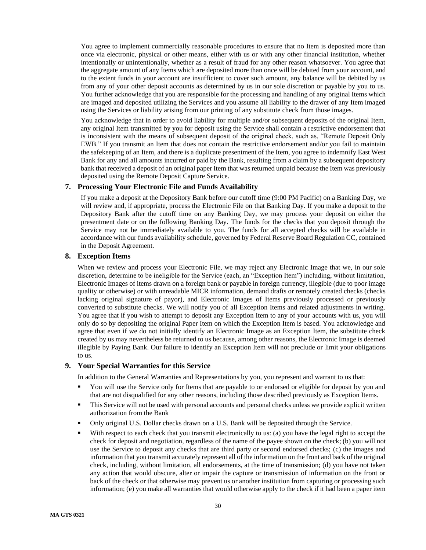You agree to implement commercially reasonable procedures to ensure that no Item is deposited more than once via electronic, physical or other means, either with us or with any other financial institution, whether intentionally or unintentionally, whether as a result of fraud for any other reason whatsoever. You agree that the aggregate amount of any Items which are deposited more than once will be debited from your account, and to the extent funds in your account are insufficient to cover such amount, any balance will be debited by us from any of your other deposit accounts as determined by us in our sole discretion or payable by you to us. You further acknowledge that you are responsible for the processing and handling of any original Items which are imaged and deposited utilizing the Services and you assume all liability to the drawer of any Item imaged using the Services or liability arising from our printing of any substitute check from those images.

You acknowledge that in order to avoid liability for multiple and/or subsequent deposits of the original Item, any original Item transmitted by you for deposit using the Service shall contain a restrictive endorsement that is inconsistent with the means of subsequent deposit of the original check, such as, "Remote Deposit Only EWB." If you transmit an Item that does not contain the restrictive endorsement and/or you fail to maintain the safekeeping of an Item, and there is a duplicate presentment of the Item, you agree to indemnify East West Bank for any and all amounts incurred or paid by the Bank, resulting from a claim by a subsequent depository bank that received a deposit of an original paper Item that was returned unpaid because the Item was previously deposited using the Remote Deposit Capture Service.

### <span id="page-29-0"></span>**7. Processing Your Electronic File and Funds Availability**

If you make a deposit at the Depository Bank before our cutoff time (9:00 PM Pacific) on a Banking Day, we will review and, if appropriate, process the Electronic File on that Banking Day. If you make a deposit to the Depository Bank after the cutoff time on any Banking Day, we may process your deposit on either the presentment date or on the following Banking Day. The funds for the checks that you deposit through the Service may not be immediately available to you. The funds for all accepted checks will be available in accordance with our funds availability schedule, governed by Federal Reserve Board Regulation CC, contained in the Deposit Agreement.

### <span id="page-29-1"></span>**8. Exception Items**

When we review and process your Electronic File, we may reject any Electronic Image that we, in our sole discretion, determine to be ineligible for the Service (each, an "Exception Item") including, without limitation, Electronic Images of items drawn on a foreign bank or payable in foreign currency, illegible (due to poor image quality or otherwise) or with unreadable MICR information, demand drafts or remotely created checks (checks lacking original signature of payor), and Electronic Images of Items previously processed or previously converted to substitute checks. We will notify you of all Exception Items and related adjustments in writing. You agree that if you wish to attempt to deposit any Exception Item to any of your accounts with us, you will only do so by depositing the original Paper Item on which the Exception Item is based. You acknowledge and agree that even if we do not initially identify an Electronic Image as an Exception Item, the substitute check created by us may nevertheless be returned to us because, among other reasons, the Electronic Image is deemed illegible by Paying Bank. Our failure to identify an Exception Item will not preclude or limit your obligations to us.

### <span id="page-29-2"></span>**9. Your Special Warranties for this Service**

In addition to the General Warranties and Representations by you, you represent and warrant to us that:

- You will use the Service only for Items that are payable to or endorsed or eligible for deposit by you and that are not disqualified for any other reasons, including those described previously as Exception Items.
- This Service will not be used with personal accounts and personal checks unless we provide explicit written authorization from the Bank
- Only original U.S. Dollar checks drawn on a U.S. Bank will be deposited through the Service.
- With respect to each check that you transmit electronically to us: (a) you have the legal right to accept the check for deposit and negotiation, regardless of the name of the payee shown on the check; (b) you will not use the Service to deposit any checks that are third party or second endorsed checks; (c) the images and information that you transmit accurately represent all of the information on the front and back of the original check, including, without limitation, all endorsements, at the time of transmission; (d) you have not taken any action that would obscure, alter or impair the capture or transmission of information on the front or back of the check or that otherwise may prevent us or another institution from capturing or processing such information; (e) you make all warranties that would otherwise apply to the check if it had been a paper item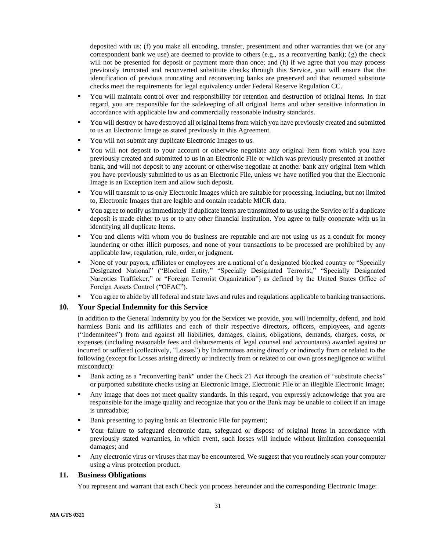deposited with us; (f) you make all encoding, transfer, presentment and other warranties that we (or any correspondent bank we use) are deemed to provide to others (e.g., as a reconverting bank); (g) the check will not be presented for deposit or payment more than once; and (h) if we agree that you may process previously truncated and reconverted substitute checks through this Service, you will ensure that the identification of previous truncating and reconverting banks are preserved and that returned substitute checks meet the requirements for legal equivalency under Federal Reserve Regulation CC.

- You will maintain control over and responsibility for retention and destruction of original Items. In that regard, you are responsible for the safekeeping of all original Items and other sensitive information in accordance with applicable law and commercially reasonable industry standards.
- You will destroy or have destroyed all original Items from which you have previously created and submitted to us an Electronic Image as stated previously in this Agreement.
- You will not submit any duplicate Electronic Images to us.
- You will not deposit to your account or otherwise negotiate any original Item from which you have previously created and submitted to us in an Electronic File or which was previously presented at another bank, and will not deposit to any account or otherwise negotiate at another bank any original Item which you have previously submitted to us as an Electronic File, unless we have notified you that the Electronic Image is an Exception Item and allow such deposit.
- You will transmit to us only Electronic Images which are suitable for processing, including, but not limited to, Electronic Images that are legible and contain readable MICR data.
- You agree to notify us immediately if duplicate Items are transmitted to us using the Service or if a duplicate deposit is made either to us or to any other financial institution. You agree to fully cooperate with us in identifying all duplicate Items.
- You and clients with whom you do business are reputable and are not using us as a conduit for money laundering or other illicit purposes, and none of your transactions to be processed are prohibited by any applicable law, regulation, rule, order, or judgment.
- None of your payors, affiliates or employees are a national of a designated blocked country or "Specially Designated National" ("Blocked Entity," "Specially Designated Terrorist," "Specially Designated Narcotics Trafficker," or "Foreign Terrorist Organization") as defined by the United States Office of Foreign Assets Control ("OFAC").
- You agree to abide by all federal and state laws and rules and regulations applicable to banking transactions.

## <span id="page-30-0"></span>**10. Your Special Indemnity for this Service**

In addition to the General Indemnity by you for the Services we provide, you will indemnify, defend, and hold harmless Bank and its affiliates and each of their respective directors, officers, employees, and agents ("Indemnitees") from and against all liabilities, damages, claims, obligations, demands, charges, costs, or expenses (including reasonable fees and disbursements of legal counsel and accountants) awarded against or incurred or suffered (collectively, "Losses") by Indemnitees arising directly or indirectly from or related to the following (except for Losses arising directly or indirectly from or related to our own gross negligence or willful misconduct):

- Bank acting as a "reconverting bank" under the Check 21 Act through the creation of "substitute checks" or purported substitute checks using an Electronic Image, Electronic File or an illegible Electronic Image;
- Any image that does not meet quality standards. In this regard, you expressly acknowledge that you are responsible for the image quality and recognize that you or the Bank may be unable to collect if an image is unreadable;
- Bank presenting to paying bank an Electronic File for payment;
- Your failure to safeguard electronic data, safeguard or dispose of original Items in accordance with previously stated warranties, in which event, such losses will include without limitation consequential damages; and
- Any electronic virus or viruses that may be encountered. We suggest that you routinely scan your computer using a virus protection product.

# <span id="page-30-1"></span>**11. Business Obligations**

You represent and warrant that each Check you process hereunder and the corresponding Electronic Image: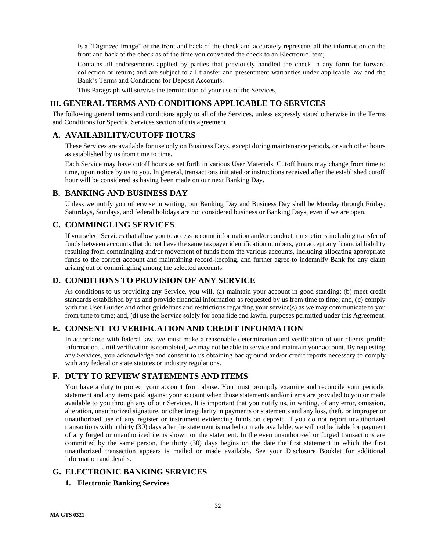Is a "Digitized Image" of the front and back of the check and accurately represents all the information on the front and back of the check as of the time you converted the check to an Electronic Item;

Contains all endorsements applied by parties that previously handled the check in any form for forward collection or return; and are subject to all transfer and presentment warranties under applicable law and the Bank's Terms and Conditions for Deposit Accounts.

This Paragraph will survive the termination of your use of the Services.

# <span id="page-31-0"></span>**III. GENERAL TERMS AND CONDITIONS APPLICABLE TO SERVICES**

The following general terms and conditions apply to all of the Services, unless expressly stated otherwise in the Terms and Conditions for Specific Services section of this agreement.

## <span id="page-31-1"></span>**A. AVAILABILITY/CUTOFF HOURS**

These Services are available for use only on Business Days, except during maintenance periods, or such other hours as established by us from time to time.

Each Service may have cutoff hours as set forth in various User Materials. Cutoff hours may change from time to time, upon notice by us to you. In general, transactions initiated or instructions received after the established cutoff hour will be considered as having been made on our next Banking Day.

## <span id="page-31-2"></span>**B. BANKING AND BUSINESS DAY**

Unless we notify you otherwise in writing, our Banking Day and Business Day shall be Monday through Friday; Saturdays, Sundays, and federal holidays are not considered business or Banking Days, even if we are open.

# <span id="page-31-3"></span>**C. COMMINGLING SERVICES**

If you select Services that allow you to access account information and/or conduct transactions including transfer of funds between accounts that do not have the same taxpayer identification numbers, you accept any financial liability resulting from commingling and/or movement of funds from the various accounts, including allocating appropriate funds to the correct account and maintaining record-keeping, and further agree to indemnify Bank for any claim arising out of commingling among the selected accounts.

# <span id="page-31-4"></span>**D. CONDITIONS TO PROVISION OF ANY SERVICE**

As conditions to us providing any Service, you will, (a) maintain your account in good standing; (b) meet credit standards established by us and provide financial information as requested by us from time to time; and, (c) comply with the User Guides and other guidelines and restrictions regarding your service(s) as we may communicate to you from time to time; and, (d) use the Service solely for bona fide and lawful purposes permitted under this Agreement.

# <span id="page-31-5"></span>**E. CONSENT TO VERIFICATION AND CREDIT INFORMATION**

In accordance with federal law, we must make a reasonable determination and verification of our clients' profile information. Until verification is completed, we may not be able to service and maintain your account. By requesting any Services, you acknowledge and consent to us obtaining background and/or credit reports necessary to comply with any federal or state statutes or industry regulations.

## <span id="page-31-6"></span>**F. DUTY TO REVIEW STATEMENTS AND ITEMS**

You have a duty to protect your account from abuse. You must promptly examine and reconcile your periodic statement and any items paid against your account when those statements and/or items are provided to you or made available to you through any of our Services. It is important that you notify us, in writing, of any error, omission, alteration, unauthorized signature, or other irregularity in payments or statements and any loss, theft, or improper or unauthorized use of any register or instrument evidencing funds on deposit. If you do not report unauthorized transactions within thirty (30) days after the statement is mailed or made available, we will not be liable for payment of any forged or unauthorized items shown on the statement. In the even unauthorized or forged transactions are committed by the same person, the thirty (30) days begins on the date the first statement in which the first unauthorized transaction appears is mailed or made available. See your Disclosure Booklet for additional information and details.

# <span id="page-31-8"></span><span id="page-31-7"></span>**G. ELECTRONIC BANKING SERVICES**

## **1. Electronic Banking Services**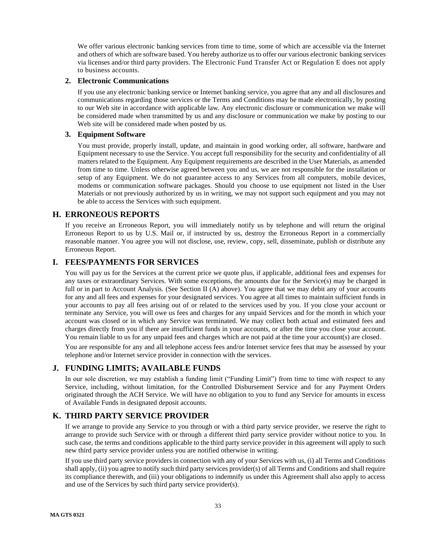We offer various electronic banking services from time to time, some of which are accessible via the Internet and others of which are software based. You hereby authorize us to offer our various electronic banking services via licenses and/or third party providers. The Electronic Fund Transfer Act or Regulation E does not apply to business accounts.

### <span id="page-32-0"></span>**2. Electronic Communications**

If you use any electronic banking service or Internet banking service, you agree that any and all disclosures and communications regarding those services or the Terms and Conditions may be made electronically, by posting to our Web site in accordance with applicable law. Any electronic disclosure or communication we make will be considered made when transmitted by us and any disclosure or communication we make by posting to our Web site will be considered made when posted by us.

### <span id="page-32-1"></span>**3. Equipment Software**

You must provide, properly install, update, and maintain in good working order, all software, hardware and Equipment necessary to use the Service. You accept full responsibility for the security and confidentiality of all matters related to the Equipment. Any Equipment requirements are described in the User Materials, as amended from time to time. Unless otherwise agreed between you and us, we are not responsible for the installation or setup of any Equipment. We do not guarantee access to any Services from all computers, mobile devices, modems or communication software packages. Should you choose to use equipment not listed in the User Materials or not previously authorized by us in writing, we may not support such equipment and you may not be able to access the Services with such equipment.

## <span id="page-32-2"></span>**H. ERRONEOUS REPORTS**

If you receive an Erroneous Report, you will immediately notify us by telephone and will return the original Erroneous Report to us by U.S. Mail or, if instructed by us, destroy the Erroneous Report in a commercially reasonable manner. You agree you will not disclose, use, review, copy, sell, disseminate, publish or distribute any Erroneous Report.

# <span id="page-32-3"></span>**I. FEES/PAYMENTS FOR SERVICES**

You will pay us for the Services at the current price we quote plus, if applicable, additional fees and expenses for any taxes or extraordinary Services. With some exceptions, the amounts due for the Service(s) may be charged in full or in part to Account Analysis. (See Section II (A) above). You agree that we may debit any of your accounts for any and all fees and expenses for your designated services. You agree at all times to maintain sufficient funds in your accounts to pay all fees arising out of or related to the services used by you. If you close your account or terminate any Service, you will owe us fees and charges for any unpaid Services and for the month in which your account was closed or in which any Service was terminated. We may collect both actual and estimated fees and charges directly from you if there are insufficient funds in your accounts, or after the time you close your account. You remain liable to us for any unpaid fees and charges which are not paid at the time your account(s) are closed.

You are responsible for any and all telephone access fees and/or Internet service fees that may be assessed by your telephone and/or Internet service provider in connection with the services.

# <span id="page-32-4"></span>**J. FUNDING LIMITS; AVAILABLE FUNDS**

In our sole discretion, we may establish a funding limit ("Funding Limit") from time to time with respect to any Service, including, without limitation, for the Controlled Disbursement Service and for any Payment Orders originated through the ACH Service. We will have no obligation to you to fund any Service for amounts in excess of Available Funds in designated deposit accounts.

# <span id="page-32-5"></span>**K. THIRD PARTY SERVICE PROVIDER**

If we arrange to provide any Service to you through or with a third party service provider, we reserve the right to arrange to provide such Service with or through a different third party service provider without notice to you. In such case, the terms and conditions applicable to the third party service provider in this agreement will apply to such new third party service provider unless you are notified otherwise in writing.

If you use third party service providers in connection with any of your Services with us, (i) all Terms and Conditions shall apply, (ii) you agree to notify such third party services provider(s) of all Terms and Conditions and shall require its compliance therewith, and (iii) your obligations to indemnify us under this Agreement shall also apply to access and use of the Services by such third party service provider(s).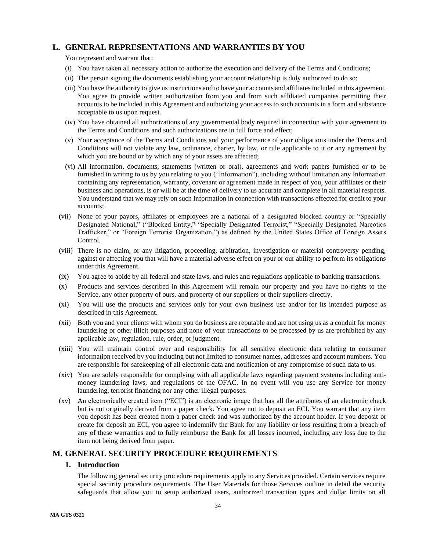# <span id="page-33-0"></span>**L. GENERAL REPRESENTATIONS AND WARRANTIES BY YOU**

### You represent and warrant that:

- (i) You have taken all necessary action to authorize the execution and delivery of the Terms and Conditions;
- (ii) The person signing the documents establishing your account relationship is duly authorized to do so;
- (iii) You have the authority to give us instructions and to have your accounts and affiliates included in this agreement. You agree to provide written authorization from you and from such affiliated companies permitting their accounts to be included in this Agreement and authorizing your access to such accounts in a form and substance acceptable to us upon request.
- (iv) You have obtained all authorizations of any governmental body required in connection with your agreement to the Terms and Conditions and such authorizations are in full force and effect;
- (v) Your acceptance of the Terms and Conditions and your performance of your obligations under the Terms and Conditions will not violate any law, ordinance, charter, by law, or rule applicable to it or any agreement by which you are bound or by which any of your assets are affected;
- (vi) All information, documents, statements (written or oral), agreements and work papers furnished or to be furnished in writing to us by you relating to you ("Information"), including without limitation any Information containing any representation, warranty, covenant or agreement made in respect of you, your affiliates or their business and operations, is or will be at the time of delivery to us accurate and complete in all material respects. You understand that we may rely on such Information in connection with transactions effected for credit to your accounts;
- (vii) None of your payors, affiliates or employees are a national of a designated blocked country or "Specially Designated National," ("Blocked Entity," "Specially Designated Terrorist," "Specially Designated Narcotics Trafficker," or "Foreign Terrorist Organization,") as defined by the United States Office of Foreign Assets Control.
- (viii) There is no claim, or any litigation, proceeding, arbitration, investigation or material controversy pending, against or affecting you that will have a material adverse effect on your or our ability to perform its obligations under this Agreement.
- (ix) You agree to abide by all federal and state laws, and rules and regulations applicable to banking transactions.
- (x) Products and services described in this Agreement will remain our property and you have no rights to the Service, any other property of ours, and property of our suppliers or their suppliers directly.
- (xi) You will use the products and services only for your own business use and/or for its intended purpose as described in this Agreement.
- (xii) Both you and your clients with whom you do business are reputable and are not using us as a conduit for money laundering or other illicit purposes and none of your transactions to be processed by us are prohibited by any applicable law, regulation, rule, order, or judgment.
- (xiii) You will maintain control over and responsibility for all sensitive electronic data relating to consumer information received by you including but not limited to consumer names, addresses and account numbers. You are responsible for safekeeping of all electronic data and notification of any compromise of such data to us.
- (xiv) You are solely responsible for complying with all applicable laws regarding payment systems including antimoney laundering laws, and regulations of the OFAC. In no event will you use any Service for money laundering, terrorist financing nor any other illegal purposes.
- (xv) An electronically created item ("ECI") is an electronic image that has all the attributes of an electronic check but is not originally derived from a paper check. You agree not to deposit an ECI. You warrant that any item you deposit has been created from a paper check and was authorized by the account holder. If you deposit or create for deposit an ECI, you agree to indemnify the Bank for any liability or loss resulting from a breach of any of these warranties and to fully reimburse the Bank for all losses incurred, including any loss due to the item not being derived from paper.

# <span id="page-33-2"></span><span id="page-33-1"></span>**M. GENERAL SECURITY PROCEDURE REQUIREMENTS**

### **1. Introduction**

The following general security procedure requirements apply to any Services provided. Certain services require special security procedure requirements. The User Materials for those Services outline in detail the security safeguards that allow you to setup authorized users, authorized transaction types and dollar limits on all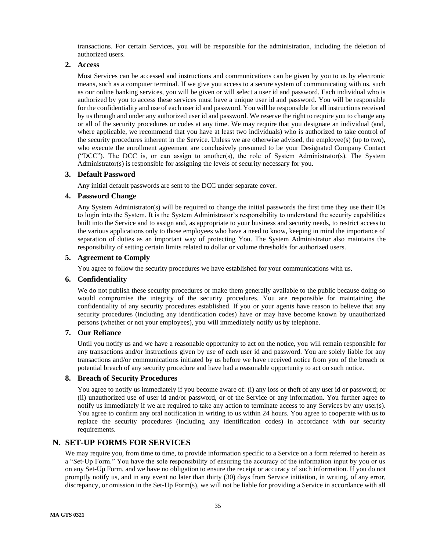transactions. For certain Services, you will be responsible for the administration, including the deletion of authorized users.

## <span id="page-34-0"></span>**2. Access**

Most Services can be accessed and instructions and communications can be given by you to us by electronic means, such as a computer terminal. If we give you access to a secure system of communicating with us, such as our online banking services, you will be given or will select a user id and password. Each individual who is authorized by you to access these services must have a unique user id and password. You will be responsible for the confidentiality and use of each user id and password. You will be responsible for all instructions received by us through and under any authorized user id and password. We reserve the right to require you to change any or all of the security procedures or codes at any time. We may require that you designate an individual (and, where applicable, we recommend that you have at least two individuals) who is authorized to take control of the security procedures inherent in the Service. Unless we are otherwise advised, the employee(s) (up to two), who execute the enrollment agreement are conclusively presumed to be your Designated Company Contact ("DCC"). The DCC is, or can assign to another(s), the role of System Administrator(s). The System Administrator(s) is responsible for assigning the levels of security necessary for you.

### <span id="page-34-1"></span>**3. Default Password**

Any initial default passwords are sent to the DCC under separate cover.

### <span id="page-34-2"></span>**4. Password Change**

Any System Administrator(s) will be required to change the initial passwords the first time they use their IDs to login into the System. It is the System Administrator's responsibility to understand the security capabilities built into the Service and to assign and, as appropriate to your business and security needs, to restrict access to the various applications only to those employees who have a need to know, keeping in mind the importance of separation of duties as an important way of protecting You. The System Administrator also maintains the responsibility of setting certain limits related to dollar or volume thresholds for authorized users.

## <span id="page-34-3"></span>**5. Agreement to Comply**

You agree to follow the security procedures we have established for your communications with us.

### <span id="page-34-4"></span>**6. Confidentiality**

We do not publish these security procedures or make them generally available to the public because doing so would compromise the integrity of the security procedures. You are responsible for maintaining the confidentiality of any security procedures established. If you or your agents have reason to believe that any security procedures (including any identification codes) have or may have become known by unauthorized persons (whether or not your employees), you will immediately notify us by telephone.

### <span id="page-34-5"></span>**7. Our Reliance**

Until you notify us and we have a reasonable opportunity to act on the notice, you will remain responsible for any transactions and/or instructions given by use of each user id and password. You are solely liable for any transactions and/or communications initiated by us before we have received notice from you of the breach or potential breach of any security procedure and have had a reasonable opportunity to act on such notice.

### <span id="page-34-6"></span>**8. Breach of Security Procedures**

You agree to notify us immediately if you become aware of: (i) any loss or theft of any user id or password; or (ii) unauthorized use of user id and/or password, or of the Service or any information. You further agree to notify us immediately if we are required to take any action to terminate access to any Services by any user(s). You agree to confirm any oral notification in writing to us within 24 hours. You agree to cooperate with us to replace the security procedures (including any identification codes) in accordance with our security requirements.

## <span id="page-34-7"></span>**N. SET-UP FORMS FOR SERVICES**

We may require you, from time to time, to provide information specific to a Service on a form referred to herein as a "Set-Up Form." You have the sole responsibility of ensuring the accuracy of the information input by you or us on any Set-Up Form, and we have no obligation to ensure the receipt or accuracy of such information. If you do not promptly notify us, and in any event no later than thirty (30) days from Service initiation, in writing, of any error, discrepancy, or omission in the Set-Up Form(s), we will not be liable for providing a Service in accordance with all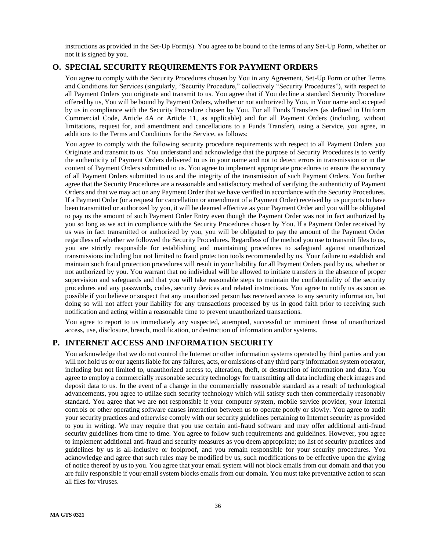instructions as provided in the Set-Up Form(s). You agree to be bound to the terms of any Set-Up Form, whether or not it is signed by you.

# <span id="page-35-0"></span>**O. SPECIAL SECURITY REQUIREMENTS FOR PAYMENT ORDERS**

You agree to comply with the Security Procedures chosen by You in any Agreement, Set-Up Form or other Terms and Conditions for Services (singularly, "Security Procedure," collectively "Security Procedures"), with respect to all Payment Orders you originate and transmit to us. You agree that if You decline a standard Security Procedure offered by us, You will be bound by Payment Orders, whether or not authorized by You, in Your name and accepted by us in compliance with the Security Procedure chosen by You. For all Funds Transfers (as defined in Uniform Commercial Code, Article 4A or Article 11, as applicable) and for all Payment Orders (including, without limitations, request for, and amendment and cancellations to a Funds Transfer), using a Service, you agree, in additions to the Terms and Conditions for the Service, as follows:

You agree to comply with the following security procedure requirements with respect to all Payment Orders you Originate and transmit to us. You understand and acknowledge that the purpose of Security Procedures is to verify the authenticity of Payment Orders delivered to us in your name and not to detect errors in transmission or in the content of Payment Orders submitted to us. You agree to implement appropriate procedures to ensure the accuracy of all Payment Orders submitted to us and the integrity of the transmission of such Payment Orders. You further agree that the Security Procedures are a reasonable and satisfactory method of verifying the authenticity of Payment Orders and that we may act on any Payment Order that we have verified in accordance with the Security Procedures. If a Payment Order (or a request for cancellation or amendment of a Payment Order) received by us purports to have been transmitted or authorized by you, it will be deemed effective as your Payment Order and you will be obligated to pay us the amount of such Payment Order Entry even though the Payment Order was not in fact authorized by you so long as we act in compliance with the Security Procedures chosen by You. If a Payment Order received by us was in fact transmitted or authorized by you, you will be obligated to pay the amount of the Payment Order regardless of whether we followed the Security Procedures. Regardless of the method you use to transmit files to us, you are strictly responsible for establishing and maintaining procedures to safeguard against unauthorized transmissions including but not limited to fraud protection tools recommended by us. Your failure to establish and maintain such fraud protection procedures will result in your liability for all Payment Orders paid by us, whether or not authorized by you. You warrant that no individual will be allowed to initiate transfers in the absence of proper supervision and safeguards and that you will take reasonable steps to maintain the confidentiality of the security procedures and any passwords, codes, security devices and related instructions. You agree to notify us as soon as possible if you believe or suspect that any unauthorized person has received access to any security information, but doing so will not affect your liability for any transactions processed by us in good faith prior to receiving such notification and acting within a reasonable time to prevent unauthorized transactions.

You agree to report to us immediately any suspected, attempted, successful or imminent threat of unauthorized access, use, disclosure, breach, modification, or destruction of information and/or systems.

## <span id="page-35-1"></span>**P. INTERNET ACCESS AND INFORMATION SECURITY**

You acknowledge that we do not control the Internet or other information systems operated by third parties and you will not hold us or our agents liable for any failures, acts, or omissions of any third party information system operator, including but not limited to, unauthorized access to, alteration, theft, or destruction of information and data. You agree to employ a commercially reasonable security technology for transmitting all data including check images and deposit data to us. In the event of a change in the commercially reasonable standard as a result of technological advancements, you agree to utilize such security technology which will satisfy such then commercially reasonably standard. You agree that we are not responsible if your computer system, mobile service provider, your internal controls or other operating software causes interaction between us to operate poorly or slowly. You agree to audit your security practices and otherwise comply with our security guidelines pertaining to Internet security as provided to you in writing. We may require that you use certain anti-fraud software and may offer additional anti-fraud security guidelines from time to time. You agree to follow such requirements and guidelines. However, you agree to implement additional anti-fraud and security measures as you deem appropriate; no list of security practices and guidelines by us is all-inclusive or foolproof, and you remain responsible for your security procedures. You acknowledge and agree that such rules may be modified by us, such modifications to be effective upon the giving of notice thereof by us to you. You agree that your email system will not block emails from our domain and that you are fully responsible if your email system blocks emails from our domain. You must take preventative action to scan all files for viruses.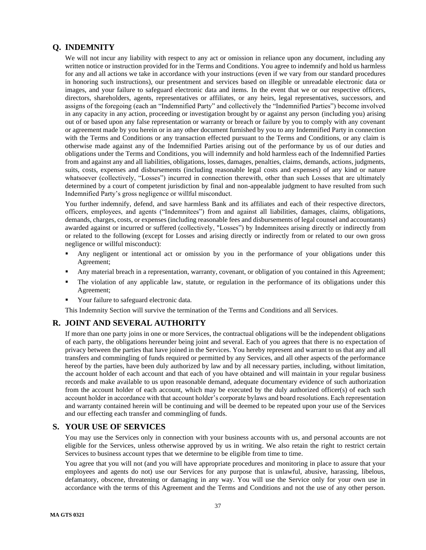# <span id="page-36-0"></span>**Q. INDEMNITY**

We will not incur any liability with respect to any act or omission in reliance upon any document, including any written notice or instruction provided for in the Terms and Conditions. You agree to indemnify and hold us harmless for any and all actions we take in accordance with your instructions (even if we vary from our standard procedures in honoring such instructions), our presentment and services based on illegible or unreadable electronic data or images, and your failure to safeguard electronic data and items. In the event that we or our respective officers, directors, shareholders, agents, representatives or affiliates, or any heirs, legal representatives, successors, and assigns of the foregoing (each an "Indemnified Party" and collectively the "Indemnified Parties") become involved in any capacity in any action, proceeding or investigation brought by or against any person (including you) arising out of or based upon any false representation or warranty or breach or failure by you to comply with any covenant or agreement made by you herein or in any other document furnished by you to any Indemnified Party in connection with the Terms and Conditions or any transaction effected pursuant to the Terms and Conditions, or any claim is otherwise made against any of the Indemnified Parties arising out of the performance by us of our duties and obligations under the Terms and Conditions, you will indemnify and hold harmless each of the Indemnified Parties from and against any and all liabilities, obligations, losses, damages, penalties, claims, demands, actions, judgments, suits, costs, expenses and disbursements (including reasonable legal costs and expenses) of any kind or nature whatsoever (collectively, "Losses") incurred in connection therewith, other than such Losses that are ultimately determined by a court of competent jurisdiction by final and non-appealable judgment to have resulted from such Indemnified Party's gross negligence or willful misconduct.

You further indemnify, defend, and save harmless Bank and its affiliates and each of their respective directors, officers, employees, and agents ("Indemnitees") from and against all liabilities, damages, claims, obligations, demands, charges, costs, or expenses (including reasonable fees and disbursements of legal counsel and accountants) awarded against or incurred or suffered (collectively, "Losses") by Indemnitees arising directly or indirectly from or related to the following (except for Losses and arising directly or indirectly from or related to our own gross negligence or willful misconduct):

- Any negligent or intentional act or omission by you in the performance of your obligations under this Agreement;
- Any material breach in a representation, warranty, covenant, or obligation of you contained in this Agreement;
- The violation of any applicable law, statute, or regulation in the performance of its obligations under this Agreement;
- Your failure to safeguard electronic data.

This Indemnity Section will survive the termination of the Terms and Conditions and all Services.

## <span id="page-36-1"></span>**R. JOINT AND SEVERAL AUTHORITY**

If more than one party joins in one or more Services, the contractual obligations will be the independent obligations of each party, the obligations hereunder being joint and several. Each of you agrees that there is no expectation of privacy between the parties that have joined in the Services. You hereby represent and warrant to us that any and all transfers and commingling of funds required or permitted by any Services, and all other aspects of the performance hereof by the parties, have been duly authorized by law and by all necessary parties, including, without limitation, the account holder of each account and that each of you have obtained and will maintain in your regular business records and make available to us upon reasonable demand, adequate documentary evidence of such authorization from the account holder of each account, which may be executed by the duly authorized officer(s) of each such account holder in accordance with that account holder's corporate bylaws and board resolutions. Each representation and warranty contained herein will be continuing and will be deemed to be repeated upon your use of the Services and our effecting each transfer and commingling of funds.

## <span id="page-36-2"></span>**S. YOUR USE OF SERVICES**

You may use the Services only in connection with your business accounts with us, and personal accounts are not eligible for the Services, unless otherwise approved by us in writing. We also retain the right to restrict certain Services to business account types that we determine to be eligible from time to time.

You agree that you will not (and you will have appropriate procedures and monitoring in place to assure that your employees and agents do not) use our Services for any purpose that is unlawful, abusive, harassing, libelous, defamatory, obscene, threatening or damaging in any way. You will use the Service only for your own use in accordance with the terms of this Agreement and the Terms and Conditions and not the use of any other person.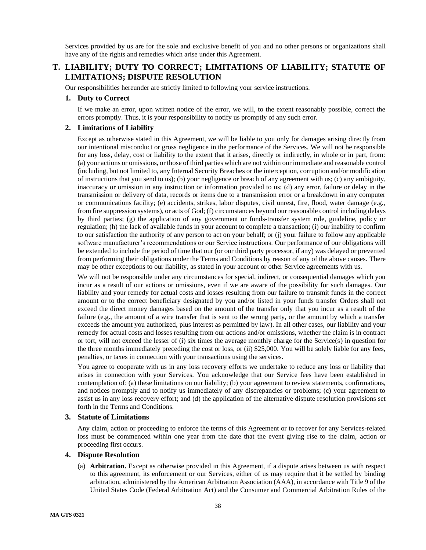Services provided by us are for the sole and exclusive benefit of you and no other persons or organizations shall have any of the rights and remedies which arise under this Agreement.

# <span id="page-37-0"></span>**T. LIABILITY; DUTY TO CORRECT; LIMITATIONS OF LIABILITY; STATUTE OF LIMITATIONS; DISPUTE RESOLUTION**

Our responsibilities hereunder are strictly limited to following your service instructions.

### <span id="page-37-1"></span>**1. Duty to Correct**

If we make an error, upon written notice of the error, we will, to the extent reasonably possible, correct the errors promptly. Thus, it is your responsibility to notify us promptly of any such error.

### <span id="page-37-2"></span>**2. Limitations of Liability**

Except as otherwise stated in this Agreement, we will be liable to you only for damages arising directly from our intentional misconduct or gross negligence in the performance of the Services. We will not be responsible for any loss, delay, cost or liability to the extent that it arises, directly or indirectly, in whole or in part, from: (a) your actions or omissions, or those of third parties which are not within our immediate and reasonable control (including, but not limited to, any Internal Security Breaches or the interception, corruption and/or modification of instructions that you send to us); (b) your negligence or breach of any agreement with us; (c) any ambiguity, inaccuracy or omission in any instruction or information provided to us; (d) any error, failure or delay in the transmission or delivery of data, records or items due to a transmission error or a breakdown in any computer or communications facility; (e) accidents, strikes, labor disputes, civil unrest, fire, flood, water damage (e.g., from fire suppression systems), or acts of God; (f) circumstances beyond our reasonable control including delays by third parties; (g) the application of any government or funds-transfer system rule, guideline, policy or regulation; (h) the lack of available funds in your account to complete a transaction; (i) our inability to confirm to our satisfaction the authority of any person to act on your behalf; or (j) your failure to follow any applicable software manufacturer's recommendations or our Service instructions. Our performance of our obligations will be extended to include the period of time that our (or our third party processor, if any) was delayed or prevented from performing their obligations under the Terms and Conditions by reason of any of the above causes. There may be other exceptions to our liability, as stated in your account or other Service agreements with us.

We will not be responsible under any circumstances for special, indirect, or consequential damages which you incur as a result of our actions or omissions, even if we are aware of the possibility for such damages. Our liability and your remedy for actual costs and losses resulting from our failure to transmit funds in the correct amount or to the correct beneficiary designated by you and/or listed in your funds transfer Orders shall not exceed the direct money damages based on the amount of the transfer only that you incur as a result of the failure (e.g., the amount of a wire transfer that is sent to the wrong party, or the amount by which a transfer exceeds the amount you authorized, plus interest as permitted by law). In all other cases, our liability and your remedy for actual costs and losses resulting from our actions and/or omissions, whether the claim is in contract or tort, will not exceed the lesser of (i) six times the average monthly charge for the Service(s) in question for the three months immediately preceding the cost or loss, or (ii) \$25,000. You will be solely liable for any fees, penalties, or taxes in connection with your transactions using the services.

You agree to cooperate with us in any loss recovery efforts we undertake to reduce any loss or liability that arises in connection with your Services. You acknowledge that our Service fees have been established in contemplation of: (a) these limitations on our liability; (b) your agreement to review statements, confirmations, and notices promptly and to notify us immediately of any discrepancies or problems; (c) your agreement to assist us in any loss recovery effort; and (d) the application of the alternative dispute resolution provisions set forth in the Terms and Conditions.

### <span id="page-37-3"></span>**3. Statute of Limitations**

Any claim, action or proceeding to enforce the terms of this Agreement or to recover for any Services-related loss must be commenced within one year from the date that the event giving rise to the claim, action or proceeding first occurs.

### <span id="page-37-4"></span>**4. Dispute Resolution**

(a) **Arbitration.** Except as otherwise provided in this Agreement, if a dispute arises between us with respect to this agreement, its enforcement or our Services, either of us may require that it be settled by binding arbitration, administered by the American Arbitration Association (AAA), in accordance with Title 9 of the United States Code (Federal Arbitration Act) and the Consumer and Commercial Arbitration Rules of the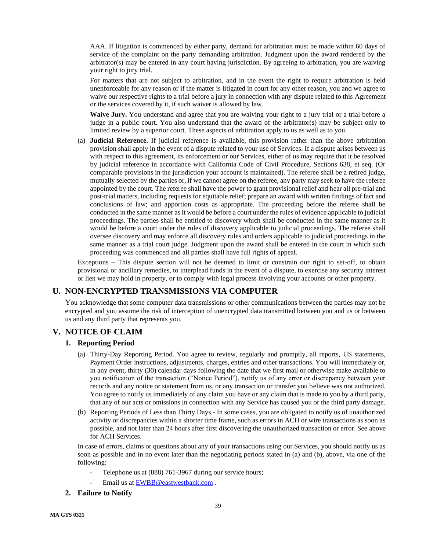AAA. If litigation is commenced by either party, demand for arbitration must be made within 60 days of service of the complaint on the party demanding arbitration. Judgment upon the award rendered by the arbitrator(s) may be entered in any court having jurisdiction. By agreeing to arbitration, you are waiving your right to jury trial.

For matters that are not subject to arbitration, and in the event the right to require arbitration is held unenforceable for any reason or if the matter is litigated in court for any other reason, you and we agree to waive our respective rights to a trial before a jury in connection with any dispute related to this Agreement or the services covered by it, if such waiver is allowed by law.

**Waive Jury.** You understand and agree that you are waiving your right to a jury trial or a trial before a judge in a public court. You also understand that the award of the arbitrator(s) may be subject only to limited review by a superior court. These aspects of arbitration apply to us as well as to you.

(a) **Judicial Reference.** If judicial reference is available, this provision rather than the above arbitration provision shall apply in the event of a dispute related to your use of Services. If a dispute arises between us with respect to this agreement, its enforcement or our Services, either of us may require that it be resolved by judicial reference in accordance with California Code of Civil Procedure, Sections 638, et seq. (Or comparable provisions in the jurisdiction your account is maintained). The referee shall be a retired judge, mutually selected by the parties or, if we cannot agree on the referee, any party may seek to have the referee appointed by the court. The referee shall have the power to grant provisional relief and hear all pre-trial and post-trial matters, including requests for equitable relief; prepare an award with written findings of fact and conclusions of law; and apportion costs as appropriate. The proceeding before the referee shall be conducted in the same manner as it would be before a court under the rules of evidence applicable to judicial proceedings. The parties shall be entitled to discovery which shall be conducted in the same manner as it would be before a court under the rules of discovery applicable to judicial proceedings. The referee shall oversee discovery and may enforce all discovery rules and orders applicable to judicial proceedings in the same manner as a trial court judge. Judgment upon the award shall be entered in the court in which such proceeding was commenced and all parties shall have full rights of appeal.

Exceptions **–** This dispute section will not be deemed to limit or constrain our right to set-off, to obtain provisional or ancillary remedies, to interplead funds in the event of a dispute, to exercise any security interest or lien we may hold in property, or to comply with legal process involving your accounts or other property.

# <span id="page-38-0"></span>**U. NON-ENCRYPTED TRANSMISSIONS VIA COMPUTER**

You acknowledge that some computer data transmissions or other communications between the parties may not be encrypted and you assume the risk of interception of unencrypted data transmitted between you and us or between us and any third party that represents you.

# <span id="page-38-2"></span><span id="page-38-1"></span>**V. NOTICE OF CLAIM**

## **1. Reporting Period**

- (a) Thirty-Day Reporting Period. You agree to review, regularly and promptly, all reports, US statements, Payment Order instructions, adjustments, charges, entries and other transactions. You will immediately or, in any event, thirty (30) calendar days following the date that we first mail or otherwise make available to you notification of the transaction ("Notice Period"), notify us of any error or discrepancy between your records and any notice or statement from us, or any transaction or transfer you believe was not authorized. You agree to notify us immediately of any claim you have or any claim that is made to you by a third party, that any of our acts or omissions in connection with any Service has caused you or the third party damage.
- (b) Reporting Periods of Less than Thirty Days In some cases, you are obligated to notify us of unauthorized activity or discrepancies within a shorter time frame, such as errors in ACH or wire transactions as soon as possible, and not later than 24 hours after first discovering the unauthorized transaction or error. See above for ACH Services.

In case of errors, claims or questions about any of your transactions using our Services, you should notify us as soon as possible and in no event later than the negotiating periods stated in (a) and (b), above, via one of the following:

- Telephone us at (888) 761-3967 during our service hours;
- Email us at [EWBB@eastwestbank.com](mailto:EWBB@eastwestbank.com).
- <span id="page-38-3"></span>**2. Failure to Notify**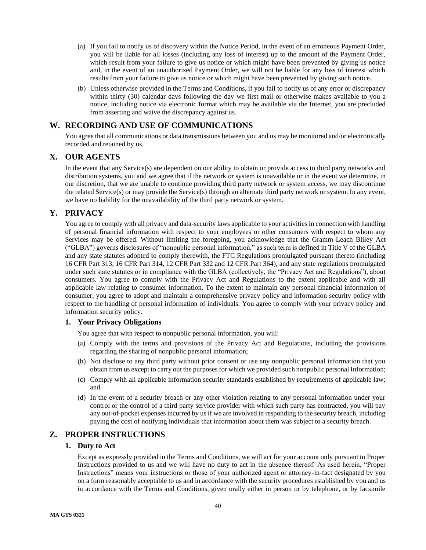- (a) If you fail to notify us of discovery within the Notice Period, in the event of an erroneous Payment Order, you will be liable for all losses (including any loss of interest) up to the amount of the Payment Order, which result from your failure to give us notice or which might have been prevented by giving us notice and, in the event of an unauthorized Payment Order, we will not be liable for any loss of interest which results from your failure to give us notice or which might have been prevented by giving such notice.
- (b) Unless otherwise provided in the Terms and Conditions, if you fail to notify us of any error or discrepancy within thirty (30) calendar days following the day we first mail or otherwise makes available to you a notice, including notice via electronic format which may be available via the Internet, you are precluded from asserting and waive the discrepancy against us.

# <span id="page-39-0"></span>**W. RECORDING AND USE OF COMMUNICATIONS**

You agree that all communications or data transmissions between you and us may be monitored and/or electronically recorded and retained by us.

# <span id="page-39-1"></span>**X. OUR AGENTS**

In the event that any Service(s) are dependent on our ability to obtain or provide access to third party networks and distribution systems, you and we agree that if the network or system is unavailable or in the event we determine, in our discretion, that we are unable to continue providing third party network or system access, we may discontinue the related Service(s) or may provide the Service(s) through an alternate third party network or system. In any event, we have no liability for the unavailability of the third party network or system.

# <span id="page-39-2"></span>**Y. PRIVACY**

You agree to comply with all privacy and data-security laws applicable to your activities in connection with handling of personal financial information with respect to your employees or other consumers with respect to whom any Services may be offered. Without limiting the foregoing, you acknowledge that the Gramm-Leach Bliley Act ("GLBA") governs disclosures of "nonpublic personal information," as such term is defined in Title V of the GLBA and any state statutes adopted to comply therewith, the FTC Regulations promulgated pursuant thereto (including 16 CFR Part 313, 16 CFR Part 314, 12 CFR Part 332 and 12 CFR Part 364), and any state regulations promulgated under such state statutes or in compliance with the GLBA (collectively, the "Privacy Act and Regulations"), about consumers. You agree to comply with the Privacy Act and Regulations to the extent applicable and with all applicable law relating to consumer information. To the extent to maintain any personal financial information of consumer, you agree to adopt and maintain a comprehensive privacy policy and information security policy with respect to the handling of personal information of individuals. You agree to comply with your privacy policy and information security policy.

## <span id="page-39-3"></span>**1. Your Privacy Obligations**

You agree that with respect to nonpublic personal information, you will:

- (a) Comply with the terms and provisions of the Privacy Act and Regulations, including the provisions regarding the sharing of nonpublic personal information;
- (b) Not disclose to any third party without prior consent or use any nonpublic personal information that you obtain from us except to carry out the purposes for which we provided such nonpublic personal Information;
- (c) Comply with all applicable information security standards established by requirements of applicable law; and
- (d) In the event of a security breach or any other violation relating to any personal information under your control or the control of a third party service provider with which such party has contracted, you will pay any out-of-pocket expenses incurred by us if we are involved in responding to the security breach, including paying the cost of notifying individuals that information about them was subject to a security breach.

## <span id="page-39-5"></span><span id="page-39-4"></span>**Z. PROPER INSTRUCTIONS**

## **1. Duty to Act**

Except as expressly provided in the Terms and Conditions, we will act for your account only pursuant to Proper Instructions provided to us and we will have no duty to act in the absence thereof. As used herein, "Proper Instructions" means your instructions or those of your authorized agent or attorney-in-fact designated by you on a form reasonably acceptable to us and in accordance with the security procedures established by you and us in accordance with the Terms and Conditions, given orally either in person or by telephone, or by facsimile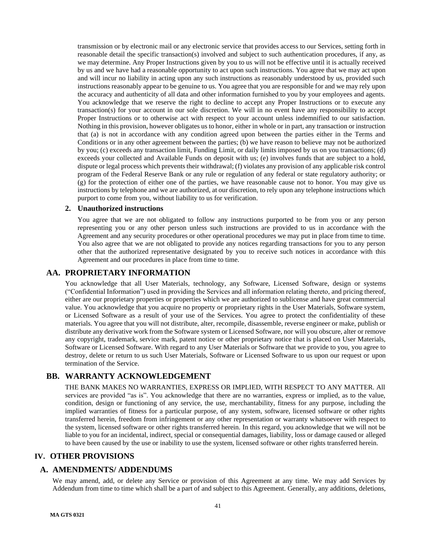transmission or by electronic mail or any electronic service that provides access to our Services, setting forth in reasonable detail the specific transaction(s) involved and subject to such authentication procedures, if any, as we may determine. Any Proper Instructions given by you to us will not be effective until it is actually received by us and we have had a reasonable opportunity to act upon such instructions. You agree that we may act upon and will incur no liability in acting upon any such instructions as reasonably understood by us, provided such instructions reasonably appear to be genuine to us. You agree that you are responsible for and we may rely upon the accuracy and authenticity of all data and other information furnished to you by your employees and agents. You acknowledge that we reserve the right to decline to accept any Proper Instructions or to execute any transaction(s) for your account in our sole discretion. We will in no event have any responsibility to accept Proper Instructions or to otherwise act with respect to your account unless indemnified to our satisfaction. Nothing in this provision, however obligates us to honor, either in whole or in part, any transaction or instruction that (a) is not in accordance with any condition agreed upon between the parties either in the Terms and Conditions or in any other agreement between the parties; (b) we have reason to believe may not be authorized by you; (c) exceeds any transaction limit, Funding Limit, or daily limits imposed by us on you transactions; (d) exceeds your collected and Available Funds on deposit with us; (e) involves funds that are subject to a hold, dispute or legal process which prevents their withdrawal; (f) violates any provision of any applicable risk control program of the Federal Reserve Bank or any rule or regulation of any federal or state regulatory authority; or (g) for the protection of either one of the parties, we have reasonable cause not to honor. You may give us instructions by telephone and we are authorized, at our discretion, to rely upon any telephone instructions which purport to come from you, without liability to us for verification.

### <span id="page-40-0"></span>**2. Unauthorized instructions**

You agree that we are not obligated to follow any instructions purported to be from you or any person representing you or any other person unless such instructions are provided to us in accordance with the Agreement and any security procedures or other operational procedures we may put in place from time to time. You also agree that we are not obligated to provide any notices regarding transactions for you to any person other that the authorized representative designated by you to receive such notices in accordance with this Agreement and our procedures in place from time to time.

## <span id="page-40-1"></span>**AA. PROPRIETARY INFORMATION**

You acknowledge that all User Materials, technology, any Software, Licensed Software, design or systems ("Confidential Information") used in providing the Services and all information relating thereto, and pricing thereof, either are our proprietary properties or properties which we are authorized to sublicense and have great commercial value. You acknowledge that you acquire no property or proprietary rights in the User Materials, Software system, or Licensed Software as a result of your use of the Services. You agree to protect the confidentiality of these materials. You agree that you will not distribute, alter, recompile, disassemble, reverse engineer or make, publish or distribute any derivative work from the Software system or Licensed Software, nor will you obscure, alter or remove any copyright, trademark, service mark, patent notice or other proprietary notice that is placed on User Materials, Software or Licensed Software. With regard to any User Materials or Software that we provide to you, you agree to destroy, delete or return to us such User Materials, Software or Licensed Software to us upon our request or upon termination of the Service.

# <span id="page-40-2"></span>**BB. WARRANTY ACKNOWLEDGEMENT**

THE BANK MAKES NO WARRANTIES, EXPRESS OR IMPLIED, WITH RESPECT TO ANY MATTER. All services are provided "as is". You acknowledge that there are no warranties, express or implied, as to the value, condition, design or functioning of any service, the use, merchantability, fitness for any purpose, including the implied warranties of fitness for a particular purpose, of any system, software, licensed software or other rights transferred herein, freedom from infringement or any other representation or warranty whatsoever with respect to the system, licensed software or other rights transferred herein. In this regard, you acknowledge that we will not be liable to you for an incidental, indirect, special or consequential damages, liability, loss or damage caused or alleged to have been caused by the use or inability to use the system, licensed software or other rights transferred herein.

## <span id="page-40-3"></span>**IV. OTHER PROVISIONS**

## <span id="page-40-4"></span>**A. AMENDMENTS/ ADDENDUMS**

We may amend, add, or delete any Service or provision of this Agreement at any time. We may add Services by Addendum from time to time which shall be a part of and subject to this Agreement. Generally, any additions, deletions,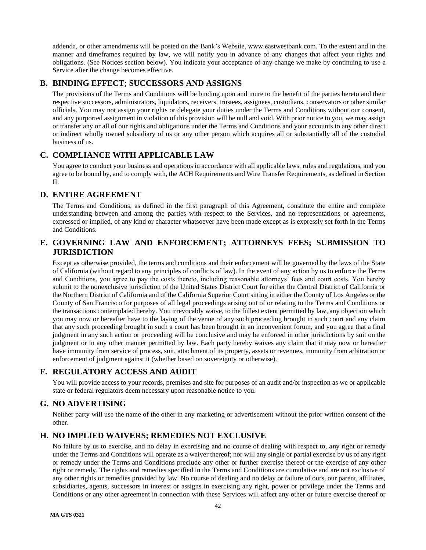addenda, or other amendments will be posted on the Bank's Website, www.eastwestbank.com. To the extent and in the manner and timeframes required by law, we will notify you in advance of any changes that affect your rights and obligations. (See Notices section below). You indicate your acceptance of any change we make by continuing to use a Service after the change becomes effective.

# <span id="page-41-0"></span>**B. BINDING EFFECT; SUCCESSORS AND ASSIGNS**

The provisions of the Terms and Conditions will be binding upon and inure to the benefit of the parties hereto and their respective successors, administrators, liquidators, receivers, trustees, assignees, custodians, conservators or other similar officials. You may not assign your rights or delegate your duties under the Terms and Conditions without our consent, and any purported assignment in violation of this provision will be null and void. With prior notice to you, we may assign or transfer any or all of our rights and obligations under the Terms and Conditions and your accounts to any other direct or indirect wholly owned subsidiary of us or any other person which acquires all or substantially all of the custodial business of us.

# <span id="page-41-1"></span>**C. COMPLIANCE WITH APPLICABLE LAW**

You agree to conduct your business and operations in accordance with all applicable laws, rules and regulations, and you agree to be bound by, and to comply with, the ACH Requirements and Wire Transfer Requirements, as defined in Section II.

# <span id="page-41-2"></span>**D. ENTIRE AGREEMENT**

The Terms and Conditions, as defined in the first paragraph of this Agreement, constitute the entire and complete understanding between and among the parties with respect to the Services, and no representations or agreements, expressed or implied, of any kind or character whatsoever have been made except as is expressly set forth in the Terms and Conditions.

# <span id="page-41-3"></span>**E. GOVERNING LAW AND ENFORCEMENT; ATTORNEYS FEES; SUBMISSION TO JURISDICTION**

Except as otherwise provided, the terms and conditions and their enforcement will be governed by the laws of the State of California (without regard to any principles of conflicts of law). In the event of any action by us to enforce the Terms and Conditions, you agree to pay the costs thereto, including reasonable attorneys' fees and court costs. You hereby submit to the nonexclusive jurisdiction of the United States District Court for either the Central District of California or the Northern District of California and of the California Superior Court sitting in either the County of Los Angeles or the County of San Francisco for purposes of all legal proceedings arising out of or relating to the Terms and Conditions or the transactions contemplated hereby. You irrevocably waive, to the fullest extent permitted by law, any objection which you may now or hereafter have to the laying of the venue of any such proceeding brought in such court and any claim that any such proceeding brought in such a court has been brought in an inconvenient forum, and you agree that a final judgment in any such action or proceeding will be conclusive and may be enforced in other jurisdictions by suit on the judgment or in any other manner permitted by law. Each party hereby waives any claim that it may now or hereafter have immunity from service of process, suit, attachment of its property, assets or revenues, immunity from arbitration or enforcement of judgment against it (whether based on sovereignty or otherwise).

# <span id="page-41-4"></span>**F. REGULATORY ACCESS AND AUDIT**

You will provide access to your records, premises and site for purposes of an audit and/or inspection as we or applicable state or federal regulators deem necessary upon reasonable notice to you.

# <span id="page-41-5"></span>**G. NO ADVERTISING**

Neither party will use the name of the other in any marketing or advertisement without the prior written consent of the other.

# <span id="page-41-6"></span>**H. NO IMPLIED WAIVERS; REMEDIES NOT EXCLUSIVE**

No failure by us to exercise, and no delay in exercising and no course of dealing with respect to, any right or remedy under the Terms and Conditions will operate as a waiver thereof; nor will any single or partial exercise by us of any right or remedy under the Terms and Conditions preclude any other or further exercise thereof or the exercise of any other right or remedy. The rights and remedies specified in the Terms and Conditions are cumulative and are not exclusive of any other rights or remedies provided by law. No course of dealing and no delay or failure of ours, our parent, affiliates, subsidiaries, agents, successors in interest or assigns in exercising any right, power or privilege under the Terms and Conditions or any other agreement in connection with these Services will affect any other or future exercise thereof or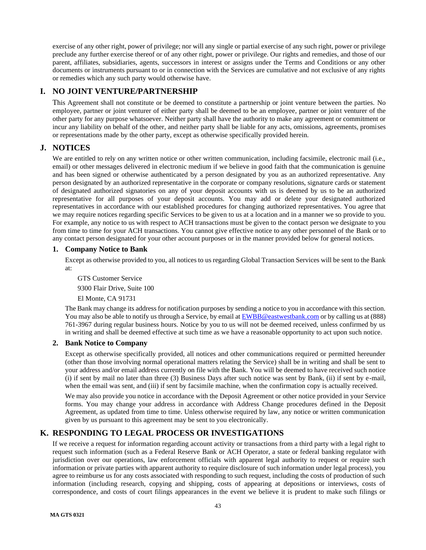exercise of any other right, power of privilege; nor will any single or partial exercise of any such right, power or privilege preclude any further exercise thereof or of any other right, power or privilege. Our rights and remedies, and those of our parent, affiliates, subsidiaries, agents, successors in interest or assigns under the Terms and Conditions or any other documents or instruments pursuant to or in connection with the Services are cumulative and not exclusive of any rights or remedies which any such party would otherwise have.

# <span id="page-42-0"></span>**I. NO JOINT VENTURE/PARTNERSHIP**

This Agreement shall not constitute or be deemed to constitute a partnership or joint venture between the parties. No employee, partner or joint venturer of either party shall be deemed to be an employee, partner or joint venturer of the other party for any purpose whatsoever. Neither party shall have the authority to make any agreement or commitment or incur any liability on behalf of the other, and neither party shall be liable for any acts, omissions, agreements, promises or representations made by the other party, except as otherwise specifically provided herein.

# <span id="page-42-1"></span>**J. NOTICES**

We are entitled to rely on any written notice or other written communication, including facsimile, electronic mail (i.e., email) or other messages delivered in electronic medium if we believe in good faith that the communication is genuine and has been signed or otherwise authenticated by a person designated by you as an authorized representative. Any person designated by an authorized representative in the corporate or company resolutions, signature cards or statement of designated authorized signatories on any of your deposit accounts with us is deemed by us to be an authorized representative for all purposes of your deposit accounts. You may add or delete your designated authorized representatives in accordance with our established procedures for changing authorized representatives. You agree that we may require notices regarding specific Services to be given to us at a location and in a manner we so provide to you. For example, any notice to us with respect to ACH transactions must be given to the contact person we designate to you from time to time for your ACH transactions. You cannot give effective notice to any other personnel of the Bank or to any contact person designated for your other account purposes or in the manner provided below for general notices.

## <span id="page-42-2"></span>**1. Company Notice to Bank**

Except as otherwise provided to you, all notices to us regarding Global Transaction Services will be sent to the Bank at:

GTS Customer Service 9300 Flair Drive, Suite 100 El Monte, CA 91731

The Bank may change its address for notification purposes by sending a notice to you in accordance with this section. You may also be able to notify us through a Service, by email at **EWBB@eastwestbank.com** or by calling us at (888) 761-3967 during regular business hours. Notice by you to us will not be deemed received, unless confirmed by us in writing and shall be deemed effective at such time as we have a reasonable opportunity to act upon such notice.

## <span id="page-42-3"></span>**2. Bank Notice to Company**

Except as otherwise specifically provided, all notices and other communications required or permitted hereunder (other than those involving normal operational matters relating the Service) shall be in writing and shall be sent to your address and/or email address currently on file with the Bank. You will be deemed to have received such notice (i) if sent by mail no later than three (3) Business Days after such notice was sent by Bank, (ii) if sent by e-mail, when the email was sent, and (iii) if sent by facsimile machine, when the confirmation copy is actually received.

We may also provide you notice in accordance with the Deposit Agreement or other notice provided in your Service forms. You may change your address in accordance with Address Change procedures defined in the Deposit Agreement, as updated from time to time. Unless otherwise required by law, any notice or written communication given by us pursuant to this agreement may be sent to you electronically.

# <span id="page-42-4"></span>**K. RESPONDING TO LEGAL PROCESS OR INVESTIGATIONS**

If we receive a request for information regarding account activity or transactions from a third party with a legal right to request such information (such as a Federal Reserve Bank or ACH Operator, a state or federal banking regulator with jurisdiction over our operations, law enforcement officials with apparent legal authority to request or require such information or private parties with apparent authority to require disclosure of such information under legal process), you agree to reimburse us for any costs associated with responding to such request, including the costs of production of such information (including research, copying and shipping, costs of appearing at depositions or interviews, costs of correspondence, and costs of court filings appearances in the event we believe it is prudent to make such filings or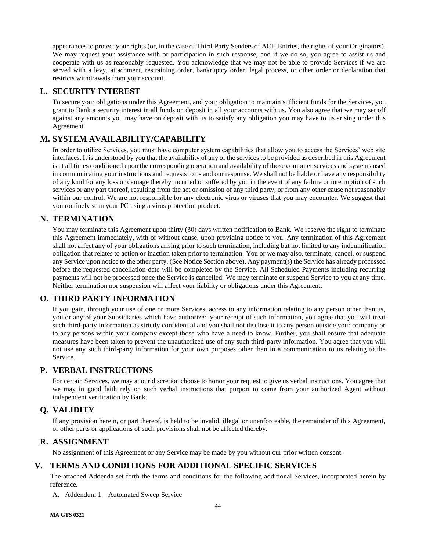appearances to protect your rights (or, in the case of Third-Party Senders of ACH Entries, the rights of your Originators). We may request your assistance with or participation in such response, and if we do so, you agree to assist us and cooperate with us as reasonably requested. You acknowledge that we may not be able to provide Services if we are served with a levy, attachment, restraining order, bankruptcy order, legal process, or other order or declaration that restricts withdrawals from your account.

# <span id="page-43-0"></span>**L. SECURITY INTEREST**

To secure your obligations under this Agreement, and your obligation to maintain sufficient funds for the Services, you grant to Bank a security interest in all funds on deposit in all your accounts with us. You also agree that we may set off against any amounts you may have on deposit with us to satisfy any obligation you may have to us arising under this Agreement.

# <span id="page-43-1"></span>**M. SYSTEM AVAILABILITY/CAPABILITY**

In order to utilize Services, you must have computer system capabilities that allow you to access the Services' web site interfaces. It is understood by you that the availability of any of the services to be provided as described in this Agreement is at all times conditioned upon the corresponding operation and availability of those computer services and systems used in communicating your instructions and requests to us and our response. We shall not be liable or have any responsibility of any kind for any loss or damage thereby incurred or suffered by you in the event of any failure or interruption of such services or any part thereof, resulting from the act or omission of any third party, or from any other cause not reasonably within our control. We are not responsible for any electronic virus or viruses that you may encounter. We suggest that you routinely scan your PC using a virus protection product.

# <span id="page-43-2"></span>**N. TERMINATION**

You may terminate this Agreement upon thirty (30) days written notification to Bank. We reserve the right to terminate this Agreement immediately, with or without cause, upon providing notice to you. Any termination of this Agreement shall not affect any of your obligations arising prior to such termination, including but not limited to any indemnification obligation that relates to action or inaction taken prior to termination. You or we may also, terminate, cancel, or suspend any Service upon notice to the other party. (See Notice Section above). Any payment(s) the Service has already processed before the requested cancellation date will be completed by the Service. All Scheduled Payments including recurring payments will not be processed once the Service is cancelled. We may terminate or suspend Service to you at any time. Neither termination nor suspension will affect your liability or obligations under this Agreement.

# <span id="page-43-3"></span>**O. THIRD PARTY INFORMATION**

If you gain, through your use of one or more Services, access to any information relating to any person other than us, you or any of your Subsidiaries which have authorized your receipt of such information, you agree that you will treat such third-party information as strictly confidential and you shall not disclose it to any person outside your company or to any persons within your company except those who have a need to know. Further, you shall ensure that adequate measures have been taken to prevent the unauthorized use of any such third-party information. You agree that you will not use any such third-party information for your own purposes other than in a communication to us relating to the Service.

# <span id="page-43-4"></span>**P. VERBAL INSTRUCTIONS**

For certain Services, we may at our discretion choose to honor your request to give us verbal instructions. You agree that we may in good faith rely on such verbal instructions that purport to come from your authorized Agent without independent verification by Bank.

# <span id="page-43-5"></span>**Q. VALIDITY**

If any provision herein, or part thereof, is held to be invalid, illegal or unenforceable, the remainder of this Agreement, or other parts or applications of such provisions shall not be affected thereby.

# <span id="page-43-6"></span>**R. ASSIGNMENT**

No assignment of this Agreement or any Service may be made by you without our prior written consent.

# <span id="page-43-7"></span>**V. TERMS AND CONDITIONS FOR ADDITIONAL SPECIFIC SERVICES**

The attached Addenda set forth the terms and conditions for the following additional Services, incorporated herein by reference.

A. Addendum 1 – Automated Sweep Service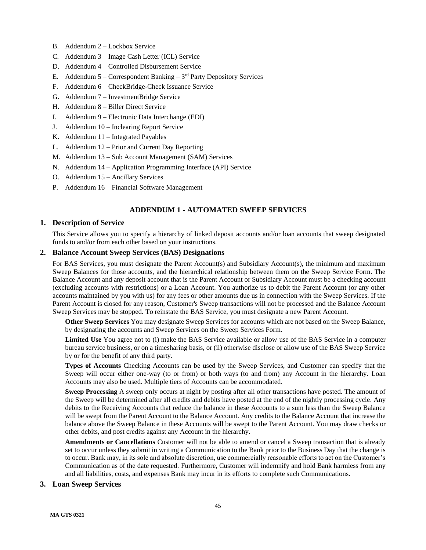- B. Addendum 2 Lockbox Service
- C. Addendum 3 Image Cash Letter (ICL) Service
- D. Addendum 4 Controlled Disbursement Service
- E. Addendum  $5$  Correspondent Banking  $3<sup>rd</sup>$  Party Depository Services
- F. Addendum 6 CheckBridge-Check Issuance Service
- G. Addendum 7 InvestmentBridge Service
- H. Addendum 8 Biller Direct Service
- I. Addendum 9 Electronic Data Interchange (EDI)
- J. Addendum 10 Inclearing Report Service
- K. Addendum 11 Integrated Payables
- L. Addendum 12 Prior and Current Day Reporting
- M. Addendum 13 Sub Account Management (SAM) Services
- N. Addendum 14 Application Programming Interface (API) Service
- O. Addendum 15 Ancillary Services
- P. Addendum 16 Financial Software Management

# **ADDENDUM 1 - AUTOMATED SWEEP SERVICES**

## <span id="page-44-1"></span><span id="page-44-0"></span>**1. Description of Service**

This Service allows you to specify a hierarchy of linked deposit accounts and/or loan accounts that sweep designated funds to and/or from each other based on your instructions.

## <span id="page-44-2"></span>**2. Balance Account Sweep Services (BAS) Designations**

For BAS Services, you must designate the Parent Account(s) and Subsidiary Account(s), the minimum and maximum Sweep Balances for those accounts, and the hierarchical relationship between them on the Sweep Service Form. The Balance Account and any deposit account that is the Parent Account or Subsidiary Account must be a checking account (excluding accounts with restrictions) or a Loan Account. You authorize us to debit the Parent Account (or any other accounts maintained by you with us) for any fees or other amounts due us in connection with the Sweep Services. If the Parent Account is closed for any reason, Customer's Sweep transactions will not be processed and the Balance Account Sweep Services may be stopped. To reinstate the BAS Service, you must designate a new Parent Account.

**Other Sweep Services** You may designate Sweep Services for accounts which are not based on the Sweep Balance, by designating the accounts and Sweep Services on the Sweep Services Form.

**Limited Use** You agree not to (i) make the BAS Service available or allow use of the BAS Service in a computer bureau service business, or on a timesharing basis, or (ii) otherwise disclose or allow use of the BAS Sweep Service by or for the benefit of any third party.

**Types of Accounts** Checking Accounts can be used by the Sweep Services, and Customer can specify that the Sweep will occur either one-way (to or from) or both ways (to and from) any Account in the hierarchy. Loan Accounts may also be used. Multiple tiers of Accounts can be accommodated.

**Sweep Processing** A sweep only occurs at night by posting after all other transactions have posted. The amount of the Sweep will be determined after all credits and debits have posted at the end of the nightly processing cycle. Any debits to the Receiving Accounts that reduce the balance in these Accounts to a sum less than the Sweep Balance will be swept from the Parent Account to the Balance Account. Any credits to the Balance Account that increase the balance above the Sweep Balance in these Accounts will be swept to the Parent Account. You may draw checks or other debits, and post credits against any Account in the hierarchy.

**Amendments or Cancellations** Customer will not be able to amend or cancel a Sweep transaction that is already set to occur unless they submit in writing a Communication to the Bank prior to the Business Day that the change is to occur. Bank may, in its sole and absolute discretion, use commercially reasonable efforts to act on the Customer's Communication as of the date requested. Furthermore, Customer will indemnify and hold Bank harmless from any and all liabilities, costs, and expenses Bank may incur in its efforts to complete such Communications.

## <span id="page-44-3"></span>**3. Loan Sweep Services**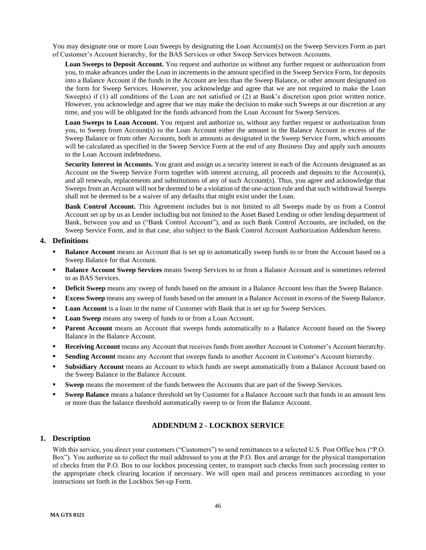You may designate one or more Loan Sweeps by designating the Loan Account(s) on the Sweep Services Form as part of Customer's Account hierarchy, for the BAS Services or other Sweep Services between Accounts.

**Loan Sweeps to Deposit Account.** You request and authorize us without any further request or authorization from you, to make advances under the Loan in increments in the amount specified in the Sweep Service Form, for deposits into a Balance Account if the funds in the Account are less than the Sweep Balance, or other amount designated on the form for Sweep Services. However, you acknowledge and agree that we are not required to make the Loan Sweep(s) if (1) all conditions of the Loan are not satisfied or (2) at Bank's discretion upon prior written notice. However, you acknowledge and agree that we may make the decision to make such Sweeps at our discretion at any time, and you will be obligated for the funds advanced from the Loan Account for Sweep Services.

**Loan Sweeps to Loan Account.** You request and authorize us, without any further request or authorization from you, to Sweep from Account(s) to the Loan Account either the amount in the Balance Account in excess of the Sweep Balance or from other Accounts, both in amounts as designated in the Sweep Service Form, which amounts will be calculated as specified in the Sweep Service Form at the end of any Business Day and apply such amounts to the Loan Account indebtedness.

**Security Interest in Accounts.** You grant and assign us a security interest in each of the Accounts designated as an Account on the Sweep Service Form together with interest accruing, all proceeds and deposits to the Account(s), and all renewals, replacements and substitutions of any of such Account(s). Thus, you agree and acknowledge that Sweeps from an Account will not be deemed to be a violation of the one-action rule and that such withdrawal Sweeps shall not be deemed to be a waiver of any defaults that might exist under the Loan.

**Bank Control Account.** This Agreement includes but is not limited to all Sweeps made by us from a Control Account set up by us as Lender including but not limited to the Asset Based Lending or other lending department of Bank, between you and us ("Bank Control Account"), and as such Bank Control Accounts, are included, on the Sweep Service Form, and in that case, also subject to the Bank Control Account Authorization Addendum hereto.

## <span id="page-45-0"></span>**4. Definitions**

- **Balance Account** means an Account that is set up to automatically sweep funds to or from the Account based on a Sweep Balance for that Account.
- **Balance Account Sweep Services** means Sweep Services to or from a Balance Account and is sometimes referred to as BAS Services.
- **Deficit Sweep** means any sweep of funds based on the amount in a Balance Account less than the Sweep Balance.
- **Excess Sweep** means any sweep of funds based on the amount in a Balance Account in excess of the Sweep Balance.
- **Loan Account** is a loan in the name of Customer with Bank that is set up for Sweep Services.
- **Loan Sweep** means any sweep of funds to or from a Loan Account.
- **Parent Account** means an Account that sweeps funds automatically to a Balance Account based on the Sweep Balance in the Balance Account.
- **Receiving Account** means any Account that receives funds from another Account in Customer's Account hierarchy.
- **Sending Account** means any Account that sweeps funds to another Account in Customer's Account hierarchy.
- **Subsidiary Account** means an Account to which funds are swept automatically from a Balance Account based on the Sweep Balance in the Balance Account.
- **Sweep** means the movement of the funds between the Accounts that are part of the Sweep Services.
- **Sweep Balance** means a balance threshold set by Customer for a Balance Account such that funds in an amount less or more than the balance threshold automatically sweep to or from the Balance Account.

# **ADDENDUM 2 - LOCKBOX SERVICE**

# <span id="page-45-2"></span><span id="page-45-1"></span>**1. Description**

With this service, you direct your customers ("Customers") to send remittances to a selected U.S. Post Office box ("P.O. Box"). You authorize us to collect the mail addressed to you at the P.O. Box and arrange for the physical transportation of checks from the P.O. Box to our lockbox processing center, to transport such checks from such processing center to the appropriate check clearing location if necessary. We will open mail and process remittances according to your instructions set forth in the Lockbox Set-up Form.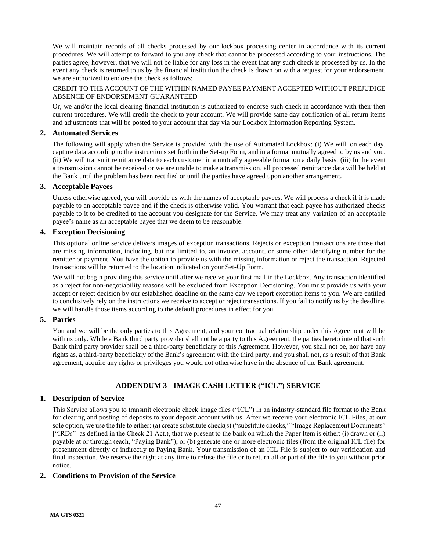We will maintain records of all checks processed by our lockbox processing center in accordance with its current procedures. We will attempt to forward to you any check that cannot be processed according to your instructions. The parties agree, however, that we will not be liable for any loss in the event that any such check is processed by us. In the event any check is returned to us by the financial institution the check is drawn on with a request for your endorsement, we are authorized to endorse the check as follows:

### CREDIT TO THE ACCOUNT OF THE WITHIN NAMED PAYEE PAYMENT ACCEPTED WITHOUT PREJUDICE ABSENCE OF ENDORSEMENT GUARANTEED

Or, we and/or the local clearing financial institution is authorized to endorse such check in accordance with their then current procedures. We will credit the check to your account. We will provide same day notification of all return items and adjustments that will be posted to your account that day via our Lockbox Information Reporting System.

## <span id="page-46-0"></span>**2. Automated Services**

The following will apply when the Service is provided with the use of Automated Lockbox: (i) We will, on each day, capture data according to the instructions set forth in the Set-up Form, and in a format mutually agreed to by us and you. (ii) We will transmit remittance data to each customer in a mutually agreeable format on a daily basis. (iii) In the event a transmission cannot be received or we are unable to make a transmission, all processed remittance data will be held at the Bank until the problem has been rectified or until the parties have agreed upon another arrangement.

### <span id="page-46-1"></span>**3. Acceptable Payees**

Unless otherwise agreed, you will provide us with the names of acceptable payees. We will process a check if it is made payable to an acceptable payee and if the check is otherwise valid. You warrant that each payee has authorized checks payable to it to be credited to the account you designate for the Service. We may treat any variation of an acceptable payee's name as an acceptable payee that we deem to be reasonable.

### <span id="page-46-2"></span>**4. Exception Decisioning**

This optional online service delivers images of exception transactions. Rejects or exception transactions are those that are missing information, including, but not limited to, an invoice, account, or some other identifying number for the remitter or payment. You have the option to provide us with the missing information or reject the transaction. Rejected transactions will be returned to the location indicated on your Set-Up Form.

We will not begin providing this service until after we receive your first mail in the Lockbox. Any transaction identified as a reject for non-negotiability reasons will be excluded from Exception Decisioning. You must provide us with your accept or reject decision by our established deadline on the same day we report exception items to you. We are entitled to conclusively rely on the instructions we receive to accept or reject transactions. If you fail to notify us by the deadline, we will handle those items according to the default procedures in effect for you.

## <span id="page-46-3"></span>**5. Parties**

You and we will be the only parties to this Agreement, and your contractual relationship under this Agreement will be with us only. While a Bank third party provider shall not be a party to this Agreement, the parties hereto intend that such Bank third party provider shall be a third-party beneficiary of this Agreement. However, you shall not be, nor have any rights as, a third-party beneficiary of the Bank's agreement with the third party, and you shall not, as a result of that Bank agreement, acquire any rights or privileges you would not otherwise have in the absence of the Bank agreement.

# **ADDENDUM 3 - IMAGE CASH LETTER ("ICL") SERVICE**

## <span id="page-46-5"></span><span id="page-46-4"></span>**1. Description of Service**

This Service allows you to transmit electronic check image files ("ICL") in an industry-standard file format to the Bank for clearing and posting of deposits to your deposit account with us. After we receive your electronic ICL Files, at our sole option, we use the file to either: (a) create substitute check(s) ("substitute checks," "Image Replacement Documents" ["IRDs"] as defined in the Check 21 Act.), that we present to the bank on which the Paper Item is either: (i) drawn or (ii) payable at or through (each, "Paying Bank"); or (b) generate one or more electronic files (from the original ICL file) for presentment directly or indirectly to Paying Bank. Your transmission of an ICL File is subject to our verification and final inspection. We reserve the right at any time to refuse the file or to return all or part of the file to you without prior notice.

## <span id="page-46-6"></span>**2. Conditions to Provision of the Service**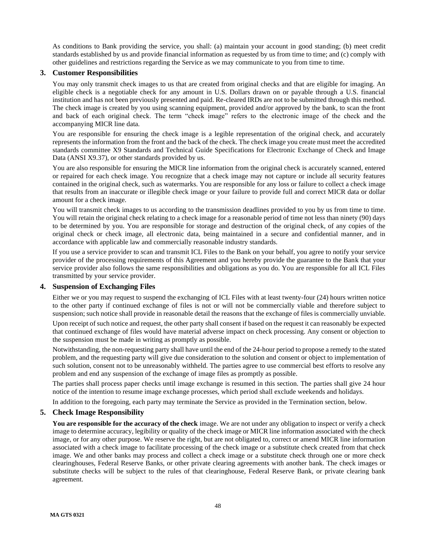As conditions to Bank providing the service, you shall: (a) maintain your account in good standing; (b) meet credit standards established by us and provide financial information as requested by us from time to time; and (c) comply with other guidelines and restrictions regarding the Service as we may communicate to you from time to time.

## <span id="page-47-0"></span>**3. Customer Responsibilities**

You may only transmit check images to us that are created from original checks and that are eligible for imaging. An eligible check is a negotiable check for any amount in U.S. Dollars drawn on or payable through a U.S. financial institution and has not been previously presented and paid. Re-cleared IRDs are not to be submitted through this method. The check image is created by you using scanning equipment, provided and/or approved by the bank, to scan the front and back of each original check. The term "check image" refers to the electronic image of the check and the accompanying MICR line data.

You are responsible for ensuring the check image is a legible representation of the original check, and accurately represents the information from the front and the back of the check. The check image you create must meet the accredited standards committee X9 Standards and Technical Guide Specifications for Electronic Exchange of Check and Image Data (ANSI X9.37), or other standards provided by us.

You are also responsible for ensuring the MICR line information from the original check is accurately scanned, entered or repaired for each check image. You recognize that a check image may not capture or include all security features contained in the original check, such as watermarks. You are responsible for any loss or failure to collect a check image that results from an inaccurate or illegible check image or your failure to provide full and correct MICR data or dollar amount for a check image.

You will transmit check images to us according to the transmission deadlines provided to you by us from time to time. You will retain the original check relating to a check image for a reasonable period of time not less than ninety (90) days to be determined by you. You are responsible for storage and destruction of the original check, of any copies of the original check or check image, all electronic data, being maintained in a secure and confidential manner, and in accordance with applicable law and commercially reasonable industry standards.

If you use a service provider to scan and transmit ICL Files to the Bank on your behalf, you agree to notify your service provider of the processing requirements of this Agreement and you hereby provide the guarantee to the Bank that your service provider also follows the same responsibilities and obligations as you do. You are responsible for all ICL Files transmitted by your service provider.

## <span id="page-47-1"></span>**4. Suspension of Exchanging Files**

Either we or you may request to suspend the exchanging of ICL Files with at least twenty-four (24) hours written notice to the other party if continued exchange of files is not or will not be commercially viable and therefore subject to suspension; such notice shall provide in reasonable detail the reasons that the exchange of files is commercially unviable.

Upon receipt of such notice and request, the other party shall consent if based on the request it can reasonably be expected that continued exchange of files would have material adverse impact on check processing. Any consent or objection to the suspension must be made in writing as promptly as possible.

Notwithstanding, the non-requesting party shall have until the end of the 24-hour period to propose a remedy to the stated problem, and the requesting party will give due consideration to the solution and consent or object to implementation of such solution, consent not to be unreasonably withheld. The parties agree to use commercial best efforts to resolve any problem and end any suspension of the exchange of image files as promptly as possible.

The parties shall process paper checks until image exchange is resumed in this section. The parties shall give 24 hour notice of the intention to resume image exchange processes, which period shall exclude weekends and holidays.

In addition to the foregoing, each party may terminate the Service as provided in the Termination section, below.

## <span id="page-47-2"></span>**5. Check Image Responsibility**

**You are responsible for the accuracy of the check** image. We are not under any obligation to inspect or verify a check image to determine accuracy, legibility or quality of the check image or MICR line information associated with the check image, or for any other purpose. We reserve the right, but are not obligated to, correct or amend MICR line information associated with a check image to facilitate processing of the check image or a substitute check created from that check image. We and other banks may process and collect a check image or a substitute check through one or more check clearinghouses, Federal Reserve Banks, or other private clearing agreements with another bank. The check images or substitute checks will be subject to the rules of that clearinghouse, Federal Reserve Bank, or private clearing bank agreement.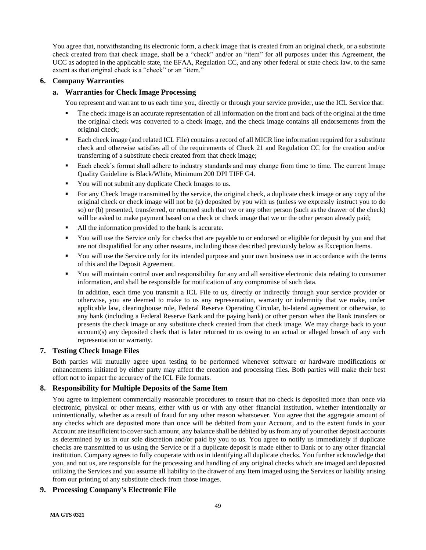You agree that, notwithstanding its electronic form, a check image that is created from an original check, or a substitute check created from that check image, shall be a "check" and/or an "item" for all purposes under this Agreement, the UCC as adopted in the applicable state, the EFAA, Regulation CC, and any other federal or state check law, to the same extent as that original check is a "check" or an "item."

## <span id="page-48-0"></span>**6. Company Warranties**

## **a. Warranties for Check Image Processing**

You represent and warrant to us each time you, directly or through your service provider, use the ICL Service that:

- The check image is an accurate representation of all information on the front and back of the original at the time the original check was converted to a check image, and the check image contains all endorsements from the original check;
- Each check image (and related ICL File) contains a record of all MICR line information required for a substitute check and otherwise satisfies all of the requirements of Check 21 and Regulation CC for the creation and/or transferring of a substitute check created from that check image;
- Each check's format shall adhere to industry standards and may change from time to time. The current Image Quality Guideline is Black/White, Minimum 200 DPI TIFF G4.
- You will not submit any duplicate Check Images to us.
- For any Check Image transmitted by the service, the original check, a duplicate check image or any copy of the original check or check image will not be (a) deposited by you with us (unless we expressly instruct you to do so) or (b) presented, transferred, or returned such that we or any other person (such as the drawer of the check) will be asked to make payment based on a check or check image that we or the other person already paid;
- All the information provided to the bank is accurate.
- You will use the Service only for checks that are payable to or endorsed or eligible for deposit by you and that are not disqualified for any other reasons, including those described previously below as Exception Items.
- You will use the Service only for its intended purpose and your own business use in accordance with the terms of this and the Deposit Agreement.
- You will maintain control over and responsibility for any and all sensitive electronic data relating to consumer information, and shall be responsible for notification of any compromise of such data.

In addition, each time you transmit a ICL File to us, directly or indirectly through your service provider or otherwise, you are deemed to make to us any representation, warranty or indemnity that we make, under applicable law, clearinghouse rule, Federal Reserve Operating Circular, bi-lateral agreement or otherwise, to any bank (including a Federal Reserve Bank and the paying bank) or other person when the Bank transfers or presents the check image or any substitute check created from that check image. We may charge back to your account(s) any deposited check that is later returned to us owing to an actual or alleged breach of any such representation or warranty.

### <span id="page-48-1"></span>**7. Testing Check Image Files**

Both parties will mutually agree upon testing to be performed whenever software or hardware modifications or enhancements initiated by either party may affect the creation and processing files. Both parties will make their best effort not to impact the accuracy of the ICL File formats.

## <span id="page-48-2"></span>**8. Responsibility for Multiple Deposits of the Same Item**

You agree to implement commercially reasonable procedures to ensure that no check is deposited more than once via electronic, physical or other means, either with us or with any other financial institution, whether intentionally or unintentionally, whether as a result of fraud for any other reason whatsoever. You agree that the aggregate amount of any checks which are deposited more than once will be debited from your Account, and to the extent funds in your Account are insufficient to cover such amount, any balance shall be debited by us from any of your other deposit accounts as determined by us in our sole discretion and/or paid by you to us. You agree to notify us immediately if duplicate checks are transmitted to us using the Service or if a duplicate deposit is made either to Bank or to any other financial institution. Company agrees to fully cooperate with us in identifying all duplicate checks. You further acknowledge that you, and not us, are responsible for the processing and handling of any original checks which are imaged and deposited utilizing the Services and you assume all liability to the drawer of any Item imaged using the Services or liability arising from our printing of any substitute check from those images.

## <span id="page-48-3"></span>**9. Processing Company's Electronic File**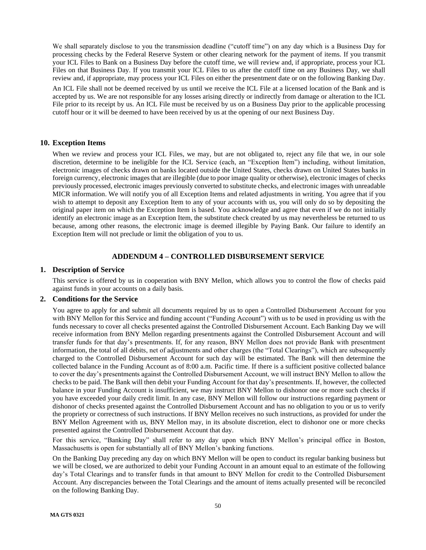We shall separately disclose to you the transmission deadline ("cutoff time") on any day which is a Business Day for processing checks by the Federal Reserve System or other clearing network for the payment of items. If you transmit your ICL Files to Bank on a Business Day before the cutoff time, we will review and, if appropriate, process your ICL Files on that Business Day. If you transmit your ICL Files to us after the cutoff time on any Business Day, we shall review and, if appropriate, may process your ICL Files on either the presentment date or on the following Banking Day.

An ICL File shall not be deemed received by us until we receive the ICL File at a licensed location of the Bank and is accepted by us. We are not responsible for any losses arising directly or indirectly from damage or alteration to the ICL File prior to its receipt by us. An ICL File must be received by us on a Business Day prior to the applicable processing cutoff hour or it will be deemed to have been received by us at the opening of our next Business Day.

### <span id="page-49-0"></span>**10. Exception Items**

When we review and process your ICL Files, we may, but are not obligated to, reject any file that we, in our sole discretion, determine to be ineligible for the ICL Service (each, an "Exception Item") including, without limitation, electronic images of checks drawn on banks located outside the United States, checks drawn on United States banks in foreign currency, electronic images that are illegible (due to poor image quality or otherwise), electronic images of checks previously processed, electronic images previously converted to substitute checks, and electronic images with unreadable MICR information. We will notify you of all Exception Items and related adjustments in writing. You agree that if you wish to attempt to deposit any Exception Item to any of your accounts with us, you will only do so by depositing the original paper item on which the Exception Item is based. You acknowledge and agree that even if we do not initially identify an electronic image as an Exception Item, the substitute check created by us may nevertheless be returned to us because, among other reasons, the electronic image is deemed illegible by Paying Bank. Our failure to identify an Exception Item will not preclude or limit the obligation of you to us.

### **ADDENDUM 4 – CONTROLLED DISBURSEMENT SERVICE**

#### <span id="page-49-2"></span><span id="page-49-1"></span>**1. Description of Service**

This service is offered by us in cooperation with BNY Mellon, which allows you to control the flow of checks paid against funds in your accounts on a daily basis.

### <span id="page-49-3"></span>**2. Conditions for the Service**

You agree to apply for and submit all documents required by us to open a Controlled Disbursement Account for you with BNY Mellon for this Service and funding account ("Funding Account") with us to be used in providing us with the funds necessary to cover all checks presented against the Controlled Disbursement Account. Each Banking Day we will receive information from BNY Mellon regarding presentments against the Controlled Disbursement Account and will transfer funds for that day's presentments. If, for any reason, BNY Mellon does not provide Bank with presentment information, the total of all debits, net of adjustments and other charges (the "Total Clearings"), which are subsequently charged to the Controlled Disbursement Account for such day will be estimated. The Bank will then determine the collected balance in the Funding Account as of 8:00 a.m. Pacific time. If there is a sufficient positive collected balance to cover the day's presentments against the Controlled Disbursement Account, we will instruct BNY Mellon to allow the checks to be paid. The Bank will then debit your Funding Account for that day's presentments. If, however, the collected balance in your Funding Account is insufficient, we may instruct BNY Mellon to dishonor one or more such checks if you have exceeded your daily credit limit. In any case, BNY Mellon will follow our instructions regarding payment or dishonor of checks presented against the Controlled Disbursement Account and has no obligation to you or us to verify the propriety or correctness of such instructions. If BNY Mellon receives no such instructions, as provided for under the BNY Mellon Agreement with us, BNY Mellon may, in its absolute discretion, elect to dishonor one or more checks presented against the Controlled Disbursement Account that day.

For this service, "Banking Day" shall refer to any day upon which BNY Mellon's principal office in Boston, Massachusetts is open for substantially all of BNY Mellon's banking functions.

On the Banking Day preceding any day on which BNY Mellon will be open to conduct its regular banking business but we will be closed, we are authorized to debit your Funding Account in an amount equal to an estimate of the following day's Total Clearings and to transfer funds in that amount to BNY Mellon for credit to the Controlled Disbursement Account. Any discrepancies between the Total Clearings and the amount of items actually presented will be reconciled on the following Banking Day.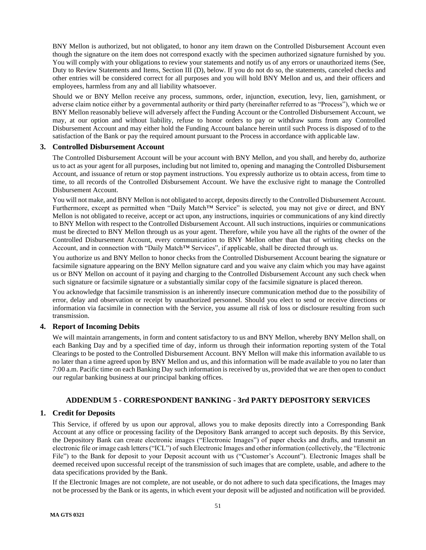BNY Mellon is authorized, but not obligated, to honor any item drawn on the Controlled Disbursement Account even though the signature on the item does not correspond exactly with the specimen authorized signature furnished by you. You will comply with your obligations to review your statements and notify us of any errors or unauthorized items (See, Duty to Review Statements and Items, Section III (D), below. If you do not do so, the statements, canceled checks and other entries will be considered correct for all purposes and you will hold BNY Mellon and us, and their officers and employees, harmless from any and all liability whatsoever.

Should we or BNY Mellon receive any process, summons, order, injunction, execution, levy, lien, garnishment, or adverse claim notice either by a governmental authority or third party (hereinafter referred to as "Process"), which we or BNY Mellon reasonably believe will adversely affect the Funding Account or the Controlled Disbursement Account, we may, at our option and without liability, refuse to honor orders to pay or withdraw sums from any Controlled Disbursement Account and may either hold the Funding Account balance herein until such Process is disposed of to the satisfaction of the Bank or pay the required amount pursuant to the Process in accordance with applicable law.

### <span id="page-50-0"></span>**3. Controlled Disbursement Account**

The Controlled Disbursement Account will be your account with BNY Mellon, and you shall, and hereby do, authorize us to act as your agent for all purposes, including but not limited to, opening and managing the Controlled Disbursement Account, and issuance of return or stop payment instructions. You expressly authorize us to obtain access, from time to time, to all records of the Controlled Disbursement Account. We have the exclusive right to manage the Controlled Disbursement Account.

You will not make, and BNY Mellon is not obligated to accept, deposits directly to the Controlled Disbursement Account. Furthermore, except as permitted when "Daily Match™ Service" is selected, you may not give or direct, and BNY Mellon is not obligated to receive, accept or act upon, any instructions, inquiries or communications of any kind directly to BNY Mellon with respect to the Controlled Disbursement Account. All such instructions, inquiries or communications must be directed to BNY Mellon through us as your agent. Therefore, while you have all the rights of the owner of the Controlled Disbursement Account, every communication to BNY Mellon other than that of writing checks on the Account, and in connection with "Daily Match™ Services", if applicable, shall be directed through us.

You authorize us and BNY Mellon to honor checks from the Controlled Disbursement Account bearing the signature or facsimile signature appearing on the BNY Mellon signature card and you waive any claim which you may have against us or BNY Mellon on account of it paying and charging to the Controlled Disbursement Account any such check when such signature or facsimile signature or a substantially similar copy of the facsimile signature is placed thereon.

You acknowledge that facsimile transmission is an inherently insecure communication method due to the possibility of error, delay and observation or receipt by unauthorized personnel. Should you elect to send or receive directions or information via facsimile in connection with the Service, you assume all risk of loss or disclosure resulting from such transmission.

## <span id="page-50-1"></span>**4. Report of Incoming Debits**

We will maintain arrangements, in form and content satisfactory to us and BNY Mellon, whereby BNY Mellon shall, on each Banking Day and by a specified time of day, inform us through their information reporting system of the Total Clearings to be posted to the Controlled Disbursement Account. BNY Mellon will make this information available to us no later than a time agreed upon by BNY Mellon and us, and this information will be made available to you no later than 7:00 a.m. Pacific time on each Banking Day such information is received by us, provided that we are then open to conduct our regular banking business at our principal banking offices.

## **ADDENDUM 5 - CORRESPONDENT BANKING - 3rd PARTY DEPOSITORY SERVICES**

## <span id="page-50-3"></span><span id="page-50-2"></span>**1. Credit for Deposits**

This Service, if offered by us upon our approval, allows you to make deposits directly into a Corresponding Bank Account at any office or processing facility of the Depository Bank arranged to accept such deposits. By this Service, the Depository Bank can create electronic images ("Electronic Images") of paper checks and drafts, and transmit an electronic file or image cash letters ("ICL") of such Electronic Images and other information (collectively, the "Electronic File") to the Bank for deposit to your Deposit account with us ("Customer's Account"). Electronic Images shall be deemed received upon successful receipt of the transmission of such images that are complete, usable, and adhere to the data specifications provided by the Bank.

If the Electronic Images are not complete, are not useable, or do not adhere to such data specifications, the Images may not be processed by the Bank or its agents, in which event your deposit will be adjusted and notification will be provided.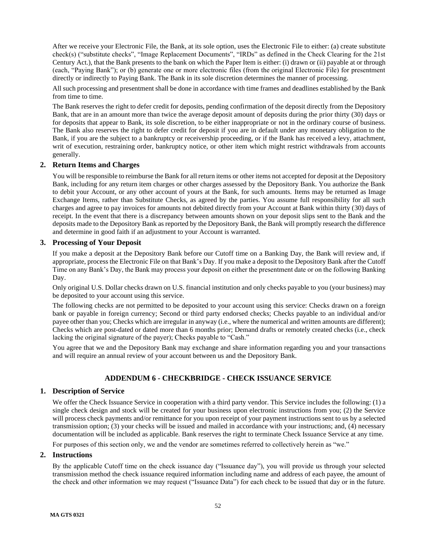After we receive your Electronic File, the Bank, at its sole option, uses the Electronic File to either: (a) create substitute check(s) ("substitute checks", "Image Replacement Documents", "IRDs" as defined in the Check Clearing for the 21st Century Act.), that the Bank presents to the bank on which the Paper Item is either: (i) drawn or (ii) payable at or through (each, "Paying Bank"); or (b) generate one or more electronic files (from the original Electronic File) for presentment directly or indirectly to Paying Bank. The Bank in its sole discretion determines the manner of processing.

All such processing and presentment shall be done in accordance with time frames and deadlines established by the Bank from time to time.

The Bank reserves the right to defer credit for deposits, pending confirmation of the deposit directly from the Depository Bank, that are in an amount more than twice the average deposit amount of deposits during the prior thirty (30) days or for deposits that appear to Bank, its sole discretion, to be either inappropriate or not in the ordinary course of business. The Bank also reserves the right to defer credit for deposit if you are in default under any monetary obligation to the Bank, if you are the subject to a bankruptcy or receivership proceeding, or if the Bank has received a levy, attachment, writ of execution, restraining order, bankruptcy notice, or other item which might restrict withdrawals from accounts generally.

## <span id="page-51-0"></span>**2. Return Items and Charges**

You will be responsible to reimburse the Bank for all return items or other items not accepted for deposit at the Depository Bank, including for any return item charges or other charges assessed by the Depository Bank. You authorize the Bank to debit your Account, or any other account of yours at the Bank, for such amounts. Items may be returned as Image Exchange Items, rather than Substitute Checks, as agreed by the parties. You assume full responsibility for all such charges and agree to pay invoices for amounts not debited directly from your Account at Bank within thirty (30) days of receipt. In the event that there is a discrepancy between amounts shown on your deposit slips sent to the Bank and the deposits made to the Depository Bank as reported by the Depository Bank, the Bank will promptly research the difference and determine in good faith if an adjustment to your Account is warranted.

## <span id="page-51-1"></span>**3. Processing of Your Deposit**

If you make a deposit at the Depository Bank before our Cutoff time on a Banking Day, the Bank will review and, if appropriate, process the Electronic File on that Bank's Day. If you make a deposit to the Depository Bank after the Cutoff Time on any Bank's Day, the Bank may process your deposit on either the presentment date or on the following Banking Day.

Only original U.S. Dollar checks drawn on U.S. financial institution and only checks payable to you (your business) may be deposited to your account using this service.

The following checks are not permitted to be deposited to your account using this service: Checks drawn on a foreign bank or payable in foreign currency; Second or third party endorsed checks; Checks payable to an individual and/or payee other than you; Checks which are irregular in anyway (i.e., where the numerical and written amounts are different); Checks which are post-dated or dated more than 6 months prior; Demand drafts or remotely created checks (i.e., check lacking the original signature of the payer); Checks payable to "Cash."

You agree that we and the Depository Bank may exchange and share information regarding you and your transactions and will require an annual review of your account between us and the Depository Bank.

# **ADDENDUM 6 - CHECKBRIDGE - CHECK ISSUANCE SERVICE**

### <span id="page-51-3"></span><span id="page-51-2"></span>**1. Description of Service**

We offer the Check Issuance Service in cooperation with a third party vendor. This Service includes the following: (1) a single check design and stock will be created for your business upon electronic instructions from you; (2) the Service will process check payments and/or remittance for you upon receipt of your payment instructions sent to us by a selected transmission option; (3) your checks will be issued and mailed in accordance with your instructions; and, (4) necessary documentation will be included as applicable. Bank reserves the right to terminate Check Issuance Service at any time.

For purposes of this section only, we and the vendor are sometimes referred to collectively herein as "we."

### <span id="page-51-4"></span>**2. Instructions**

By the applicable Cutoff time on the check issuance day ("Issuance day"), you will provide us through your selected transmission method the check issuance required information including name and address of each payee, the amount of the check and other information we may request ("Issuance Data") for each check to be issued that day or in the future.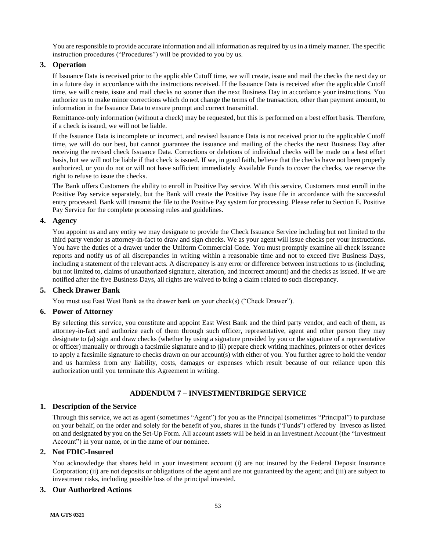You are responsible to provide accurate information and all information as required by us in a timely manner. The specific instruction procedures ("Procedures") will be provided to you by us.

## <span id="page-52-0"></span>**3. Operation**

If Issuance Data is received prior to the applicable Cutoff time, we will create, issue and mail the checks the next day or in a future day in accordance with the instructions received. If the Issuance Data is received after the applicable Cutoff time, we will create, issue and mail checks no sooner than the next Business Day in accordance your instructions. You authorize us to make minor corrections which do not change the terms of the transaction, other than payment amount, to information in the Issuance Data to ensure prompt and correct transmittal.

Remittance-only information (without a check) may be requested, but this is performed on a best effort basis. Therefore, if a check is issued, we will not be liable.

If the Issuance Data is incomplete or incorrect, and revised Issuance Data is not received prior to the applicable Cutoff time, we will do our best, but cannot guarantee the issuance and mailing of the checks the next Business Day after receiving the revised check Issuance Data. Corrections or deletions of individual checks will be made on a best effort basis, but we will not be liable if that check is issued. If we, in good faith, believe that the checks have not been properly authorized, or you do not or will not have sufficient immediately Available Funds to cover the checks, we reserve the right to refuse to issue the checks.

The Bank offers Customers the ability to enroll in Positive Pay service. With this service, Customers must enroll in the Positive Pay service separately, but the Bank will create the Positive Pay issue file in accordance with the successful entry processed. Bank will transmit the file to the Positive Pay system for processing. Please refer to Section E. Positive Pay Service for the complete processing rules and guidelines.

### <span id="page-52-1"></span>**4. Agency**

You appoint us and any entity we may designate to provide the Check Issuance Service including but not limited to the third party vendor as attorney-in-fact to draw and sign checks. We as your agent will issue checks per your instructions. You have the duties of a drawer under the Uniform Commercial Code. You must promptly examine all check issuance reports and notify us of all discrepancies in writing within a reasonable time and not to exceed five Business Days, including a statement of the relevant acts. A discrepancy is any error or difference between instructions to us (including, but not limited to, claims of unauthorized signature, alteration, and incorrect amount) and the checks as issued. If we are notified after the five Business Days, all rights are waived to bring a claim related to such discrepancy.

### <span id="page-52-2"></span>**5. Check Drawer Bank**

You must use East West Bank as the drawer bank on your check(s) ("Check Drawer").

### <span id="page-52-3"></span>**6. Power of Attorney**

By selecting this service, you constitute and appoint East West Bank and the third party vendor, and each of them, as attorney-in-fact and authorize each of them through such officer, representative, agent and other person they may designate to (a) sign and draw checks (whether by using a signature provided by you or the signature of a representative or officer) manually or through a facsimile signature and to (ii) prepare check writing machines, printers or other devices to apply a facsimile signature to checks drawn on our account(s) with either of you. You further agree to hold the vendor and us harmless from any liability, costs, damages or expenses which result because of our reliance upon this authorization until you terminate this Agreement in writing.

## **ADDENDUM 7 – INVESTMENTBRIDGE SERVICE**

### <span id="page-52-5"></span><span id="page-52-4"></span>**1. Description of the Service**

Through this service, we act as agent (sometimes "Agent") for you as the Principal (sometimes "Principal") to purchase on your behalf, on the order and solely for the benefit of you, shares in the funds ("Funds") offered by Invesco as listed on and designated by you on the Set-Up Form. All account assets will be held in an Investment Account (the "Investment Account") in your name, or in the name of our nominee.

## <span id="page-52-6"></span>**2. Not FDIC-Insured**

You acknowledge that shares held in your investment account (i) are not insured by the Federal Deposit Insurance Corporation; (ii) are not deposits or obligations of the agent and are not guaranteed by the agent; and (iii) are subject to investment risks, including possible loss of the principal invested.

### <span id="page-52-7"></span>**3. Our Authorized Actions**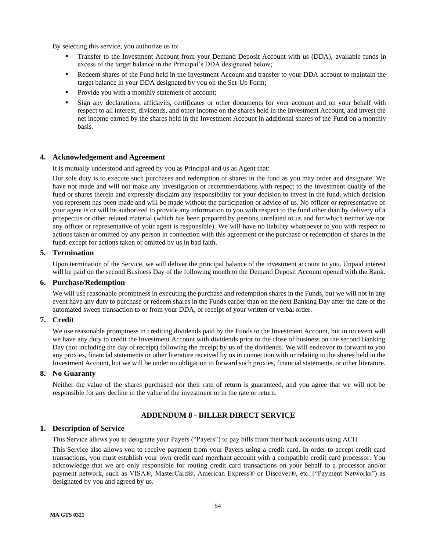By selecting this service, you authorize us to:

- Transfer to the Investment Account from your Demand Deposit Account with us (DDA), available funds in excess of the target balance in the Principal's DDA designated below;
- Redeem shares of the Fund held in the Investment Account and transfer to your DDA account to maintain the target balance in your DDA designated by you on the Set-Up Form;
- Provide you with a monthly statement of account;
- Sign any declarations, affidavits, certificates or other documents for your account and on your behalf with respect to all interest, dividends, and other income on the shares held in the Investment Account, and invest the net income earned by the shares held in the Investment Account in additional shares of the Fund on a monthly basis.

### <span id="page-53-0"></span>**4. Acknowledgement and Agreement**

It is mutually understood and agreed by you as Principal and us as Agent that:

Our sole duty is to execute such purchases and redemption of shares in the fund as you may order and designate. We have not made and will not make any investigation or recommendations with respect to the investment quality of the fund or shares therein and expressly disclaim any responsibility for your decision to invest in the fund, which decision you represent has been made and will be made without the participation or advice of us. No officer or representative of your agent is or will be authorized to provide any information to you with respect to the fund other than by delivery of a prospectus or other related material (which has been prepared by persons unrelated to us and for which neither we nor any officer or representative of your agent is responsible). We will have no liability whatsoever to you with respect to actions taken or omitted by any person in connection with this agreement or the purchase or redemption of shares in the fund, except for actions taken or omitted by us in bad faith.

### <span id="page-53-1"></span>**5. Termination**

Upon termination of the Service, we will deliver the principal balance of the investment account to you. Unpaid interest will be paid on the second Business Day of the following month to the Demand Deposit Account opened with the Bank.

## <span id="page-53-2"></span>**6. Purchase/Redemption**

We will use reasonable promptness in executing the purchase and redemption shares in the Funds, but we will not in any event have any duty to purchase or redeem shares in the Funds earlier than on the next Banking Day after the date of the automated sweep transaction to or from your DDA, or receipt of your written or verbal order.

### <span id="page-53-3"></span>**7. Credit**

We use reasonable promptness in crediting dividends paid by the Funds to the Investment Account, but in no event will we have any duty to credit the Investment Account with dividends prior to the close of business on the second Banking Day (not including the day of receipt) following the receipt by us of the dividends. We will endeavor to forward to you any proxies, financial statements or other literature received by us in connection with or relating to the shares held in the Investment Account, but we will be under no obligation to forward such proxies, financial statements, or other literature.

#### <span id="page-53-4"></span>**8. No Guaranty**

Neither the value of the shares purchased nor their rate of return is guaranteed, and you agree that we will not be responsible for any decline in the value of the investment or in the rate or return.

### **ADDENDUM 8 - BILLER DIRECT SERVICE**

### <span id="page-53-6"></span><span id="page-53-5"></span>**1. Description of Service**

This Service allows you to designate your Payers ("Payers") to pay bills from their bank accounts using ACH.

This Service also allows you to receive payment from your Payers using a credit card. In order to accept credit card transactions, you must establish your own credit card merchant account with a compatible credit card processor. You acknowledge that we are only responsible for routing credit card transactions on your behalf to a processor and/or payment network, such as VISA®, MasterCard®, American Express® or Discover®, etc. ("Payment Networks") as designated by you and agreed by us.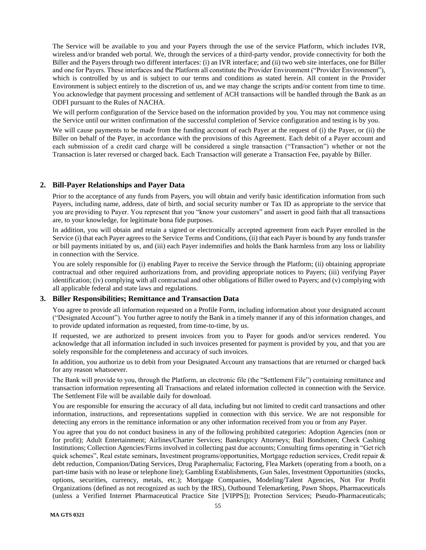The Service will be available to you and your Payers through the use of the service Platform, which includes IVR, wireless and/or branded web portal. We, through the services of a third-party vendor, provide connectivity for both the Biller and the Payers through two different interfaces: (i) an IVR interface; and (ii) two web site interfaces, one for Biller and one for Payers. These interfaces and the Platform all constitute the Provider Environment ("Provider Environment"), which is controlled by us and is subject to our terms and conditions as stated herein. All content in the Provider Environment is subject entirely to the discretion of us, and we may change the scripts and/or content from time to time. You acknowledge that payment processing and settlement of ACH transactions will be handled through the Bank as an ODFI pursuant to the Rules of NACHA.

We will perform configuration of the Service based on the information provided by you. You may not commence using the Service until our written confirmation of the successful completion of Service configuration and testing is by you.

We will cause payments to be made from the funding account of each Payer at the request of (i) the Payer, or (ii) the Biller on behalf of the Payer, in accordance with the provisions of this Agreement. Each debit of a Payer account and each submission of a credit card charge will be considered a single transaction ("Transaction") whether or not the Transaction is later reversed or charged back. Each Transaction will generate a Transaction Fee, payable by Biller.

### <span id="page-54-0"></span>**2. Bill-Payer Relationships and Payer Data**

Prior to the acceptance of any funds from Payers, you will obtain and verify basic identification information from such Payers, including name, address, date of birth, and social security number or Tax ID as appropriate to the service that you are providing to Payer. You represent that you "know your customers" and assert in good faith that all transactions are, to your knowledge, for legitimate bona fide purposes.

In addition, you will obtain and retain a signed or electronically accepted agreement from each Payer enrolled in the Service (i) that each Payer agrees to the Service Terms and Conditions, (ii) that each Payer is bound by any funds transfer or bill payments initiated by us, and (iii) each Payer indemnifies and holds the Bank harmless from any loss or liability in connection with the Service.

You are solely responsible for (i) enabling Payer to receive the Service through the Platform; (ii) obtaining appropriate contractual and other required authorizations from, and providing appropriate notices to Payers; (iii) verifying Payer identification; (iv) complying with all contractual and other obligations of Biller owed to Payers; and (v) complying with all applicable federal and state laws and regulations.

### <span id="page-54-1"></span>**3. Biller Responsibilities; Remittance and Transaction Data**

You agree to provide all information requested on a Profile Form, including information about your designated account ("Designated Account"). You further agree to notify the Bank in a timely manner if any of this information changes, and to provide updated information as requested, from time-to-time, by us.

If requested, we are authorized to present invoices from you to Payer for goods and/or services rendered. You acknowledge that all information included in such invoices presented for payment is provided by you, and that you are solely responsible for the completeness and accuracy of such invoices.

In addition, you authorize us to debit from your Designated Account any transactions that are returned or charged back for any reason whatsoever.

The Bank will provide to you, through the Platform, an electronic file (the "Settlement File") containing remittance and transaction information representing all Transactions and related information collected in connection with the Service. The Settlement File will be available daily for download.

You are responsible for ensuring the accuracy of all data, including but not limited to credit card transactions and other information, instructions, and representations supplied in connection with this service. We are not responsible for detecting any errors in the remittance information or any other information received from you or from any Payer.

You agree that you do not conduct business in any of the following prohibited categories: Adoption Agencies (non or for profit); Adult Entertainment; Airlines/Charter Services; Bankruptcy Attorneys; Bail Bondsmen; Check Cashing Institutions; Collection Agencies/Firms involved in collecting past due accounts; Consulting firms operating in "Get rich quick schemes", Real estate seminars, Investment programs/opportunities, Mortgage reduction services, Credit repair & debt reduction, Companion/Dating Services, Drug Paraphernalia; Factoring, Flea Markets (operating from a booth, on a part-time basis with no lease or telephone line); Gambling Establishments, Gun Sales, Investment Opportunities (stocks, options, securities, currency, metals, etc.); Mortgage Companies, Modeling/Talent Agencies, Not For Profit Organizations (defined as not recognized as such by the IRS), Outbound Telemarketing, Pawn Shops, Pharmaceuticals (unless a Verified Internet Pharmaceutical Practice Site [VIPPS]); Protection Services; Pseudo-Pharmaceuticals;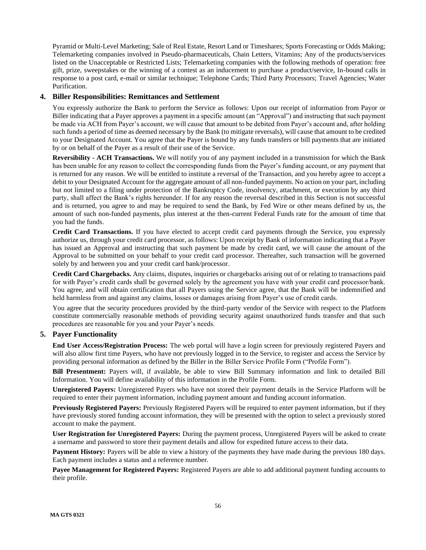Pyramid or Multi-Level Marketing; Sale of Real Estate, Resort Land or Timeshares; Sports Forecasting or Odds Making; Telemarketing companies involved in Pseudo-pharmaceuticals, Chain Letters, Vitamins; Any of the products/services listed on the Unacceptable or Restricted Lists; Telemarketing companies with the following methods of operation: free gift, prize, sweepstakes or the winning of a contest as an inducement to purchase a product/service, In-bound calls in response to a post card, e-mail or similar technique; Telephone Cards; Third Party Processors; Travel Agencies; Water Purification.

## <span id="page-55-0"></span>**4. Biller Responsibilities: Remittances and Settlement**

You expressly authorize the Bank to perform the Service as follows: Upon our receipt of information from Payor or Biller indicating that a Payer approves a payment in a specific amount (an "Approval") and instructing that such payment be made via ACH from Payer's account, we will cause that amount to be debited from Payer's account and, after holding such funds a period of time as deemed necessary by the Bank (to mitigate reversals), will cause that amount to be credited to your Designated Account. You agree that the Payer is bound by any funds transfers or bill payments that are initiated by or on behalf of the Payer as a result of their use of the Service.

**Reversibility - ACH Transactions.** We will notify you of any payment included in a transmission for which the Bank has been unable for any reason to collect the corresponding funds from the Payer's funding account, or any payment that is returned for any reason. We will be entitled to institute a reversal of the Transaction, and you hereby agree to accept a debit to your Designated Account for the aggregate amount of all non-funded payments. No action on your part, including but not limited to a filing under protection of the Bankruptcy Code, insolvency, attachment, or execution by any third party, shall affect the Bank's rights hereunder. If for any reason the reversal described in this Section is not successful and is returned, you agree to and may be required to send the Bank, by Fed Wire or other means defined by us, the amount of such non-funded payments, plus interest at the then-current Federal Funds rate for the amount of time that you had the funds.

**Credit Card Transactions.** If you have elected to accept credit card payments through the Service, you expressly authorize us, through your credit card processor, as follows: Upon receipt by Bank of information indicating that a Payer has issued an Approval and instructing that such payment be made by credit card, we will cause the amount of the Approval to be submitted on your behalf to your credit card processor. Thereafter, such transaction will be governed solely by and between you and your credit card bank/processor.

**Credit Card Chargebacks.** Any claims, disputes, inquiries or chargebacks arising out of or relating to transactions paid for with Payer's credit cards shall be governed solely by the agreement you have with your credit card processor/bank. You agree, and will obtain certification that all Payers using the Service agree, that the Bank will be indemnified and held harmless from and against any claims, losses or damages arising from Payer's use of credit cards.

You agree that the security procedures provided by the third-party vendor of the Service with respect to the Platform constitute commercially reasonable methods of providing security against unauthorized funds transfer and that such procedures are reasonable for you and your Payer's needs.

## <span id="page-55-1"></span>**5. Payer Functionality**

**End User Access/Registration Process:** The web portal will have a login screen for previously registered Payers and will also allow first time Payers, who have not previously logged in to the Service, to register and access the Service by providing personal information as defined by the Biller in the Biller Service Profile Form ("Profile Form").

**Bill Presentment:** Payers will, if available, be able to view Bill Summary information and link to detailed Bill Information. You will define availability of this information in the Profile Form.

**Unregistered Payers:** Unregistered Payers who have not stored their payment details in the Service Platform will be required to enter their payment information, including payment amount and funding account information.

**Previously Registered Payers:** Previously Registered Payers will be required to enter payment information, but if they have previously stored funding account information, they will be presented with the option to select a previously stored account to make the payment.

**User Registration for Unregistered Payers:** During the payment process, Unregistered Payers will be asked to create a username and password to store their payment details and allow for expedited future access to their data.

**Payment History:** Payers will be able to view a history of the payments they have made during the previous 180 days. Each payment includes a status and a reference number.

**Payee Management for Registered Payers:** Registered Payers are able to add additional payment funding accounts to their profile.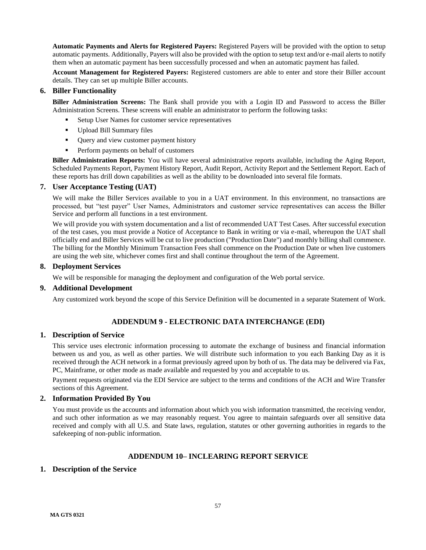**Automatic Payments and Alerts for Registered Payers:** Registered Payers will be provided with the option to setup automatic payments. Additionally, Payers will also be provided with the option to setup text and/or e-mail alerts to notify them when an automatic payment has been successfully processed and when an automatic payment has failed.

**Account Management for Registered Payers:** Registered customers are able to enter and store their Biller account details. They can set up multiple Biller accounts.

## <span id="page-56-0"></span>**6. Biller Functionality**

**Biller Administration Screens:** The Bank shall provide you with a Login ID and Password to access the Biller Administration Screens. These screens will enable an administrator to perform the following tasks:

- Setup User Names for customer service representatives
- Upload Bill Summary files
- Query and view customer payment history
- Perform payments on behalf of customers

**Biller Administration Reports:** You will have several administrative reports available, including the Aging Report, Scheduled Payments Report, Payment History Report, Audit Report, Activity Report and the Settlement Report. Each of these reports has drill down capabilities as well as the ability to be downloaded into several file formats.

### <span id="page-56-1"></span>**7. User Acceptance Testing (UAT)**

We will make the Biller Services available to you in a UAT environment. In this environment, no transactions are processed, but "test payer" User Names, Administrators and customer service representatives can access the Biller Service and perform all functions in a test environment.

We will provide you with system documentation and a list of recommended UAT Test Cases. After successful execution of the test cases, you must provide a Notice of Acceptance to Bank in writing or via e-mail, whereupon the UAT shall officially end and Biller Services will be cut to live production ("Production Date") and monthly billing shall commence. The billing for the Monthly Minimum Transaction Fees shall commence on the Production Date or when live customers are using the web site, whichever comes first and shall continue throughout the term of the Agreement.

### <span id="page-56-2"></span>**8. Deployment Services**

We will be responsible for managing the deployment and configuration of the Web portal service.

### <span id="page-56-3"></span>**9. Additional Development**

Any customized work beyond the scope of this Service Definition will be documented in a separate Statement of Work.

# **ADDENDUM 9 - ELECTRONIC DATA INTERCHANGE (EDI)**

### <span id="page-56-5"></span><span id="page-56-4"></span>**1. Description of Service**

This service uses electronic information processing to automate the exchange of business and financial information between us and you, as well as other parties. We will distribute such information to you each Banking Day as it is received through the ACH network in a format previously agreed upon by both of us. The data may be delivered via Fax, PC, Mainframe, or other mode as made available and requested by you and acceptable to us.

Payment requests originated via the EDI Service are subject to the terms and conditions of the ACH and Wire Transfer sections of this Agreement.

### <span id="page-56-6"></span>**2. Information Provided By You**

You must provide us the accounts and information about which you wish information transmitted, the receiving vendor, and such other information as we may reasonably request. You agree to maintain safeguards over all sensitive data received and comply with all U.S. and State laws, regulation, statutes or other governing authorities in regards to the safekeeping of non-public information.

## **ADDENDUM 10– INCLEARING REPORT SERVICE**

## <span id="page-56-8"></span><span id="page-56-7"></span>**1. Description of the Service**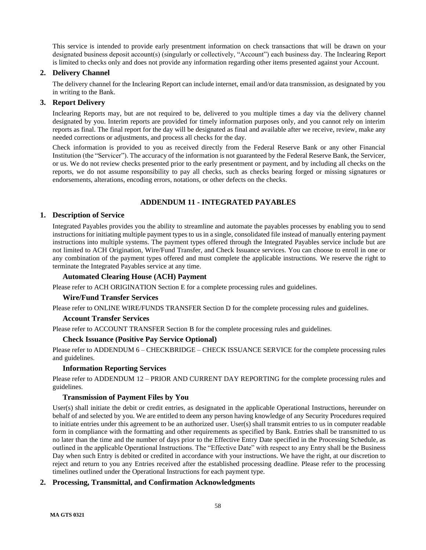This service is intended to provide early presentment information on check transactions that will be drawn on your designated business deposit account(s) (singularly or collectively, "Account") each business day. The Inclearing Report is limited to checks only and does not provide any information regarding other items presented against your Account.

## <span id="page-57-0"></span>**2. Delivery Channel**

The delivery channel for the Inclearing Report can include internet, email and/or data transmission, as designated by you in writing to the Bank.

# <span id="page-57-1"></span>**3. Report Delivery**

Inclearing Reports may, but are not required to be, delivered to you multiple times a day via the delivery channel designated by you. Interim reports are provided for timely information purposes only, and you cannot rely on interim reports as final. The final report for the day will be designated as final and available after we receive, review, make any needed corrections or adjustments, and process all checks for the day.

Check information is provided to you as received directly from the Federal Reserve Bank or any other Financial Institution (the "Servicer"). The accuracy of the information is not guaranteed by the Federal Reserve Bank, the Servicer, or us. We do not review checks presented prior to the early presentment or payment, and by including all checks on the reports, we do not assume responsibility to pay all checks, such as checks bearing forged or missing signatures or endorsements, alterations, encoding errors, notations, or other defects on the checks.

# **ADDENDUM 11 - INTEGRATED PAYABLES**

## <span id="page-57-3"></span><span id="page-57-2"></span>**1. Description of Service**

Integrated Payables provides you the ability to streamline and automate the payables processes by enabling you to send instructions for initiating multiple payment types to us in a single, consolidated file instead of manually entering payment instructions into multiple systems. The payment types offered through the Integrated Payables service include but are not limited to ACH Origination, Wire/Fund Transfer, and Check Issuance services. You can choose to enroll in one or any combination of the payment types offered and must complete the applicable instructions. We reserve the right to terminate the Integrated Payables service at any time.

## **Automated Clearing House (ACH) Payment**

Please refer to ACH ORIGINATION Section E for a complete processing rules and guidelines.

## **Wire/Fund Transfer Services**

Please refer to ONLINE WIRE/FUNDS TRANSFER Section D for the complete processing rules and guidelines.

### **Account Transfer Services**

Please refer to ACCOUNT TRANSFER Section B for the complete processing rules and guidelines.

## **Check Issuance (Positive Pay Service Optional)**

Please refer to ADDENDUM 6 – CHECKBRIDGE – CHECK ISSUANCE SERVICE for the complete processing rules and guidelines.

## **Information Reporting Services**

Please refer to ADDENDUM 12 – PRIOR AND CURRENT DAY REPORTING for the complete processing rules and guidelines.

## **Transmission of Payment Files by You**

User(s) shall initiate the debit or credit entries, as designated in the applicable Operational Instructions, hereunder on behalf of and selected by you. We are entitled to deem any person having knowledge of any Security Procedures required to initiate entries under this agreement to be an authorized user. User(s) shall transmit entries to us in computer readable form in compliance with the formatting and other requirements as specified by Bank. Entries shall be transmitted to us no later than the time and the number of days prior to the Effective Entry Date specified in the Processing Schedule, as outlined in the applicable Operational Instructions. The "Effective Date" with respect to any Entry shall be the Business Day when such Entry is debited or credited in accordance with your instructions. We have the right, at our discretion to reject and return to you any Entries received after the established processing deadline. Please refer to the processing timelines outlined under the Operational Instructions for each payment type.

## <span id="page-57-4"></span>**2. Processing, Transmittal, and Confirmation Acknowledgments**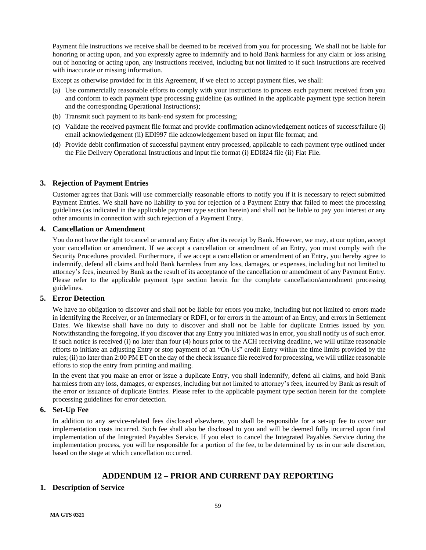Payment file instructions we receive shall be deemed to be received from you for processing. We shall not be liable for honoring or acting upon, and you expressly agree to indemnify and to hold Bank harmless for any claim or loss arising out of honoring or acting upon, any instructions received, including but not limited to if such instructions are received with inaccurate or missing information.

Except as otherwise provided for in this Agreement, if we elect to accept payment files, we shall:

- (a) Use commercially reasonable efforts to comply with your instructions to process each payment received from you and conform to each payment type processing guideline (as outlined in the applicable payment type section herein and the corresponding Operational Instructions);
- (b) Transmit such payment to its bank-end system for processing;
- (c) Validate the received payment file format and provide confirmation acknowledgement notices of success/failure (i) email acknowledgement (ii) EDI997 file acknowledgement based on input file format; and
- (d) Provide debit confirmation of successful payment entry processed, applicable to each payment type outlined under the File Delivery Operational Instructions and input file format (i) EDI824 file (ii) Flat File.

## <span id="page-58-0"></span>**3. Rejection of Payment Entries**

Customer agrees that Bank will use commercially reasonable efforts to notify you if it is necessary to reject submitted Payment Entries. We shall have no liability to you for rejection of a Payment Entry that failed to meet the processing guidelines (as indicated in the applicable payment type section herein) and shall not be liable to pay you interest or any other amounts in connection with such rejection of a Payment Entry.

## <span id="page-58-1"></span>**4. Cancellation or Amendment**

You do not have the right to cancel or amend any Entry after its receipt by Bank. However, we may, at our option, accept your cancellation or amendment. If we accept a cancellation or amendment of an Entry, you must comply with the Security Procedures provided. Furthermore, if we accept a cancellation or amendment of an Entry, you hereby agree to indemnify, defend all claims and hold Bank harmless from any loss, damages, or expenses, including but not limited to attorney's fees, incurred by Bank as the result of its acceptance of the cancellation or amendment of any Payment Entry. Please refer to the applicable payment type section herein for the complete cancellation/amendment processing guidelines.

## <span id="page-58-2"></span>**5. Error Detection**

We have no obligation to discover and shall not be liable for errors you make, including but not limited to errors made in identifying the Receiver, or an Intermediary or RDFI, or for errors in the amount of an Entry, and errors in Settlement Dates. We likewise shall have no duty to discover and shall not be liable for duplicate Entries issued by you. Notwithstanding the foregoing, if you discover that any Entry you initiated was in error, you shall notify us of such error. If such notice is received (i) no later than four (4) hours prior to the ACH receiving deadline, we will utilize reasonable efforts to initiate an adjusting Entry or stop payment of an "On-Us" credit Entry within the time limits provided by the rules; (ii) no later than 2:00 PM ET on the day of the check issuance file received for processing, we will utilize reasonable efforts to stop the entry from printing and mailing.

In the event that you make an error or issue a duplicate Entry, you shall indemnify, defend all claims, and hold Bank harmless from any loss, damages, or expenses, including but not limited to attorney's fees, incurred by Bank as result of the error or issuance of duplicate Entries. Please refer to the applicable payment type section herein for the complete processing guidelines for error detection.

## <span id="page-58-3"></span>**6. Set-Up Fee**

In addition to any service-related fees disclosed elsewhere, you shall be responsible for a set-up fee to cover our implementation costs incurred. Such fee shall also be disclosed to you and will be deemed fully incurred upon final implementation of the Integrated Payables Service. If you elect to cancel the Integrated Payables Service during the implementation process, you will be responsible for a portion of the fee, to be determined by us in our sole discretion, based on the stage at which cancellation occurred.

# **ADDENDUM 12 – PRIOR AND CURRENT DAY REPORTING**

## <span id="page-58-5"></span><span id="page-58-4"></span>**1. Description of Service**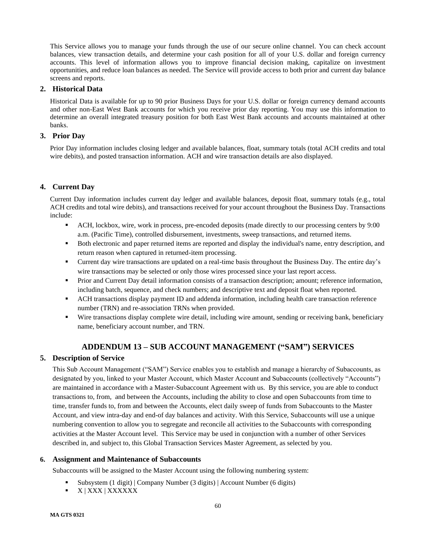This Service allows you to manage your funds through the use of our secure online channel. You can check account balances, view transaction details, and determine your cash position for all of your U.S. dollar and foreign currency accounts. This level of information allows you to improve financial decision making, capitalize on investment opportunities, and reduce loan balances as needed. The Service will provide access to both prior and current day balance screens and reports.

## <span id="page-59-0"></span>**2. Historical Data**

Historical Data is available for up to 90 prior Business Days for your U.S. dollar or foreign currency demand accounts and other non-East West Bank accounts for which you receive prior day reporting. You may use this information to determine an overall integrated treasury position for both East West Bank accounts and accounts maintained at other banks.

## <span id="page-59-1"></span>**3. Prior Day**

Prior Day information includes closing ledger and available balances, float, summary totals (total ACH credits and total wire debits), and posted transaction information. ACH and wire transaction details are also displayed.

# <span id="page-59-2"></span>**4. Current Day**

Current Day information includes current day ledger and available balances, deposit float, summary totals (e.g., total ACH credits and total wire debits), and transactions received for your account throughout the Business Day. Transactions include:

- ACH, lockbox, wire, work in process, pre-encoded deposits (made directly to our processing centers by 9:00 a.m. (Pacific Time), controlled disbursement, investments, sweep transactions, and returned items.
- Both electronic and paper returned items are reported and display the individual's name, entry description, and return reason when captured in returned-item processing.
- Current day wire transactions are updated on a real-time basis throughout the Business Day. The entire day's wire transactions may be selected or only those wires processed since your last report access.
- **•** Prior and Current Day detail information consists of a transaction description; amount; reference information, including batch, sequence, and check numbers; and descriptive text and deposit float when reported.
- **ACH transactions display payment ID and addenda information, including health care transaction reference** number (TRN) and re-association TRNs when provided.
- Wire transactions display complete wire detail, including wire amount, sending or receiving bank, beneficiary name, beneficiary account number, and TRN.

# **ADDENDUM 13 – SUB ACCOUNT MANAGEMENT ("SAM") SERVICES**

## <span id="page-59-4"></span><span id="page-59-3"></span>**5. Description of Service**

This Sub Account Management ("SAM") Service enables you to establish and manage a hierarchy of Subaccounts, as designated by you, linked to your Master Account, which Master Account and Subaccounts (collectively "Accounts") are maintained in accordance with a Master-Subaccount Agreement with us. By this service, you are able to conduct transactions to, from, and between the Accounts, including the ability to close and open Subaccounts from time to time, transfer funds to, from and between the Accounts, elect daily sweep of funds from Subaccounts to the Master Account, and view intra-day and end-of day balances and activity. With this Service, Subaccounts will use a unique numbering convention to allow you to segregate and reconcile all activities to the Subaccounts with corresponding activities at the Master Account level. This Service may be used in conjunction with a number of other Services described in, and subject to, this Global Transaction Services Master Agreement, as selected by you.

## <span id="page-59-5"></span>**6. Assignment and Maintenance of Subaccounts**

Subaccounts will be assigned to the Master Account using the following numbering system:

- Subsystem (1 digit) | Company Number (3 digits) | Account Number (6 digits)
- X | XXX | XXXXXX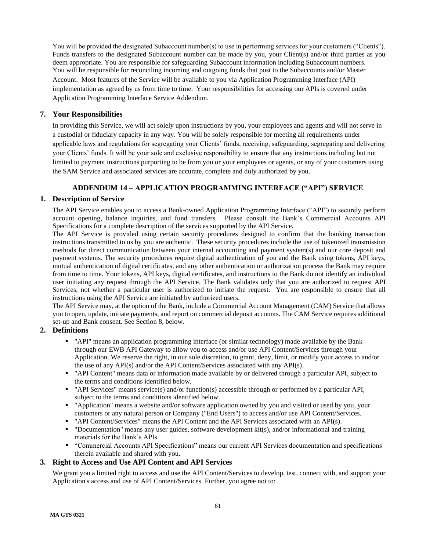You will be provided the designated Subaccount number(s) to use in performing services for your customers ("Clients"). Funds transfers to the designated Subaccount number can be made by you, your Client(s) and/or third parties as you deem appropriate. You are responsible for safeguarding Subaccount information including Subaccount numbers. You will be responsible for reconciling incoming and outgoing funds that post to the Subaccounts and/or Master Account. Most features of the Service will be available to you via Application Programming Interface (API) implementation as agreed by us from time to time. Your responsibilities for accessing our APIs is covered under Application Programming Interface Service Addendum.

## <span id="page-60-0"></span>**7. Your Responsibilities**

In providing this Service, we will act solely upon instructions by you, your employees and agents and will not serve in a custodial or fiduciary capacity in any way. You will be solely responsible for meeting all requirements under applicable laws and regulations for segregating your Clients' funds, receiving, safeguarding, segregating and delivering your Clients' funds. It will be your sole and exclusive responsibility to ensure that any instructions including but not limited to payment instructions purporting to be from you or your employees or agents, or any of your customers using the SAM Service and associated services are accurate, complete and duly authorized by you.

## **ADDENDUM 14 – APPLICATION PROGRAMMING INTERFACE ("API") SERVICE**

## <span id="page-60-2"></span><span id="page-60-1"></span>**1. Description of Service**

The API Service enables you to access a Bank-owned Application Programming Interface ("API") to securely perform account opening, balance inquiries, and fund transfers. Please consult the Bank's Commercial Accounts API Specifications for a complete description of the services supported by the API Service.

The API Service is provided using certain security procedures designed to confirm that the banking transaction instructions transmitted to us by you are authentic. These security procedures include the use of tokenized transmission methods for direct communication between your internal accounting and payment system(s) and our core deposit and payment systems. The security procedures require digital authentication of you and the Bank using tokens, API keys, mutual authentication of digital certificates, and any other authentication or authorization process the Bank may require from time to time. Your tokens, API keys, digital certificates, and instructions to the Bank do not identify an individual user initiating any request through the API Service. The Bank validates only that you are authorized to request API Services, not whether a particular user is authorized to initiate the request. You are responsible to ensure that all instructions using the API Service are initiated by authorized users.

The API Service may, at the option of the Bank, include a Commercial Account Management (CAM) Service that allows you to open, update, initiate payments, and report on commercial deposit accounts. The CAM Service requires additional set-up and Bank consent. See Section 8, below.

## <span id="page-60-3"></span>**2. Definitions**

- "API" means an application programming interface (or similar technology) made available by the Bank through our EWB API Gateway to allow you to access and/or use API Content/Services through your Application. We reserve the right, in our sole discretion, to grant, deny, limit, or modify your access to and/or the use of any API(s) and/or the API Content/Services associated with any API(s).
- "API Content" means data or information made available by or delivered through a particular API, subject to the terms and conditions identified below.
- "API Services" means service(s) and/or function(s) accessible through or performed by a particular API, subject to the terms and conditions identified below.
- **•** "Application" means a website and/or software application owned by you and visited or used by you, your customers or any natural person or Company ("End Users") to access and/or use API Content/Services.
- "API Content/Services" means the API Content and the API Services associated with an API(s).
- "Documentation" means any user guides, software development kit(s), and/or informational and training materials for the Bank's APIs.
- "Commercial Accounts API Specifications" means our current API Services documentation and specifications therein available and shared with you.

# <span id="page-60-4"></span>**3. Right to Access and Use API Content and API Services**

We grant you a limited right to access and use the API Content/Services to develop, test, connect with, and support your Application's access and use of API Content/Services. Further, you agree not to: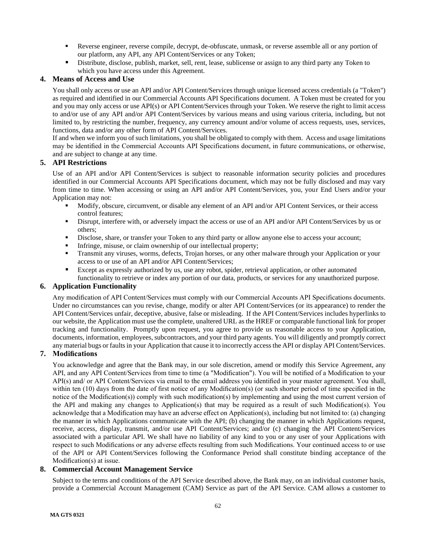- Reverse engineer, reverse compile, decrypt, de-obfuscate, unmask, or reverse assemble all or any portion of our platform, any API, any API Content/Services or any Token;
- Distribute, disclose, publish, market, sell, rent, lease, sublicense or assign to any third party any Token to which you have access under this Agreement.

## <span id="page-61-0"></span>**4. Means of Access and Use**

You shall only access or use an API and/or API Content/Services through unique licensed access credentials (a "Token") as required and identified in our Commercial Accounts API Specifications document. A Token must be created for you and you may only access or use API(s) or API Content/Services through your Token. We reserve the right to limit access to and/or use of any API and/or API Content/Services by various means and using various criteria, including, but not limited to, by restricting the number, frequency, any currency amount and/or volume of access requests, uses, services, functions, data and/or any other form of API Content/Services.

If and when we inform you of such limitations, you shall be obligated to comply with them. Access and usage limitations may be identified in the Commercial Accounts API Specifications document, in future communications, or otherwise, and are subject to change at any time.

# <span id="page-61-1"></span>**5. API Restrictions**

Use of an API and/or API Content/Services is subject to reasonable information security policies and procedures identified in our Commercial Accounts API Specifications document, which may not be fully disclosed and may vary from time to time. When accessing or using an API and/or API Content/Services, you, your End Users and/or your Application may not:

- Modify, obscure, circumvent, or disable any element of an API and/or API Content Services, or their access control features;
- Disrupt, interfere with, or adversely impact the access or use of an API and/or API Content/Services by us or others;
- Disclose, share, or transfer your Token to any third party or allow anyone else to access your account;
- **•** Infringe, misuse, or claim ownership of our intellectual property;
- Transmit any viruses, worms, defects, Trojan horses, or any other malware through your Application or your access to or use of an API and/or API Content/Services;
- Except as expressly authorized by us, use any robot, spider, retrieval application, or other automated functionality to retrieve or index any portion of our data, products, or services for any unauthorized purpose.

## <span id="page-61-2"></span>**6. Application Functionality**

Any modification of API Content/Services must comply with our Commercial Accounts API Specifications documents. Under no circumstances can you revise, change, modify or alter API Content/Services (or its appearance) to render the API Content/Services unfair, deceptive, abusive, false or misleading. If the API Content/Services includes hyperlinks to our website, the Application must use the complete, unaltered URL as the HREF or comparable functional link for proper tracking and functionality. Promptly upon request, you agree to provide us reasonable access to your Application, documents, information, employees, subcontractors, and your third party agents. You will diligently and promptly correct any material bugs or faults in your Application that cause it to incorrectly access the API or display API Content/Services.

## <span id="page-61-3"></span>**7. Modifications**

You acknowledge and agree that the Bank may, in our sole discretion, amend or modify this Service Agreement, any API, and any API Content/Services from time to time (a "Modification"). You will be notified of a Modification to your API(s) and/ or API Content/Services via email to the email address you identified in your master agreement. You shall, within ten (10) days from the date of first notice of any Modification(s) (or such shorter period of time specified in the notice of the Modification(s)) comply with such modification(s) by implementing and using the most current version of the API and making any changes to Application(s) that may be required as a result of such Modification(s). You acknowledge that a Modification may have an adverse effect on Application(s), including but not limited to: (a) changing the manner in which Applications communicate with the API; (b) changing the manner in which Applications request, receive, access, display, transmit, and/or use API Content/Services; and/or (c) changing the API Content/Services associated with a particular API. We shall have no liability of any kind to you or any user of your Applications with respect to such Modifications or any adverse effects resulting from such Modifications. Your continued access to or use of the API or API Content/Services following the Conformance Period shall constitute binding acceptance of the Modification(s) at issue.

### <span id="page-61-4"></span>**8. Commercial Account Management Service**

Subject to the terms and conditions of the API Service described above, the Bank may, on an individual customer basis, provide a Commercial Account Management (CAM) Service as part of the API Service. CAM allows a customer to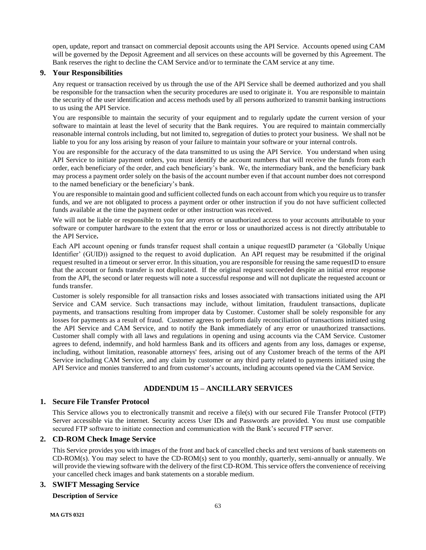open, update, report and transact on commercial deposit accounts using the API Service. Accounts opened using CAM will be governed by the Deposit Agreement and all services on these accounts will be governed by this Agreement. The Bank reserves the right to decline the CAM Service and/or to terminate the CAM service at any time.

## <span id="page-62-0"></span>**9. Your Responsibilities**

Any request or transaction received by us through the use of the API Service shall be deemed authorized and you shall be responsible for the transaction when the security procedures are used to originate it. You are responsible to maintain the security of the user identification and access methods used by all persons authorized to transmit banking instructions to us using the API Service.

You are responsible to maintain the security of your equipment and to regularly update the current version of your software to maintain at least the level of security that the Bank requires. You are required to maintain commercially reasonable internal controls including, but not limited to, segregation of duties to protect your business. We shall not be liable to you for any loss arising by reason of your failure to maintain your software or your internal controls.

You are responsible for the accuracy of the data transmitted to us using the API Service. You understand when using API Service to initiate payment orders, you must identify the account numbers that will receive the funds from each order, each beneficiary of the order, and each beneficiary's bank. We, the intermediary bank, and the beneficiary bank may process a payment order solely on the basis of the account number even if that account number does not correspond to the named beneficiary or the beneficiary's bank.

You are responsible to maintain good and sufficient collected funds on each account from which you require us to transfer funds, and we are not obligated to process a payment order or other instruction if you do not have sufficient collected funds available at the time the payment order or other instruction was received.

We will not be liable or responsible to you for any errors or unauthorized access to your accounts attributable to your software or computer hardware to the extent that the error or loss or unauthorized access is not directly attributable to the API Service**.**

Each API account opening or funds transfer request shall contain a unique requestID parameter (a 'Globally Unique Identifier' (GUID)) assigned to the request to avoid duplication. An API request may be resubmitted if the original request resulted in a timeout or server error. In this situation, you are responsible for reusing the same requestID to ensure that the account or funds transfer is not duplicated. If the original request succeeded despite an initial error response from the API, the second or later requests will note a successful response and will not duplicate the requested account or funds transfer.

Customer is solely responsible for all transaction risks and losses associated with transactions initiated using the API Service and CAM service. Such transactions may include, without limitation, fraudulent transactions, duplicate payments, and transactions resulting from improper data by Customer. Customer shall be solely responsible for any losses for payments as a result of fraud. Customer agrees to perform daily reconciliation of transactions initiated using the API Service and CAM Service, and to notify the Bank immediately of any error or unauthorized transactions. Customer shall comply with all laws and regulations in opening and using accounts via the CAM Service. Customer agrees to defend, indemnify, and hold harmless Bank and its officers and agents from any loss, damages or expense, including, without limitation, reasonable attorneys' fees, arising out of any Customer breach of the terms of the API Service including CAM Service, and any claim by customer or any third party related to payments initiated using the API Service and monies transferred to and from customer's accounts, including accounts opened via the CAM Service.

# **ADDENDUM 15 – ANCILLARY SERVICES**

## <span id="page-62-2"></span><span id="page-62-1"></span>**1. Secure File Transfer Protocol**

This Service allows you to electronically transmit and receive a file(s) with our secured File Transfer Protocol (FTP) Server accessible via the internet. Security access User IDs and Passwords are provided. You must use compatible secured FTP software to initiate connection and communication with the Bank's secured FTP server.

# <span id="page-62-3"></span>**2. CD-ROM Check Image Service**

This Service provides you with images of the front and back of cancelled checks and text versions of bank statements on CD-ROM(s). You may select to have the CD-ROM(s) sent to you monthly, quarterly, semi-annually or annually. We will provide the viewing software with the delivery of the first CD-ROM. This service offers the convenience of receiving your cancelled check images and bank statements on a storable medium.

## <span id="page-62-4"></span>**3. SWIFT Messaging Service**

## **Description of Service**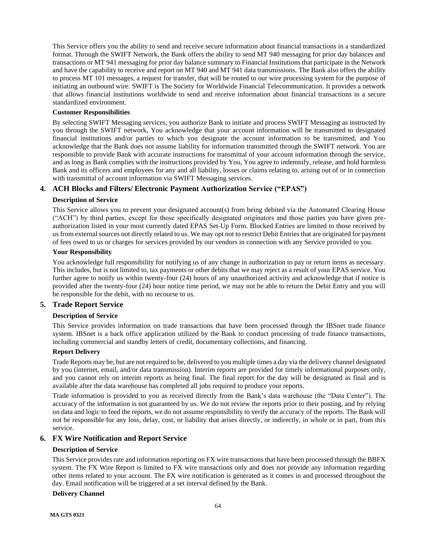This Service offers you the ability to send and receive secure information about financial transactions in a standardized format. Through the SWIFT Network, the Bank offers the ability to send MT 940 messaging for prior day balances and transactions or MT 941 messaging for prior day balance summary to Financial Institutions that participate in the Network and have the capability to receive and report on MT 940 and MT 941 data transmissions. The Bank also offers the ability to process MT 101 messages, a request for transfer, that will be routed to our wire processing system for the purpose of initiating an outbound wire. SWIFT is The Society for Worldwide Financial Telecommunication. It provides a network that allows financial institutions worldwide to send and receive information about financial transactions in a secure standardized environment.

### **Customer Responsibilities**

By selecting SWIFT Messaging services, you authorize Bank to initiate and process SWIFT Messaging as instructed by you through the SWIFT network, You acknowledge that your account information will be transmitted to designated financial institutions and/or parties to which you designate the account information to be transmitted, and You acknowledge that the Bank does not assume liability for information transmitted through the SWIFT network. You are responsible to provide Bank with accurate instructions for transmittal of your account information through the service, and as long as Bank complies with the instructions provided by You, You agree to indemnify, release, and hold harmless Bank and its officers and employees for any and all liability, losses or claims relating to, arising out of or in connection with transmittal of account information via SWIFT Messaging services.

## <span id="page-63-0"></span>**4. ACH Blocks and Filters/ Electronic Payment Authorization Service ("EPAS")**

### **Description of Service**

This Service allows you to prevent your designated account(s) from being debited via the Automated Clearing House ("ACH") by third parties, except for those specifically designated originators and those parties you have given preauthorization listed in your most currently dated EPAS Set-Up Form. Blocked Entries are limited to those received by us from external sources not directly related to us. We may opt not to restrict Debit Entries that are originated for payment of fees owed to us or charges for services provided by our vendors in connection with any Service provided to you.

## **Your Responsibility**

You acknowledge full responsibility for notifying us of any change in authorization to pay or return items as necessary. This includes, but is not limited to, tax payments or other debits that we may reject as a result of your EPAS service. You further agree to notify us within twenty-four (24) hours of any unauthorized activity and acknowledge that if notice is provided after the twenty-four (24) hour notice time period, we may not be able to return the Debit Entry and you will be responsible for the debit, with no recourse to us.

## <span id="page-63-1"></span>**5. Trade Report Service**

### **Description of Service**

This Service provides information on trade transactions that have been processed through the IBSnet trade finance system. IBSnet is a back office application utilized by the Bank to conduct processing of trade finance transactions, including commercial and standby letters of credit, documentary collections, and financing.

### **Report Delivery**

Trade Reports may be, but are not required to be, delivered to you multiple times a day via the delivery channel designated by you (internet, email, and/or data transmission). Interim reports are provided for timely informational purposes only, and you cannot rely on interim reports as being final. The final report for the day will be designated as final and is available after the data warehouse has completed all jobs required to produce your reports.

Trade information is provided to you as received directly from the Bank's data warehouse (the "Data Center"). The accuracy of the information is not guaranteed by us. We do not review the reports prior to their posting, and by relying on data and logic to feed the reports, we do not assume responsibility to verify the accuracy of the reports. The Bank will not be responsible for any loss, delay, cost, or liability that arises directly, or indirectly, in whole or in part, from this service.

## <span id="page-63-2"></span>**6. FX Wire Notification and Report Service**

### **Description of Service**

This Service provides rate and information reporting on FX wire transactions that have been processed through the BBFX system. The FX Wire Report is limited to FX wire transactions only and does not provide any information regarding other items related to your account. The FX wire notification is generated as it comes in and processed throughout the day. Email notification will be triggered at a set interval defined by the Bank.

### **Delivery Channel**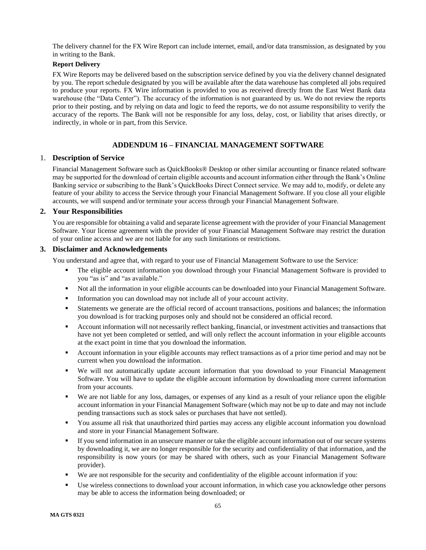The delivery channel for the FX Wire Report can include internet, email, and/or data transmission, as designated by you in writing to the Bank.

# **Report Delivery**

FX Wire Reports may be delivered based on the subscription service defined by you via the delivery channel designated by you. The report schedule designated by you will be available after the data warehouse has completed all jobs required to produce your reports. FX Wire information is provided to you as received directly from the East West Bank data warehouse (the "Data Center"). The accuracy of the information is not guaranteed by us. We do not review the reports prior to their posting, and by relying on data and logic to feed the reports, we do not assume responsibility to verify the accuracy of the reports. The Bank will not be responsible for any loss, delay, cost, or liability that arises directly, or indirectly, in whole or in part, from this Service.

# **ADDENDUM 16 – FINANCIAL MANAGEMENT SOFTWARE**

### <span id="page-64-1"></span><span id="page-64-0"></span>1. **Description of Service**

Financial Management Software such as QuickBooks® Desktop or other similar accounting or finance related software may be supported for the download of certain eligible accounts and account information either through the Bank's Online Banking service or subscribing to the Bank's QuickBooks Direct Connect service. We may add to, modify, or delete any feature of your ability to access the Service through your Financial Management Software. If you close all your eligible accounts, we will suspend and/or terminate your access through your Financial Management Software.

## <span id="page-64-2"></span>**2. Your Responsibilities**

You are responsible for obtaining a valid and separate license agreement with the provider of your Financial Management Software. Your license agreement with the provider of your Financial Management Software may restrict the duration of your online access and we are not liable for any such limitations or restrictions.

### <span id="page-64-3"></span>**3. Disclaimer and Acknowledgements**

You understand and agree that, with regard to your use of Financial Management Software to use the Service:

- The eligible account information you download through your Financial Management Software is provided to you "as is" and "as available."
- Not all the information in your eligible accounts can be downloaded into your Financial Management Software.
- **•** Information you can download may not include all of your account activity.
- Statements we generate are the official record of account transactions, positions and balances; the information you download is for tracking purposes only and should not be considered an official record.
- Account information will not necessarily reflect banking, financial, or investment activities and transactions that have not yet been completed or settled, and will only reflect the account information in your eligible accounts at the exact point in time that you download the information.
- Account information in your eligible accounts may reflect transactions as of a prior time period and may not be current when you download the information.
- We will not automatically update account information that you download to your Financial Management Software. You will have to update the eligible account information by downloading more current information from your accounts.
- We are not liable for any loss, damages, or expenses of any kind as a result of your reliance upon the eligible account information in your Financial Management Software (which may not be up to date and may not include pending transactions such as stock sales or purchases that have not settled).
- You assume all risk that unauthorized third parties may access any eligible account information you download and store in your Financial Management Software.
- If you send information in an unsecure manner or take the eligible account information out of our secure systems by downloading it, we are no longer responsible for the security and confidentiality of that information, and the responsibility is now yours (or may be shared with others, such as your Financial Management Software provider).
- We are not responsible for the security and confidentiality of the eligible account information if you:
- Use wireless connections to download your account information, in which case you acknowledge other persons may be able to access the information being downloaded; or